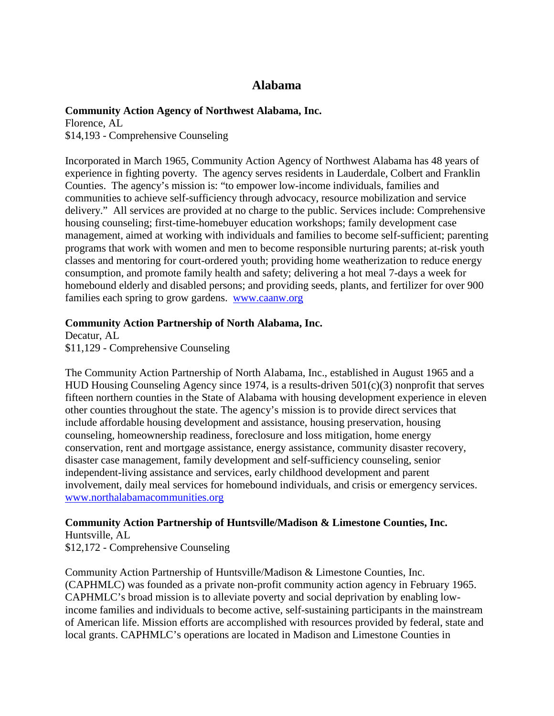# **Alabama**

### **Community Action Agency of Northwest Alabama, Inc.**

Florence, AL \$14,193 - Comprehensive Counseling

Incorporated in March 1965, Community Action Agency of Northwest Alabama has 48 years of experience in fighting poverty. The agency serves residents in Lauderdale, Colbert and Franklin Counties. The agency's mission is: "to empower low-income individuals, families and communities to achieve self-sufficiency through advocacy, resource mobilization and service delivery." All services are provided at no charge to the public. Services include: Comprehensive housing counseling; first-time-homebuyer education workshops; family development case management, aimed at working with individuals and families to become self-sufficient; parenting programs that work with women and men to become responsible nurturing parents; at-risk youth classes and mentoring for court-ordered youth; providing home weatherization to reduce energy consumption, and promote family health and safety; delivering a hot meal 7-days a week for homebound elderly and disabled persons; and providing seeds, plants, and fertilizer for over 900 families each spring to grow gardens. [www.caanw.org](http://www.caanw.org/)

### **Community Action Partnership of North Alabama, Inc.**

Decatur, AL \$11,129 - Comprehensive Counseling

The Community Action Partnership of North Alabama, Inc., established in August 1965 and a HUD Housing Counseling Agency since 1974, is a results-driven 501(c)(3) nonprofit that serves fifteen northern counties in the State of Alabama with housing development experience in eleven other counties throughout the state. The agency's mission is to provide direct services that include affordable housing development and assistance, housing preservation, housing counseling, homeownership readiness, foreclosure and loss mitigation, home energy conservation, rent and mortgage assistance, energy assistance, community disaster recovery, disaster case management, family development and self-sufficiency counseling, senior independent-living assistance and services, early childhood development and parent involvement, daily meal services for homebound individuals, and crisis or emergency services. [www.northalabamacommunities.org](http://www.northalabamacommunities.org/)

## **Community Action Partnership of Huntsville/Madison & Limestone Counties, Inc.** Huntsville, AL

\$12,172 - Comprehensive Counseling

Community Action Partnership of Huntsville/Madison & Limestone Counties, Inc. (CAPHMLC) was founded as a private non-profit community action agency in February 1965. CAPHMLC's broad mission is to alleviate poverty and social deprivation by enabling lowincome families and individuals to become active, self-sustaining participants in the mainstream of American life. Mission efforts are accomplished with resources provided by federal, state and local grants. CAPHMLC's operations are located in Madison and Limestone Counties in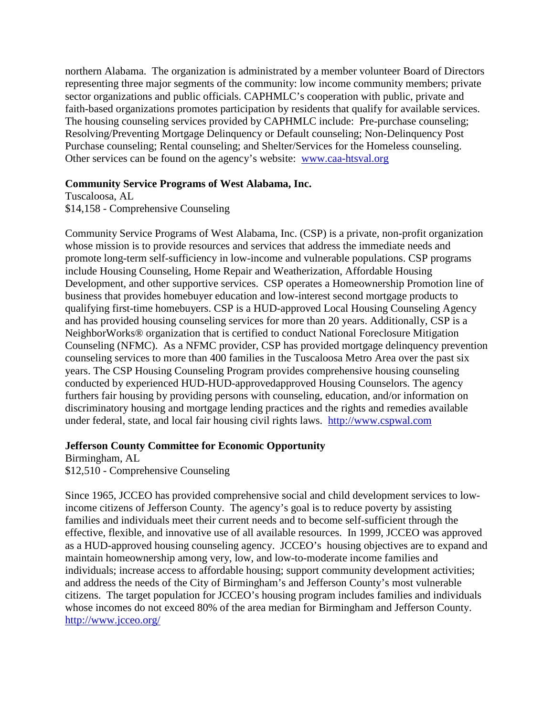northern Alabama. The organization is administrated by a member volunteer Board of Directors representing three major segments of the community: low income community members; private sector organizations and public officials. CAPHMLC's cooperation with public, private and faith-based organizations promotes participation by residents that qualify for available services. The housing counseling services provided by CAPHMLC include: Pre-purchase counseling; Resolving/Preventing Mortgage Delinquency or Default counseling; Non-Delinquency Post Purchase counseling; Rental counseling; and Shelter/Services for the Homeless counseling. Other services can be found on the agency's website: www.caa-htsval.org

#### **Community Service Programs of West Alabama, Inc.**

Tuscaloosa, AL

\$14,158 - Comprehensive Counseling

Community Service Programs of West Alabama, Inc. (CSP) is a private, non-profit organization whose mission is to provide resources and services that address the immediate needs and promote long-term self-sufficiency in low-income and vulnerable populations. CSP programs include Housing Counseling, Home Repair and Weatherization, Affordable Housing Development, and other supportive services. CSP operates a Homeownership Promotion line of business that provides homebuyer education and low-interest second mortgage products to qualifying first-time homebuyers. CSP is a HUD-approved Local Housing Counseling Agency and has provided housing counseling services for more than 20 years. Additionally, CSP is a NeighborWorks® organization that is certified to conduct National Foreclosure Mitigation Counseling (NFMC). As a NFMC provider, CSP has provided mortgage delinquency prevention counseling services to more than 400 families in the Tuscaloosa Metro Area over the past six years. The CSP Housing Counseling Program provides comprehensive housing counseling conducted by experienced HUD-HUD-approvedapproved Housing Counselors. The agency furthers fair housing by providing persons with counseling, education, and/or information on discriminatory housing and mortgage lending practices and the rights and remedies available under federal, state, and local fair housing civil rights laws. [http://www.cspwal.com](http://www.cspwal.com/)

### **Jefferson County Committee for Economic Opportunity**

Birmingham, AL \$12,510 - Comprehensive Counseling

Since 1965, JCCEO has provided comprehensive social and child development services to lowincome citizens of Jefferson County. The agency's goal is to reduce poverty by assisting families and individuals meet their current needs and to become self-sufficient through the effective, flexible, and innovative use of all available resources. In 1999, JCCEO was approved as a HUD-approved housing counseling agency. JCCEO's housing objectives are to expand and maintain homeownership among very, low, and low-to-moderate income families and individuals; increase access to affordable housing; support community development activities; and address the needs of the City of Birmingham's and Jefferson County's most vulnerable citizens. The target population for JCCEO's housing program includes families and individuals whose incomes do not exceed 80% of the area median for Birmingham and Jefferson County. <http://www.jcceo.org/>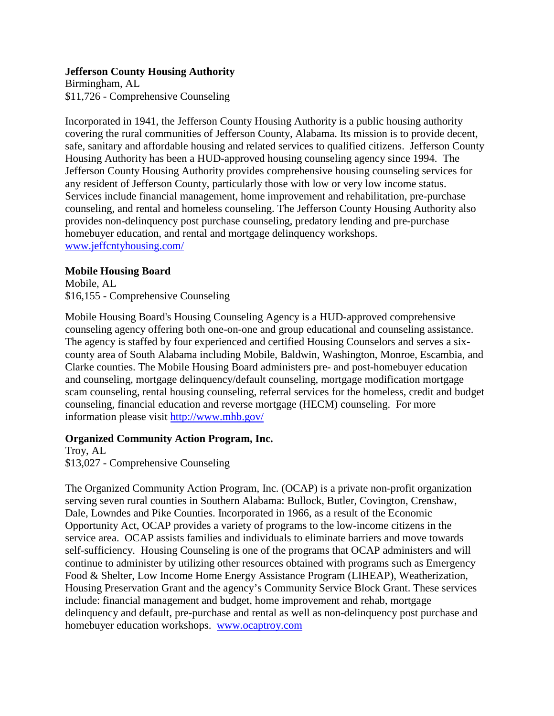### **Jefferson County Housing Authority**

Birmingham, AL \$11,726 - Comprehensive Counseling

Incorporated in 1941, the Jefferson County Housing Authority is a public housing authority covering the rural communities of Jefferson County, Alabama. Its mission is to provide decent, safe, sanitary and affordable housing and related services to qualified citizens. Jefferson County Housing Authority has been a HUD-approved housing counseling agency since 1994. The Jefferson County Housing Authority provides comprehensive housing counseling services for any resident of Jefferson County, particularly those with low or very low income status. Services include financial management, home improvement and rehabilitation, pre-purchase counseling, and rental and homeless counseling. The Jefferson County Housing Authority also provides non-delinquency post purchase counseling, predatory lending and pre-purchase homebuyer education, and rental and mortgage delinquency workshops. [www.jeffcntyhousing.com/](http://www.jeffcntyhousing.com/)

### **Mobile Housing Board**

Mobile, AL \$16,155 - Comprehensive Counseling

Mobile Housing Board's Housing Counseling Agency is a HUD-approved comprehensive counseling agency offering both one-on-one and group educational and counseling assistance. The agency is staffed by four experienced and certified Housing Counselors and serves a sixcounty area of South Alabama including Mobile, Baldwin, Washington, Monroe, Escambia, and Clarke counties. The Mobile Housing Board administers pre- and post-homebuyer education and counseling, mortgage delinquency/default counseling, mortgage modification mortgage scam counseling, rental housing counseling, referral services for the homeless, credit and budget counseling, financial education and reverse mortgage (HECM) counseling. For more information please visit <http://www.mhb.gov/>

## **Organized Community Action Program, Inc.**

Troy, AL \$13,027 - Comprehensive Counseling

The Organized Community Action Program, Inc. (OCAP) is a private non-profit organization serving seven rural counties in Southern Alabama: Bullock, Butler, Covington, Crenshaw, Dale, Lowndes and Pike Counties. Incorporated in 1966, as a result of the Economic Opportunity Act, OCAP provides a variety of programs to the low-income citizens in the service area. OCAP assists families and individuals to eliminate barriers and move towards self-sufficiency. Housing Counseling is one of the programs that OCAP administers and will continue to administer by utilizing other resources obtained with programs such as Emergency Food & Shelter, Low Income Home Energy Assistance Program (LIHEAP), Weatherization, Housing Preservation Grant and the agency's Community Service Block Grant. These services include: financial management and budget, home improvement and rehab, mortgage delinquency and default, pre-purchase and rental as well as non-delinquency post purchase and homebuyer education workshops. [www.ocaptroy.com](http://www.ocaptroy.com/)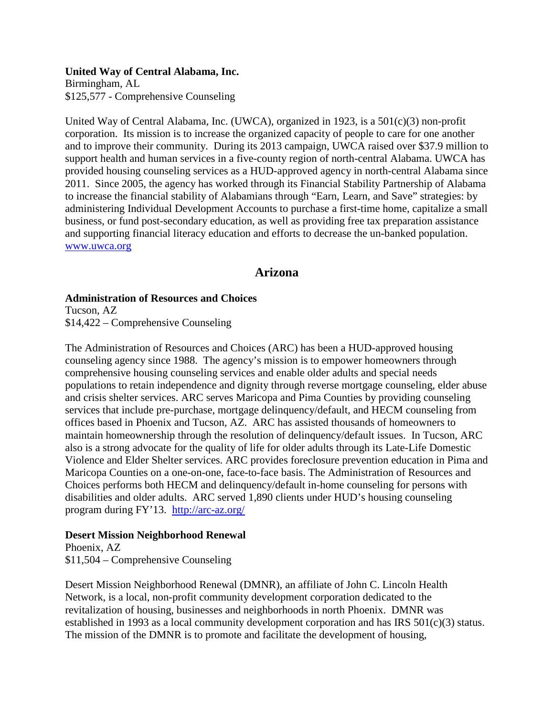#### **United Way of Central Alabama, Inc.** Birmingham, AL \$125,577 - Comprehensive Counseling

United Way of Central Alabama, Inc. (UWCA), organized in 1923, is a 501(c)(3) non-profit corporation. Its mission is to increase the organized capacity of people to care for one another and to improve their community. During its 2013 campaign, UWCA raised over \$37.9 million to support health and human services in a five-county region of north-central Alabama. UWCA has provided housing counseling services as a HUD-approved agency in north-central Alabama since 2011. Since 2005, the agency has worked through its Financial Stability Partnership of Alabama to increase the financial stability of Alabamians through "Earn, Learn, and Save" strategies: by administering Individual Development Accounts to purchase a first-time home, capitalize a small business, or fund post-secondary education, as well as providing free tax preparation assistance and supporting financial literacy education and efforts to decrease the un-banked population. [www.uwca.org](http://www.uwca.org/)

## **Arizona**

## **Administration of Resources and Choices**

Tucson, AZ \$14,422 – Comprehensive Counseling

The Administration of Resources and Choices (ARC) has been a HUD-approved housing counseling agency since 1988. The agency's mission is to empower homeowners through comprehensive housing counseling services and enable older adults and special needs populations to retain independence and dignity through reverse mortgage counseling, elder abuse and crisis shelter services. ARC serves Maricopa and Pima Counties by providing counseling services that include pre-purchase, mortgage delinquency/default, and HECM counseling from offices based in Phoenix and Tucson, AZ. ARC has assisted thousands of homeowners to maintain homeownership through the resolution of delinquency/default issues. In Tucson, ARC also is a strong advocate for the quality of life for older adults through its Late-Life Domestic Violence and Elder Shelter services. ARC provides foreclosure prevention education in Pima and Maricopa Counties on a one-on-one, face-to-face basis. The Administration of Resources and Choices performs both HECM and delinquency/default in-home counseling for persons with disabilities and older adults. ARC served 1,890 clients under HUD's housing counseling program during FY'13. <http://arc-az.org/>

## **Desert Mission Neighborhood Renewal**

Phoenix, AZ \$11,504 – Comprehensive Counseling

Desert Mission Neighborhood Renewal (DMNR), an affiliate of John C. Lincoln Health Network, is a local, non-profit community development corporation dedicated to the revitalization of housing, businesses and neighborhoods in north Phoenix. DMNR was established in 1993 as a local community development corporation and has IRS 501(c)(3) status. The mission of the DMNR is to promote and facilitate the development of housing,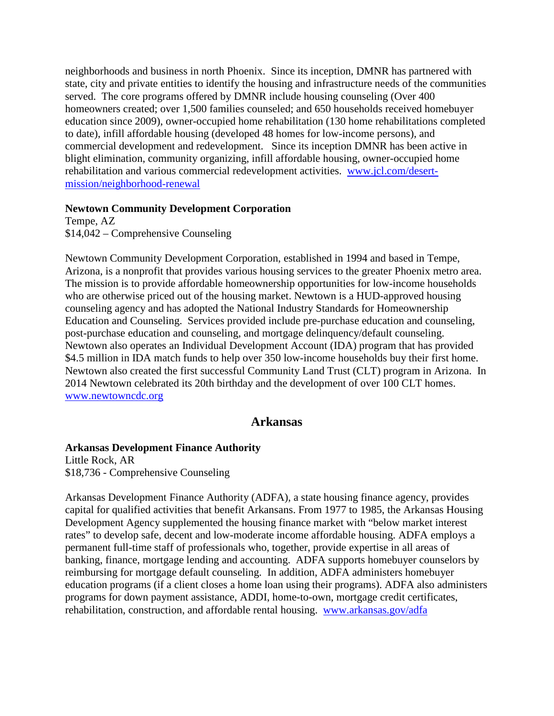neighborhoods and business in north Phoenix. Since its inception, DMNR has partnered with state, city and private entities to identify the housing and infrastructure needs of the communities served. The core programs offered by DMNR include housing counseling (Over 400 homeowners created; over 1,500 families counseled; and 650 households received homebuyer education since 2009), owner-occupied home rehabilitation (130 home rehabilitations completed to date), infill affordable housing (developed 48 homes for low-income persons), and commercial development and redevelopment. Since its inception DMNR has been active in blight elimination, community organizing, infill affordable housing, owner-occupied home rehabilitation and various commercial redevelopment activities. [www.jcl.com/desert](http://www.jcl.com/desert-mission/neighborhood-renewal)[mission/neighborhood-renewal](http://www.jcl.com/desert-mission/neighborhood-renewal)

#### **Newtown Community Development Corporation**

Tempe, AZ \$14,042 – Comprehensive Counseling

Newtown Community Development Corporation, established in 1994 and based in Tempe, Arizona, is a nonprofit that provides various housing services to the greater Phoenix metro area. The mission is to provide affordable homeownership opportunities for low-income households who are otherwise priced out of the housing market. Newtown is a HUD-approved housing counseling agency and has adopted the National Industry Standards for Homeownership Education and Counseling. Services provided include pre-purchase education and counseling, post-purchase education and counseling, and mortgage delinquency/default counseling. Newtown also operates an Individual Development Account (IDA) program that has provided \$4.5 million in IDA match funds to help over 350 low-income households buy their first home. Newtown also created the first successful Community Land Trust (CLT) program in Arizona. In 2014 Newtown celebrated its 20th birthday and the development of over 100 CLT homes. [www.newtowncdc.org](http://www.newtowncdc.org/)

## **Arkansas**

### **Arkansas Development Finance Authority**

Little Rock, AR \$18,736 - Comprehensive Counseling

Arkansas Development Finance Authority (ADFA), a state housing finance agency, provides capital for qualified activities that benefit Arkansans. From 1977 to 1985, the Arkansas Housing Development Agency supplemented the housing finance market with "below market interest rates" to develop safe, decent and low-moderate income affordable housing. ADFA employs a permanent full-time staff of professionals who, together, provide expertise in all areas of banking, finance, mortgage lending and accounting. ADFA supports homebuyer counselors by reimbursing for mortgage default counseling. In addition, ADFA administers homebuyer education programs (if a client closes a home loan using their programs). ADFA also administers programs for down payment assistance, ADDI, home-to-own, mortgage credit certificates, rehabilitation, construction, and affordable rental housing. [www.arkansas.gov/adfa](http://www.arkansas.gov/adfa)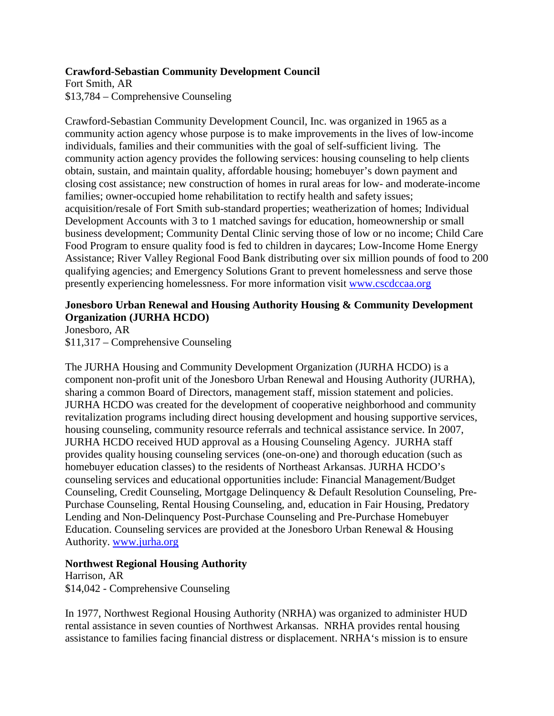### **Crawford-Sebastian Community Development Council**

Fort Smith, AR \$13,784 – Comprehensive Counseling

Crawford-Sebastian Community Development Council, Inc. was organized in 1965 as a community action agency whose purpose is to make improvements in the lives of low-income individuals, families and their communities with the goal of self-sufficient living. The community action agency provides the following services: housing counseling to help clients obtain, sustain, and maintain quality, affordable housing; homebuyer's down payment and closing cost assistance; new construction of homes in rural areas for low- and moderate-income families; owner-occupied home rehabilitation to rectify health and safety issues; acquisition/resale of Fort Smith sub-standard properties; weatherization of homes; Individual Development Accounts with 3 to 1 matched savings for education, homeownership or small business development; Community Dental Clinic serving those of low or no income; Child Care Food Program to ensure quality food is fed to children in daycares; Low-Income Home Energy Assistance; River Valley Regional Food Bank distributing over six million pounds of food to 200 qualifying agencies; and Emergency Solutions Grant to prevent homelessness and serve those presently experiencing homelessness. For more information visit [www.cscdccaa.org](http://www.cscdccaa.org/)

## **Jonesboro Urban Renewal and Housing Authority Housing & Community Development Organization (JURHA HCDO)**

Jonesboro, AR \$11,317 – Comprehensive Counseling

The JURHA Housing and Community Development Organization (JURHA HCDO) is a component non-profit unit of the Jonesboro Urban Renewal and Housing Authority (JURHA), sharing a common Board of Directors, management staff, mission statement and policies. JURHA HCDO was created for the development of cooperative neighborhood and community revitalization programs including direct housing development and housing supportive services, housing counseling, community resource referrals and technical assistance service. In 2007, JURHA HCDO received HUD approval as a Housing Counseling Agency. JURHA staff provides quality housing counseling services (one-on-one) and thorough education (such as homebuyer education classes) to the residents of Northeast Arkansas. JURHA HCDO's counseling services and educational opportunities include: Financial Management/Budget Counseling, Credit Counseling, Mortgage Delinquency & Default Resolution Counseling, Pre-Purchase Counseling, Rental Housing Counseling, and, education in Fair Housing, Predatory Lending and Non-Delinquency Post-Purchase Counseling and Pre-Purchase Homebuyer Education. Counseling services are provided at the Jonesboro Urban Renewal & Housing Authority. [www.jurha.org](http://www.jurha.org/)

### **Northwest Regional Housing Authority**

Harrison, AR \$14,042 - Comprehensive Counseling

In 1977, Northwest Regional Housing Authority (NRHA) was organized to administer HUD rental assistance in seven counties of Northwest Arkansas. NRHA provides rental housing assistance to families facing financial distress or displacement. NRHA's mission is to ensure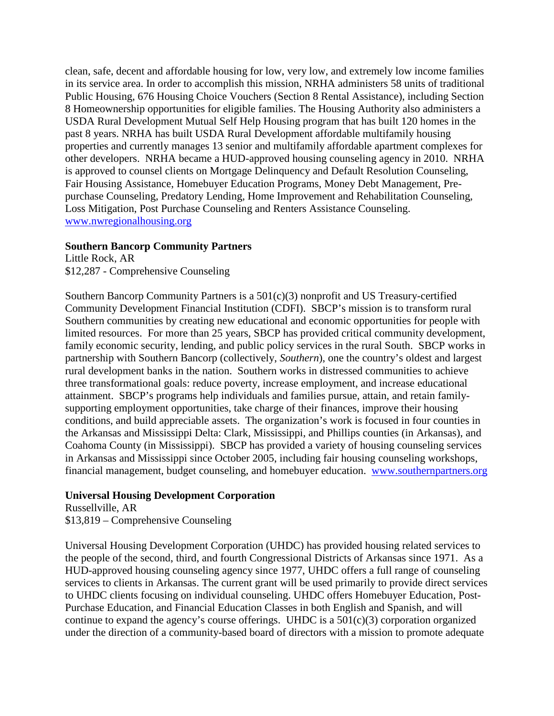clean, safe, decent and affordable housing for low, very low, and extremely low income families in its service area. In order to accomplish this mission, NRHA administers 58 units of traditional Public Housing, 676 Housing Choice Vouchers (Section 8 Rental Assistance), including Section 8 Homeownership opportunities for eligible families. The Housing Authority also administers a USDA Rural Development Mutual Self Help Housing program that has built 120 homes in the past 8 years. NRHA has built USDA Rural Development affordable multifamily housing properties and currently manages 13 senior and multifamily affordable apartment complexes for other developers. NRHA became a HUD-approved housing counseling agency in 2010. NRHA is approved to counsel clients on Mortgage Delinquency and Default Resolution Counseling, Fair Housing Assistance, Homebuyer Education Programs, Money Debt Management, Prepurchase Counseling, Predatory Lending, Home Improvement and Rehabilitation Counseling, Loss Mitigation, Post Purchase Counseling and Renters Assistance Counseling. [www.nwregionalhousing.org](http://www.nwregionalhousing.org/)

#### **Southern Bancorp Community Partners**

Little Rock, AR \$12,287 - Comprehensive Counseling

Southern Bancorp Community Partners is a  $501(c)(3)$  nonprofit and US Treasury-certified Community Development Financial Institution (CDFI). SBCP's mission is to transform rural Southern communities by creating new educational and economic opportunities for people with limited resources. For more than 25 years, SBCP has provided critical community development, family economic security, lending, and public policy services in the rural South. SBCP works in partnership with Southern Bancorp (collectively, *Southern*), one the country's oldest and largest rural development banks in the nation. Southern works in distressed communities to achieve three transformational goals: reduce poverty, increase employment, and increase educational attainment. SBCP's programs help individuals and families pursue, attain, and retain familysupporting employment opportunities, take charge of their finances, improve their housing conditions, and build appreciable assets. The organization's work is focused in four counties in the Arkansas and Mississippi Delta: Clark, Mississippi, and Phillips counties (in Arkansas), and Coahoma County (in Mississippi). SBCP has provided a variety of housing counseling services in Arkansas and Mississippi since October 2005, including fair housing counseling workshops, financial management, budget counseling, and homebuyer education. [www.southernpartners.org](http://www.southernpartners.org/)

### **Universal Housing Development Corporation**

Russellville, AR \$13,819 – Comprehensive Counseling

Universal Housing Development Corporation (UHDC) has provided housing related services to the people of the second, third, and fourth Congressional Districts of Arkansas since 1971. As a HUD-approved housing counseling agency since 1977, UHDC offers a full range of counseling services to clients in Arkansas. The current grant will be used primarily to provide direct services to UHDC clients focusing on individual counseling. UHDC offers Homebuyer Education, Post-Purchase Education, and Financial Education Classes in both English and Spanish, and will continue to expand the agency's course offerings. UHDC is a 501(c)(3) corporation organized under the direction of a community-based board of directors with a mission to promote adequate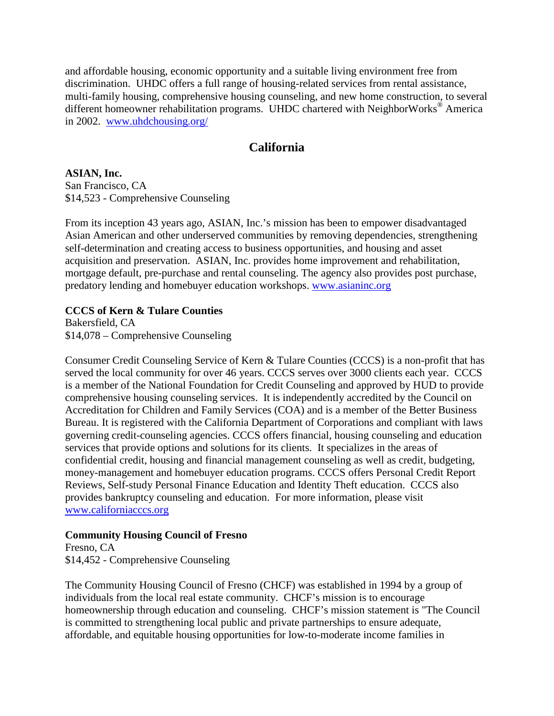and affordable housing, economic opportunity and a suitable living environment free from discrimination. UHDC offers a full range of housing-related services from rental assistance, multi-family housing, comprehensive housing counseling, and new home construction, to several different homeowner rehabilitation programs. UHDC chartered with NeighborWorks® America in 2002. [www.uhdchousing.org/](http://www.uhdchousing.org/)

## **California**

**ASIAN, Inc.** San Francisco, CA

\$14,523 - Comprehensive Counseling

From its inception 43 years ago, ASIAN, Inc.'s mission has been to empower disadvantaged Asian American and other underserved communities by removing dependencies, strengthening self-determination and creating access to business opportunities, and housing and asset acquisition and preservation. ASIAN, Inc. provides home improvement and rehabilitation, mortgage default, pre-purchase and rental counseling. The agency also provides post purchase, predatory lending and homebuyer education workshops. [www.asianinc.org](http://www.asianinc.org/)

## **CCCS of Kern & Tulare Counties**

Bakersfield, CA \$14,078 – Comprehensive Counseling

Consumer Credit Counseling Service of Kern & Tulare Counties (CCCS) is a non-profit that has served the local community for over 46 years. CCCS serves over 3000 clients each year. CCCS is a member of the National Foundation for Credit Counseling and approved by HUD to provide comprehensive housing counseling services. It is independently accredited by the Council on Accreditation for Children and Family Services (COA) and is a member of the Better Business Bureau. It is registered with the California Department of Corporations and compliant with laws governing credit-counseling agencies. CCCS offers financial, housing counseling and education services that provide options and solutions for its clients. It specializes in the areas of confidential credit, housing and financial management counseling as well as credit, budgeting, money-management and homebuyer education programs. CCCS offers Personal Credit Report Reviews, Self-study Personal Finance Education and Identity Theft education. CCCS also provides bankruptcy counseling and education. For more information, please visit [www.californiacccs.org](http://www.californiacccs.org/)

### **Community Housing Council of Fresno**

Fresno, CA \$14,452 - Comprehensive Counseling

The Community Housing Council of Fresno (CHCF) was established in 1994 by a group of individuals from the local real estate community. CHCF's mission is to encourage homeownership through education and counseling. CHCF's mission statement is "The Council is committed to strengthening local public and private partnerships to ensure adequate, affordable, and equitable housing opportunities for low-to-moderate income families in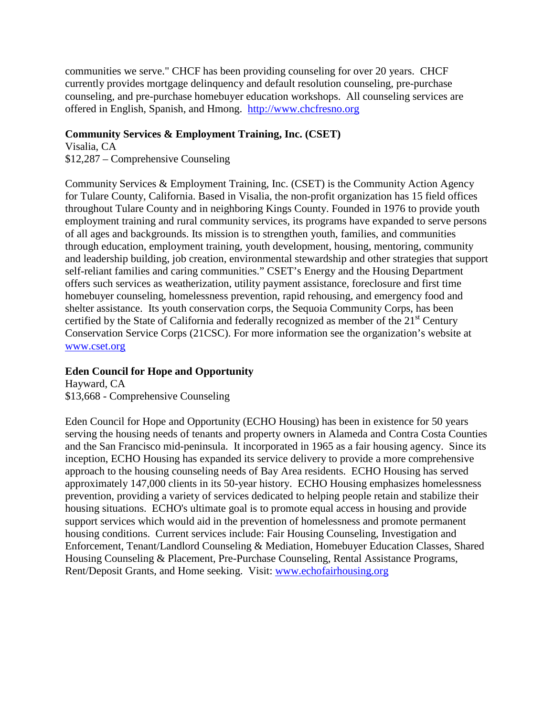communities we serve." CHCF has been providing counseling for over 20 years. CHCF currently provides mortgage delinquency and default resolution counseling, pre-purchase counseling, and pre-purchase homebuyer education workshops. All counseling services are offered in English, Spanish, and Hmong. [http://www.chcfresno.org](http://www.chcfresno.org/)

### **Community Services & Employment Training, Inc. (CSET)**

Visalia, CA \$12,287 – Comprehensive Counseling

Community Services & Employment Training, Inc. (CSET) is the Community Action Agency for Tulare County, California. Based in Visalia, the non-profit organization has 15 field offices throughout Tulare County and in neighboring Kings County. Founded in 1976 to provide youth employment training and rural community services, its programs have expanded to serve persons of all ages and backgrounds. Its mission is to strengthen youth, families, and communities through education, employment training, youth development, housing, mentoring, community and leadership building, job creation, environmental stewardship and other strategies that support self-reliant families and caring communities." CSET's Energy and the Housing Department offers such services as weatherization, utility payment assistance, foreclosure and first time homebuyer counseling, homelessness prevention, rapid rehousing, and emergency food and shelter assistance. Its youth conservation corps, the Sequoia Community Corps, has been certified by the State of California and federally recognized as member of the  $21<sup>st</sup>$  Century Conservation Service Corps (21CSC). For more information see the organization's website at [www.cset.org](http://www.cset.org/)

### **Eden Council for Hope and Opportunity**

Hayward, CA \$13,668 - Comprehensive Counseling

Eden Council for Hope and Opportunity (ECHO Housing) has been in existence for 50 years serving the housing needs of tenants and property owners in Alameda and Contra Costa Counties and the San Francisco mid-peninsula. It incorporated in 1965 as a fair housing agency. Since its inception, ECHO Housing has expanded its service delivery to provide a more comprehensive approach to the housing counseling needs of Bay Area residents. ECHO Housing has served approximately 147,000 clients in its 50-year history. ECHO Housing emphasizes homelessness prevention*,* providing a variety of services dedicated to helping people retain and stabilize their housing situations. ECHO's ultimate goal is to promote equal access in housing and provide support services which would aid in the prevention of homelessness and promote permanent housing conditions. Current services include: Fair Housing Counseling, Investigation and Enforcement, Tenant/Landlord Counseling & Mediation, Homebuyer Education Classes, Shared Housing Counseling & Placement, Pre-Purchase Counseling, Rental Assistance Programs, Rent/Deposit Grants, and Home seeking. Visit: [www.echofairhousing.org](http://www.echofairhousing.org/)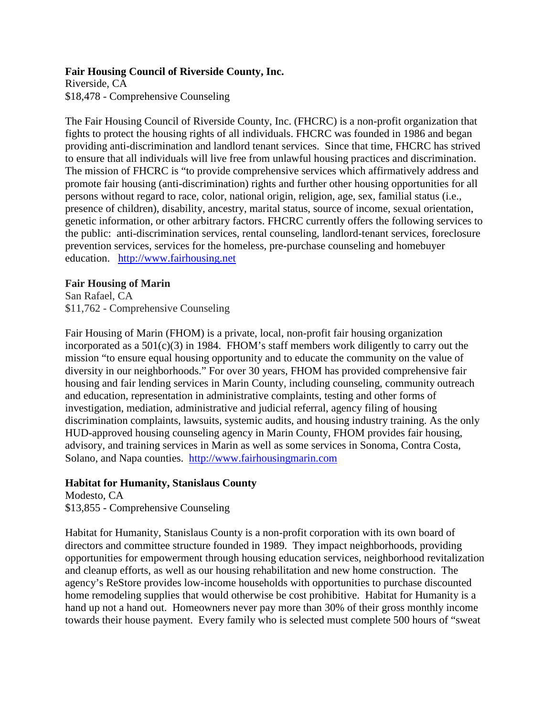### **Fair Housing Council of Riverside County, Inc.**

Riverside, CA \$18,478 - Comprehensive Counseling

The Fair Housing Council of Riverside County, Inc. (FHCRC) is a non-profit organization that fights to protect the housing rights of all individuals. FHCRC was founded in 1986 and began providing anti-discrimination and landlord tenant services. Since that time, FHCRC has strived to ensure that all individuals will live free from unlawful housing practices and discrimination. The mission of FHCRC is "to provide comprehensive services which affirmatively address and promote fair housing (anti-discrimination) rights and further other housing opportunities for all persons without regard to race, color, national origin, religion, age, sex, familial status (i.e., presence of children), disability, ancestry, marital status, source of income, sexual orientation, genetic information, or other arbitrary factors. FHCRC currently offers the following services to the public: anti-discrimination services, rental counseling, landlord-tenant services, foreclosure prevention services, services for the homeless, pre-purchase counseling and homebuyer education. [http://www.fairhousing.net](http://www.fairhousing.net/)

### **Fair Housing of Marin**

San Rafael, CA \$11,762 - Comprehensive Counseling

Fair Housing of Marin (FHOM) is a private, local, non-profit fair housing organization incorporated as a  $501(c)(3)$  in 1984. FHOM's staff members work diligently to carry out the mission "to ensure equal housing opportunity and to educate the community on the value of diversity in our neighborhoods." For over 30 years, FHOM has provided comprehensive fair housing and fair lending services in Marin County, including counseling, community outreach and education, representation in administrative complaints, testing and other forms of investigation, mediation, administrative and judicial referral, agency filing of housing discrimination complaints, lawsuits, systemic audits, and housing industry training. As the only HUD-approved housing counseling agency in Marin County, FHOM provides fair housing, advisory, and training services in Marin as well as some services in Sonoma, Contra Costa, Solano, and Napa counties. [http://www.fairhousingmarin.com](http://www.fairhousingmarin.com/)

## **Habitat for Humanity, Stanislaus County**

Modesto, CA \$13,855 - Comprehensive Counseling

Habitat for Humanity, Stanislaus County is a non-profit corporation with its own board of directors and committee structure founded in 1989. They impact neighborhoods, providing opportunities for empowerment through housing education services, neighborhood revitalization and cleanup efforts, as well as our housing rehabilitation and new home construction. The agency's ReStore provides low-income households with opportunities to purchase discounted home remodeling supplies that would otherwise be cost prohibitive. Habitat for Humanity is a hand up not a hand out. Homeowners never pay more than 30% of their gross monthly income towards their house payment. Every family who is selected must complete 500 hours of "sweat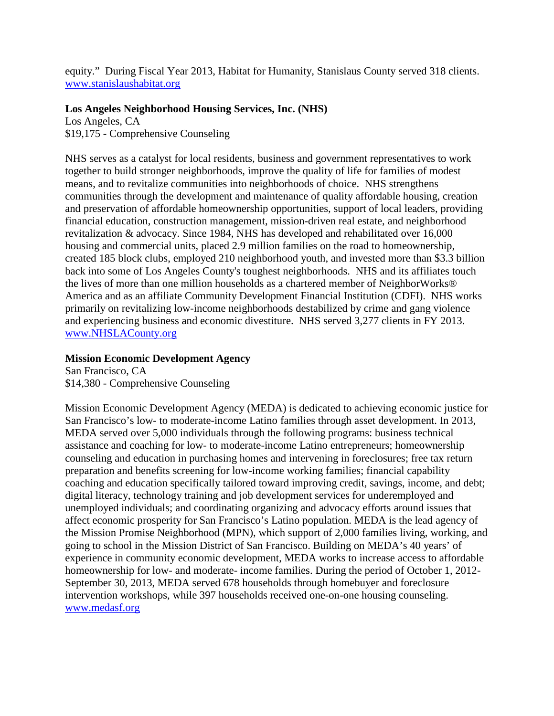equity." During Fiscal Year 2013, Habitat for Humanity, Stanislaus County served 318 clients. [www.stanislaushabitat.org](http://www.stanislaushabitat.org/)

### **Los Angeles Neighborhood Housing Services, Inc. (NHS)**

Los Angeles, CA \$19,175 - Comprehensive Counseling

NHS serves as a catalyst for local residents, business and government representatives to work together to build stronger neighborhoods, improve the quality of life for families of modest means, and to revitalize communities into neighborhoods of choice. NHS strengthens communities through the development and maintenance of quality affordable housing, creation and preservation of affordable homeownership opportunities, support of local leaders, providing financial education, construction management, mission-driven real estate, and neighborhood revitalization & advocacy. Since 1984, NHS has developed and rehabilitated over 16,000 housing and commercial units, placed 2.9 million families on the road to homeownership, created 185 block clubs, employed 210 neighborhood youth, and invested more than \$3.3 billion back into some of Los Angeles County's toughest neighborhoods. NHS and its affiliates touch the lives of more than one million households as a chartered member of NeighborWorks® America and as an affiliate Community Development Financial Institution (CDFI). NHS works primarily on revitalizing low-income neighborhoods destabilized by crime and gang violence and experiencing business and economic divestiture. NHS served 3,277 clients in FY 2013. [www.NHSLACounty.org](http://www.nhslacounty.org/)

## **Mission Economic Development Agency**

San Francisco, CA \$14,380 - Comprehensive Counseling

Mission Economic Development Agency (MEDA) is dedicated to achieving economic justice for San Francisco's low- to moderate-income Latino families through asset development. In 2013, MEDA served over 5,000 individuals through the following programs: business technical assistance and coaching for low- to moderate-income Latino entrepreneurs; homeownership counseling and education in purchasing homes and intervening in foreclosures; free tax return preparation and benefits screening for low-income working families; financial capability coaching and education specifically tailored toward improving credit, savings, income, and debt; digital literacy, technology training and job development services for underemployed and unemployed individuals; and coordinating organizing and advocacy efforts around issues that affect economic prosperity for San Francisco's Latino population. MEDA is the lead agency of the Mission Promise Neighborhood (MPN), which support of 2,000 families living, working, and going to school in the Mission District of San Francisco. Building on MEDA's 40 years' of experience in community economic development, MEDA works to increase access to affordable homeownership for low- and moderate- income families. During the period of October 1, 2012- September 30, 2013, MEDA served 678 households through homebuyer and foreclosure intervention workshops, while 397 households received one-on-one housing counseling. [www.medasf.org](http://www.medasf.org/)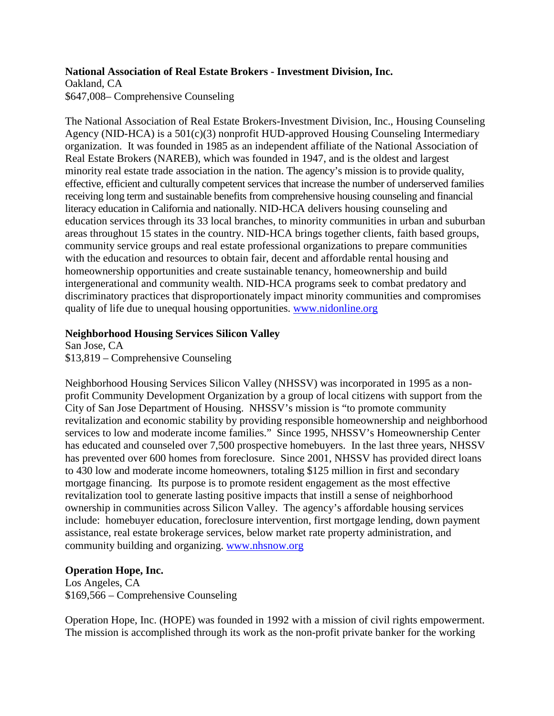#### **National Association of Real Estate Brokers - Investment Division, Inc.**

Oakland, CA

\$647,008– Comprehensive Counseling

The National Association of Real Estate Brokers-Investment Division, Inc., Housing Counseling Agency (NID-HCA) is a 501(c)(3) nonprofit HUD-approved Housing Counseling Intermediary organization. It was founded in 1985 as an independent affiliate of the National Association of Real Estate Brokers (NAREB), which was founded in 1947, and is the oldest and largest minority real estate trade association in the nation. The agency's mission is to provide quality, effective, efficient and culturally competent services that increase the number of underserved families receiving long term and sustainable benefits from comprehensive housing counseling and financial literacy education in California and nationally. NID-HCA delivers housing counseling and education services through its 33 local branches, to minority communities in urban and suburban areas throughout 15 states in the country. NID-HCA brings together clients, faith based groups, community service groups and real estate professional organizations to prepare communities with the education and resources to obtain fair, decent and affordable rental housing and homeownership opportunities and create sustainable tenancy, homeownership and build intergenerational and community wealth. NID-HCA programs seek to combat predatory and discriminatory practices that disproportionately impact minority communities and compromises quality of life due to unequal housing opportunities. [www.nidonline.org](http://www.nidonline.org/)

## **Neighborhood Housing Services Silicon Valley**

San Jose, CA \$13,819 – Comprehensive Counseling

Neighborhood Housing Services Silicon Valley (NHSSV) was incorporated in 1995 as a nonprofit Community Development Organization by a group of local citizens with support from the City of San Jose Department of Housing. NHSSV's mission is "to promote community revitalization and economic stability by providing responsible homeownership and neighborhood services to low and moderate income families." Since 1995, NHSSV's Homeownership Center has educated and counseled over 7,500 prospective homebuyers. In the last three years, NHSSV has prevented over 600 homes from foreclosure. Since 2001, NHSSV has provided direct loans to 430 low and moderate income homeowners, totaling \$125 million in first and secondary mortgage financing. Its purpose is to promote resident engagement as the most effective revitalization tool to generate lasting positive impacts that instill a sense of neighborhood ownership in communities across Silicon Valley. The agency's affordable housing services include: homebuyer education, foreclosure intervention, first mortgage lending, down payment assistance, real estate brokerage services, below market rate property administration, and community building and organizing. [www.nhsnow.org](http://www.nhsnow.org/)

# **Operation Hope, Inc.**

Los Angeles, CA \$169,566 – Comprehensive Counseling

Operation Hope, Inc. (HOPE) was founded in 1992 with a mission of civil rights empowerment. The mission is accomplished through its work as the non-profit private banker for the working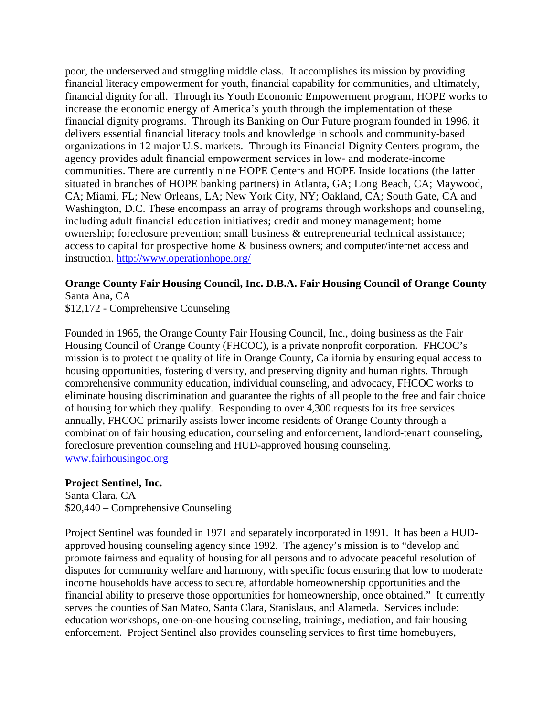poor, the underserved and struggling middle class. It accomplishes its mission by providing financial literacy empowerment for youth, financial capability for communities, and ultimately, financial dignity for all. Through its Youth Economic Empowerment program, HOPE works to increase the economic energy of America's youth through the implementation of these financial dignity programs. Through its Banking on Our Future program founded in 1996, it delivers essential financial literacy tools and knowledge in schools and community-based organizations in 12 major U.S. markets. Through its Financial Dignity Centers program, the agency provides adult financial empowerment services in low- and moderate-income communities. There are currently nine HOPE Centers and HOPE Inside locations (the latter situated in branches of HOPE banking partners) in Atlanta, GA; Long Beach, CA; Maywood, CA; Miami, FL; New Orleans, LA; New York City, NY; Oakland, CA; South Gate, CA and Washington, D.C. These encompass an array of programs through workshops and counseling, including adult financial education initiatives; credit and money management; home ownership; foreclosure prevention; small business & entrepreneurial technical assistance; access to capital for prospective home & business owners; and computer/internet access and instruction. <http://www.operationhope.org/>

### **Orange County Fair Housing Council, Inc. D.B.A. Fair Housing Council of Orange County** Santa Ana, CA

\$12,172 - Comprehensive Counseling

Founded in 1965, the Orange County Fair Housing Council, Inc., doing business as the Fair Housing Council of Orange County (FHCOC), is a private nonprofit corporation. FHCOC's mission is to protect the quality of life in Orange County, California by ensuring equal access to housing opportunities, fostering diversity, and preserving dignity and human rights. Through comprehensive community education, individual counseling, and advocacy, FHCOC works to eliminate housing discrimination and guarantee the rights of all people to the free and fair choice of housing for which they qualify. Responding to over 4,300 requests for its free services annually, FHCOC primarily assists lower income residents of Orange County through a combination of fair housing education, counseling and enforcement, landlord-tenant counseling, foreclosure prevention counseling and HUD-approved housing counseling. [www.fairhousingoc.org](http://www.fairhousingoc.org/)

## **Project Sentinel, Inc.**

Santa Clara, CA \$20,440 – Comprehensive Counseling

Project Sentinel was founded in 1971 and separately incorporated in 1991. It has been a HUDapproved housing counseling agency since 1992. The agency's mission is to "develop and promote fairness and equality of housing for all persons and to advocate peaceful resolution of disputes for community welfare and harmony, with specific focus ensuring that low to moderate income households have access to secure, affordable homeownership opportunities and the financial ability to preserve those opportunities for homeownership, once obtained." It currently serves the counties of San Mateo, Santa Clara, Stanislaus, and Alameda. Services include: education workshops, one-on-one housing counseling, trainings, mediation, and fair housing enforcement. Project Sentinel also provides counseling services to first time homebuyers,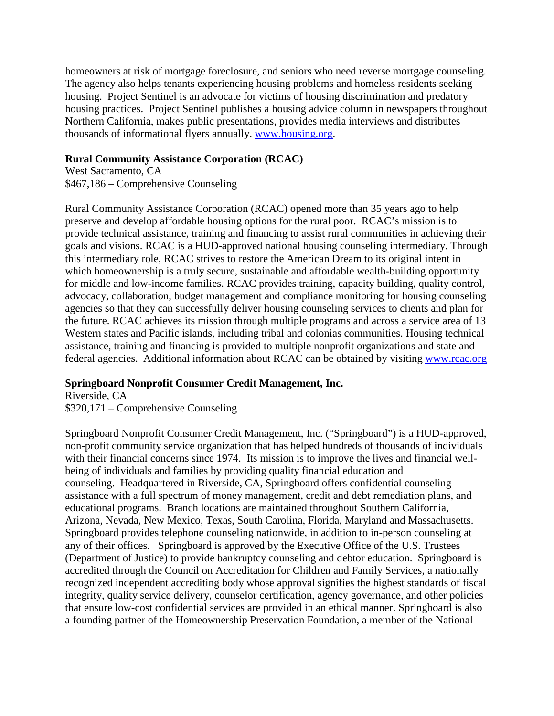homeowners at risk of mortgage foreclosure, and seniors who need reverse mortgage counseling. The agency also helps tenants experiencing housing problems and homeless residents seeking housing. Project Sentinel is an advocate for victims of housing discrimination and predatory housing practices. Project Sentinel publishes a housing advice column in newspapers throughout Northern California, makes public presentations, provides media interviews and distributes thousands of informational flyers annually. [www.housing.org.](http://www.housing.org/)

### **Rural Community Assistance Corporation (RCAC)**

West Sacramento, CA \$467,186 – Comprehensive Counseling

Rural Community Assistance Corporation (RCAC) opened more than 35 years ago to help preserve and develop affordable housing options for the rural poor. RCAC's mission is to provide technical assistance, training and financing to assist rural communities in achieving their goals and visions. RCAC is a HUD-approved national housing counseling intermediary. Through this intermediary role, RCAC strives to restore the American Dream to its original intent in which homeownership is a truly secure, sustainable and affordable wealth-building opportunity for middle and low-income families. RCAC provides training, capacity building, quality control, advocacy, collaboration, budget management and compliance monitoring for housing counseling agencies so that they can successfully deliver housing counseling services to clients and plan for the future. RCAC achieves its mission through multiple programs and across a service area of 13 Western states and Pacific islands, including tribal and colonias communities. Housing technical assistance, training and financing is provided to multiple nonprofit organizations and state and federal agencies. Additional information about RCAC can be obtained by visiting [www.rcac.org](http://www.rcac.org/)

## **Springboard Nonprofit Consumer Credit Management, Inc.**

Riverside, CA \$320,171 – Comprehensive Counseling

Springboard Nonprofit Consumer Credit Management, Inc. ("Springboard") is a HUD-approved, non-profit community service organization that has helped hundreds of thousands of individuals with their financial concerns since 1974. Its mission is to improve the lives and financial wellbeing of individuals and families by providing quality financial education and counseling. Headquartered in Riverside, CA, Springboard offers confidential counseling assistance with a full spectrum of money management, credit and debt remediation plans, and educational programs. Branch locations are maintained throughout Southern California, Arizona, Nevada, New Mexico, Texas, South Carolina, Florida, Maryland and Massachusetts. Springboard provides telephone counseling nationwide, in addition to in-person counseling at any of their offices. Springboard is approved by the Executive Office of the U.S. Trustees (Department of Justice) to provide bankruptcy counseling and debtor education. Springboard is accredited through the Council on Accreditation for Children and Family Services, a nationally recognized independent accrediting body whose approval signifies the highest standards of fiscal integrity, quality service delivery, counselor certification, agency governance, and other policies that ensure low-cost confidential services are provided in an ethical manner. Springboard is also a founding partner of the Homeownership Preservation Foundation, a member of the National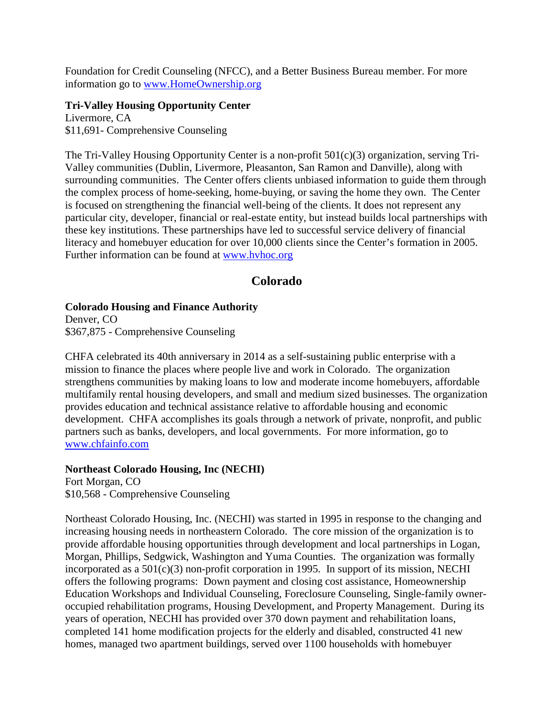Foundation for Credit Counseling (NFCC), and a Better Business Bureau member. For more information go to [www.HomeOwnership.org](http://www.homeownership.org/)

### **Tri-Valley Housing Opportunity Center**

Livermore, CA \$11,691- Comprehensive Counseling

The Tri-Valley Housing Opportunity Center is a non-profit 501(c)(3) organization, serving Tri-Valley communities (Dublin, Livermore, Pleasanton, San Ramon and Danville), along with surrounding communities. The Center offers clients unbiased information to guide them through the complex process of home-seeking, home-buying, or saving the home they own. The Center is focused on strengthening the financial well-being of the clients. It does not represent any particular city, developer, financial or real-estate entity, but instead builds local partnerships with these key institutions. These partnerships have led to successful service delivery of financial literacy and homebuyer education for over 10,000 clients since the Center's formation in 2005. Further information can be found at [www.hvhoc.org](http://www.hvhoc.org/)

# **Colorado**

### **Colorado Housing and Finance Authority**

Denver, CO \$367,875 - Comprehensive Counseling

CHFA celebrated its 40th anniversary in 2014 as a self-sustaining public enterprise with a mission to finance the places where people live and work in Colorado. The organization strengthens communities by making loans to low and moderate income homebuyers, affordable multifamily rental housing developers, and small and medium sized businesses. The organization provides education and technical assistance relative to affordable housing and economic development. CHFA accomplishes its goals through a network of private, nonprofit, and public partners such as banks, developers, and local governments. For more information, go to [www.chfainfo.com](http://www.chfainfo.com/)

## **Northeast Colorado Housing, Inc (NECHI)**

Fort Morgan, CO \$10,568 - Comprehensive Counseling

Northeast Colorado Housing, Inc. (NECHI) was started in 1995 in response to the changing and increasing housing needs in northeastern Colorado. The core mission of the organization is to provide affordable housing opportunities through development and local partnerships in Logan, Morgan, Phillips, Sedgwick, Washington and Yuma Counties. The organization was formally incorporated as a 501(c)(3) non-profit corporation in 1995. In support of its mission, NECHI offers the following programs: Down payment and closing cost assistance, Homeownership Education Workshops and Individual Counseling, Foreclosure Counseling, Single-family owneroccupied rehabilitation programs, Housing Development, and Property Management. During its years of operation, NECHI has provided over 370 down payment and rehabilitation loans, completed 141 home modification projects for the elderly and disabled, constructed 41 new homes, managed two apartment buildings, served over 1100 households with homebuyer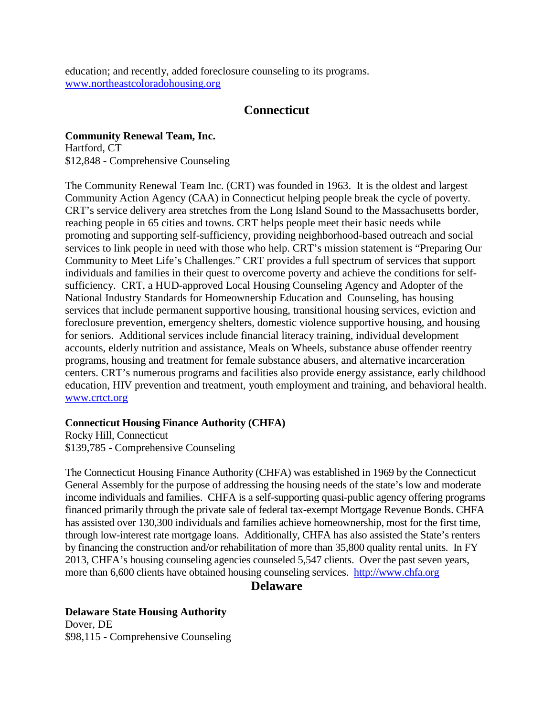education; and recently, added foreclosure counseling to its programs. [www.northeastcoloradohousing.org](http://www.northeastcoloradohousing.org/)

## **Connecticut**

**Community Renewal Team, Inc.** Hartford, CT \$12,848 - Comprehensive Counseling

The Community Renewal Team Inc. (CRT) was founded in 1963. It is the oldest and largest Community Action Agency (CAA) in Connecticut helping people break the cycle of poverty. CRT's service delivery area stretches from the Long Island Sound to the Massachusetts border, reaching people in 65 cities and towns. CRT helps people meet their basic needs while promoting and supporting self-sufficiency, providing neighborhood-based outreach and social services to link people in need with those who help. CRT's mission statement is "Preparing Our Community to Meet Life's Challenges." CRT provides a full spectrum of services that support individuals and families in their quest to overcome poverty and achieve the conditions for selfsufficiency. CRT, a HUD-approved Local Housing Counseling Agency and Adopter of the National Industry Standards for Homeownership Education and Counseling, has housing services that include permanent supportive housing, transitional housing services, eviction and foreclosure prevention, emergency shelters, domestic violence supportive housing, and housing for seniors. Additional services include financial literacy training, individual development accounts, elderly nutrition and assistance, Meals on Wheels, substance abuse offender reentry programs, housing and treatment for female substance abusers, and alternative incarceration centers. CRT's numerous programs and facilities also provide energy assistance, early childhood education, HIV prevention and treatment, youth employment and training, and behavioral health. [www.crtct.org](http://www.crtct.org/)

### **Connecticut Housing Finance Authority (CHFA)**

Rocky Hill, Connecticut \$139,785 - Comprehensive Counseling

The Connecticut Housing Finance Authority (CHFA) was established in 1969 by the Connecticut General Assembly for the purpose of addressing the housing needs of the state's low and moderate income individuals and families. CHFA is a self-supporting quasi-public agency offering programs financed primarily through the private sale of federal tax-exempt Mortgage Revenue Bonds. CHFA has assisted over 130,300 individuals and families achieve homeownership, most for the first time, through low-interest rate mortgage loans. Additionally, CHFA has also assisted the State's renters by financing the construction and/or rehabilitation of more than 35,800 quality rental units. In FY 2013, CHFA's housing counseling agencies counseled 5,547 clients. Over the past seven years, more than 6,600 clients have obtained housing counseling services. [http://www.chfa.org](http://www.chfa.org/)

## **Delaware**

**Delaware State Housing Authority** Dover, DE \$98,115 - Comprehensive Counseling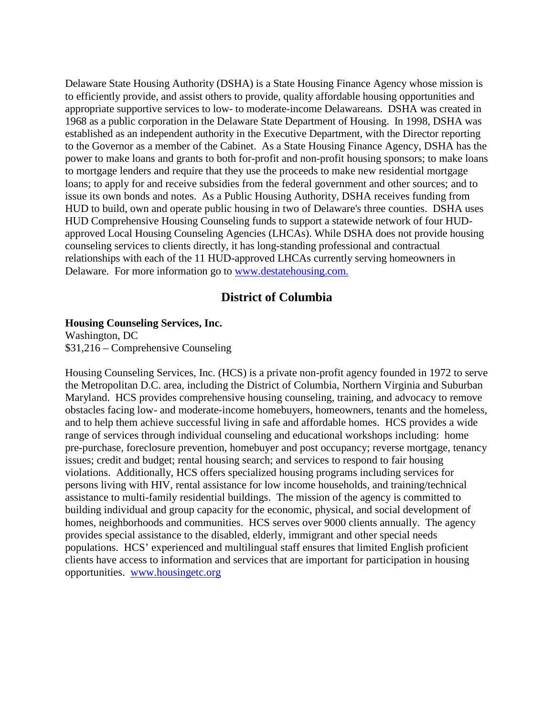Delaware State Housing Authority (DSHA) is a State Housing Finance Agency whose mission is to efficiently provide, and assist others to provide, quality affordable housing opportunities and appropriate supportive services to low- to moderate-income Delawareans. DSHA was created in 1968 as a public corporation in the Delaware State Department of Housing. In 1998, DSHA was established as an independent authority in the Executive Department, with the Director reporting to the Governor as a member of the Cabinet. As a State Housing Finance Agency, DSHA has the power to make loans and grants to both for-profit and non-profit housing sponsors; to make loans to mortgage lenders and require that they use the proceeds to make new residential mortgage loans; to apply for and receive subsidies from the federal government and other sources; and to issue its own bonds and notes. As a Public Housing Authority, DSHA receives funding from HUD to build, own and operate public housing in two of Delaware's three counties. DSHA uses HUD Comprehensive Housing Counseling funds to support a statewide network of four HUDapproved Local Housing Counseling Agencies (LHCAs). While DSHA does not provide housing counseling services to clients directly, it has long-standing professional and contractual relationships with each of the 11 HUD-approved LHCAs currently serving homeowners in Delaware. For more information go to [www.destatehousing.com](http://www.destatehousing.com/).

## **District of Columbia**

#### **Housing Counseling Services, Inc.**

Washington, DC \$31,216 – Comprehensive Counseling

Housing Counseling Services, Inc. (HCS) is a private non-profit agency founded in 1972 to serve the Metropolitan D.C. area, including the District of Columbia, Northern Virginia and Suburban Maryland. HCS provides comprehensive housing counseling, training, and advocacy to remove obstacles facing low- and moderate-income homebuyers, homeowners, tenants and the homeless, and to help them achieve successful living in safe and affordable homes. HCS provides a wide range of services through individual counseling and educational workshops including: home pre-purchase, foreclosure prevention, homebuyer and post occupancy; reverse mortgage, tenancy issues; credit and budget; rental housing search; and services to respond to fair housing violations. Additionally, HCS offers specialized housing programs including services for persons living with HIV, rental assistance for low income households, and training/technical assistance to multi-family residential buildings. The mission of the agency is committed to building individual and group capacity for the economic, physical, and social development of homes, neighborhoods and communities. HCS serves over 9000 clients annually. The agency provides special assistance to the disabled, elderly, immigrant and other special needs populations. HCS' experienced and multilingual staff ensures that limited English proficient clients have access to information and services that are important for participation in housing opportunities. [www.housingetc.org](http://www.housingetc.org/)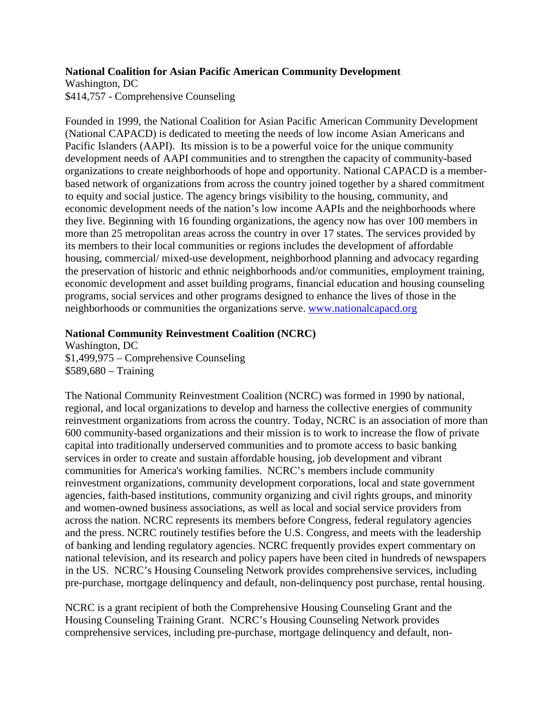#### **National Coalition for Asian Pacific American Community Development**

Washington, DC \$414,757 - Comprehensive Counseling

Founded in 1999, the National Coalition for Asian Pacific American Community Development (National CAPACD) is dedicated to meeting the needs of low income Asian Americans and Pacific Islanders (AAPI). Its mission is to be a powerful voice for the unique community development needs of AAPI communities and to strengthen the capacity of community-based organizations to create neighborhoods of hope and opportunity. National CAPACD is a memberbased network of organizations from across the country joined together by a shared commitment to equity and social justice. The agency brings visibility to the housing, community, and economic development needs of the nation's low income AAPIs and the neighborhoods where they live. Beginning with 16 founding organizations, the agency now has over 100 members in more than 25 metropolitan areas across the country in over 17 states. The services provided by its members to their local communities or regions includes the development of affordable housing, commercial/ mixed-use development, neighborhood planning and advocacy regarding the preservation of historic and ethnic neighborhoods and/or communities, employment training, economic development and asset building programs, financial education and housing counseling programs, social services and other programs designed to enhance the lives of those in the neighborhoods or communities the organizations serve. [www.nationalcapacd.org](http://www.nationalcapacd.org/)

### **National Community Reinvestment Coalition (NCRC)**

Washington, DC \$1,499,975 – Comprehensive Counseling \$589,680 – Training

The National Community Reinvestment Coalition (NCRC) was formed in 1990 by national, regional, and local organizations to develop and harness the collective energies of community reinvestment organizations from across the country. Today, NCRC is an association of more than 600 community-based organizations and their mission is to work to increase the flow of private capital into traditionally underserved communities and to promote access to basic banking services in order to create and sustain affordable housing, job development and vibrant communities for America's working families. NCRC's members include community reinvestment organizations, community development corporations, local and state government agencies, faith-based institutions, community organizing and civil rights groups, and minority and women-owned business associations, as well as local and social service providers from across the nation. NCRC represents its members before Congress, federal regulatory agencies and the press. NCRC routinely testifies before the U.S. Congress, and meets with the leadership of banking and lending regulatory agencies. NCRC frequently provides expert commentary on national television, and its research and policy papers have been cited in hundreds of newspapers in the US. NCRC's Housing Counseling Network provides comprehensive services, including pre-purchase, mortgage delinquency and default, non-delinquency post purchase, rental housing.

NCRC is a grant recipient of both the Comprehensive Housing Counseling Grant and the Housing Counseling Training Grant. NCRC's Housing Counseling Network provides comprehensive services, including pre-purchase, mortgage delinquency and default, non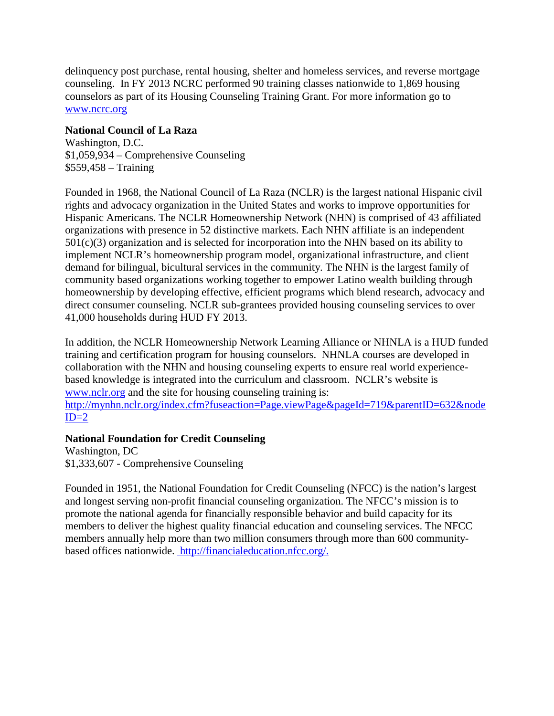delinquency post purchase, rental housing, shelter and homeless services, and reverse mortgage counseling. In FY 2013 NCRC performed 90 training classes nationwide to 1,869 housing counselors as part of its Housing Counseling Training Grant. For more information go to [www.ncrc.org](http://www.ncrc.org/)

### **National Council of La Raza**

Washington, D.C. \$1,059,934 – Comprehensive Counseling \$559,458 – Training

Founded in 1968, the National Council of La Raza (NCLR) is the largest national Hispanic civil rights and advocacy organization in the United States and works to improve opportunities for Hispanic Americans. The NCLR Homeownership Network (NHN) is comprised of 43 affiliated organizations with presence in 52 distinctive markets. Each NHN affiliate is an independent 501(c)(3) organization and is selected for incorporation into the NHN based on its ability to implement NCLR's homeownership program model, organizational infrastructure, and client demand for bilingual, bicultural services in the community. The NHN is the largest family of community based organizations working together to empower Latino wealth building through homeownership by developing effective, efficient programs which blend research, advocacy and direct consumer counseling. NCLR sub-grantees provided housing counseling services to over 41,000 households during HUD FY 2013.

In addition, the NCLR Homeownership Network Learning Alliance or NHNLA is a HUD funded training and certification program for housing counselors. NHNLA courses are developed in collaboration with the NHN and housing counseling experts to ensure real world experiencebased knowledge is integrated into the curriculum and classroom. NCLR's website is [www.nclr.org](http://www.nclr.org/) and the site for housing counseling training is: [http://mynhn.nclr.org/index.cfm?fuseaction=Page.viewPage&pageId=719&parentID=632&node](http://mynhn.nclr.org/index.cfm?fuseaction=Page.viewPage&pageId=719&parentID=632&nodeID=2)  $ID=2$ 

### **National Foundation for Credit Counseling**

Washington, DC \$1,333,607 - Comprehensive Counseling

Founded in 1951, the National Foundation for Credit Counseling (NFCC) is the nation's largest and longest serving non-profit financial counseling organization. The NFCC's mission is to promote the national agenda for financially responsible behavior and build capacity for its members to deliver the highest quality financial education and counseling services. The NFCC members annually help more than two million consumers through more than 600 communitybased offices nationwide. http://financialeducation.nfcc.org/.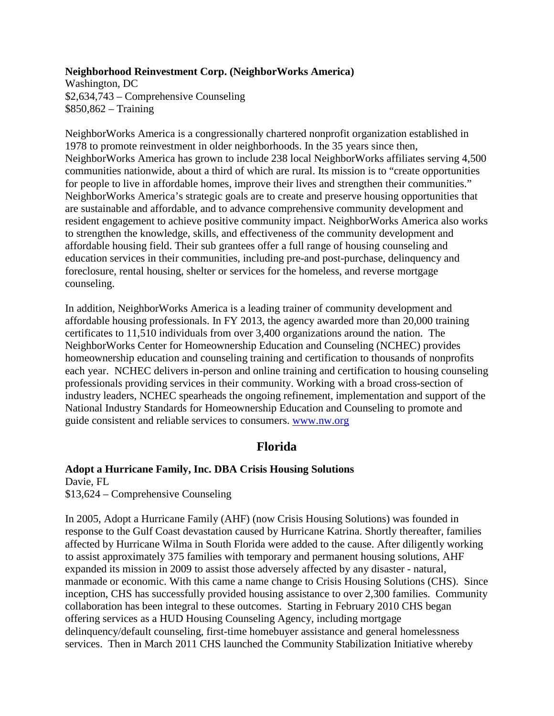#### **Neighborhood Reinvestment Corp. (NeighborWorks America)**

Washington, DC \$2,634,743 – Comprehensive Counseling \$850,862 – Training

NeighborWorks America is a congressionally chartered nonprofit organization established in 1978 to promote reinvestment in older neighborhoods. In the 35 years since then, NeighborWorks America has grown to include 238 local NeighborWorks affiliates serving 4,500 communities nationwide, about a third of which are rural. Its mission is to "create opportunities for people to live in affordable homes, improve their lives and strengthen their communities." NeighborWorks America's strategic goals are to create and preserve housing opportunities that are sustainable and affordable, and to advance comprehensive community development and resident engagement to achieve positive community impact. NeighborWorks America also works to strengthen the knowledge, skills, and effectiveness of the community development and affordable housing field. Their sub grantees offer a full range of housing counseling and education services in their communities, including pre-and post-purchase, delinquency and foreclosure, rental housing, shelter or services for the homeless, and reverse mortgage counseling.

In addition, NeighborWorks America is a leading trainer of community development and affordable housing professionals. In FY 2013, the agency awarded more than 20,000 training certificates to 11,510 individuals from over 3,400 organizations around the nation. The NeighborWorks Center for Homeownership Education and Counseling (NCHEC) provides homeownership education and counseling training and certification to thousands of nonprofits each year. NCHEC delivers in-person and online training and certification to housing counseling professionals providing services in their community. Working with a broad cross-section of industry leaders, NCHEC spearheads the ongoing refinement, implementation and support of the National Industry Standards for Homeownership Education and Counseling to promote and guide consistent and reliable services to consumers. [www.nw.org](http://www.nw.org/)

## **Florida**

## **Adopt a Hurricane Family, Inc. DBA Crisis Housing Solutions**

Davie, FL \$13,624 – Comprehensive Counseling

In 2005, Adopt a Hurricane Family (AHF) (now Crisis Housing Solutions) was founded in response to the Gulf Coast devastation caused by Hurricane Katrina. Shortly thereafter, families affected by Hurricane Wilma in South Florida were added to the cause. After diligently working to assist approximately 375 families with temporary and permanent housing solutions, AHF expanded its mission in 2009 to assist those adversely affected by any disaster - natural, manmade or economic. With this came a name change to Crisis Housing Solutions (CHS). Since inception, CHS has successfully provided housing assistance to over 2,300 families. Community collaboration has been integral to these outcomes. Starting in February 2010 CHS began offering services as a HUD Housing Counseling Agency, including mortgage delinquency/default counseling, first-time homebuyer assistance and general homelessness services. Then in March 2011 CHS launched the Community Stabilization Initiative whereby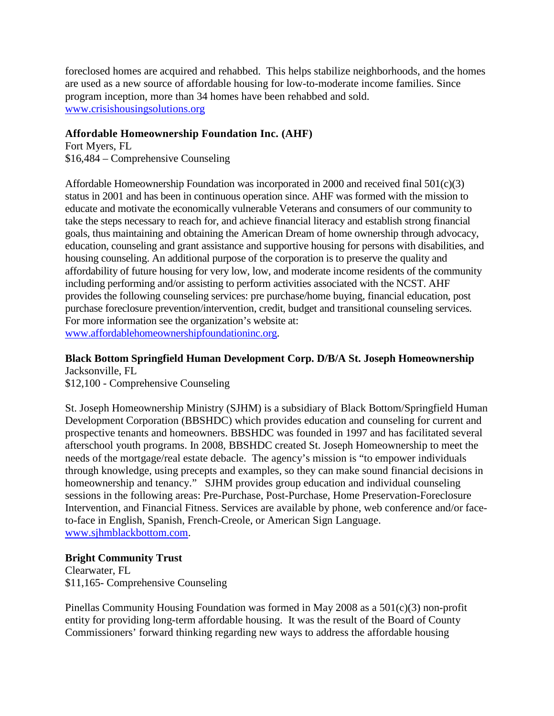foreclosed homes are acquired and rehabbed. This helps stabilize neighborhoods, and the homes are used as a new source of affordable housing for low-to-moderate income families. Since program inception, more than 34 homes have been rehabbed and sold. [www.crisishousingsolutions.org](http://www.crisishousingsolutions.org/)

### **Affordable Homeownership Foundation Inc. (AHF)**

Fort Myers, FL \$16,484 – Comprehensive Counseling

Affordable Homeownership Foundation was incorporated in 2000 and received final 501(c)(3) status in 2001 and has been in continuous operation since. AHF was formed with the mission to educate and motivate the economically vulnerable Veterans and consumers of our community to take the steps necessary to reach for, and achieve financial literacy and establish strong financial goals, thus maintaining and obtaining the American Dream of home ownership through advocacy, education, counseling and grant assistance and supportive housing for persons with disabilities, and housing counseling. An additional purpose of the corporation is to preserve the quality and affordability of future housing for very low, low, and moderate income residents of the community including performing and/or assisting to perform activities associated with the NCST. AHF provides the following counseling services: pre purchase/home buying, financial education, post purchase foreclosure prevention/intervention, credit, budget and transitional counseling services. For more information see the organization's website at: [www.affordablehomeownershipfoundationinc.org](http://www.affordablehomeownershipfoundationinc.org/).

**Black Bottom Springfield Human Development Corp. D/B/A St. Joseph Homeownership** Jacksonville, FL

\$12,100 - Comprehensive Counseling

St. Joseph Homeownership Ministry (SJHM) is a subsidiary of Black Bottom/Springfield Human Development Corporation (BBSHDC) which provides education and counseling for current and prospective tenants and homeowners. BBSHDC was founded in 1997 and has facilitated several afterschool youth programs. In 2008, BBSHDC created St. Joseph Homeownership to meet the needs of the mortgage/real estate debacle. The agency's mission is "to empower individuals through knowledge, using precepts and examples, so they can make sound financial decisions in homeownership and tenancy." SJHM provides group education and individual counseling sessions in the following areas: Pre-Purchase, Post-Purchase, Home Preservation-Foreclosure Intervention, and Financial Fitness. Services are available by phone, web conference and/or faceto-face in English, Spanish, French-Creole, or American Sign Language. [www.sjhmblackbottom.com.](http://www.sjhmblackbottom.com/)

## **Bright Community Trust**

Clearwater, FL \$11,165- Comprehensive Counseling

Pinellas Community Housing Foundation was formed in May 2008 as a 501(c)(3) non-profit entity for providing long-term affordable housing. It was the result of the Board of County Commissioners' forward thinking regarding new ways to address the affordable housing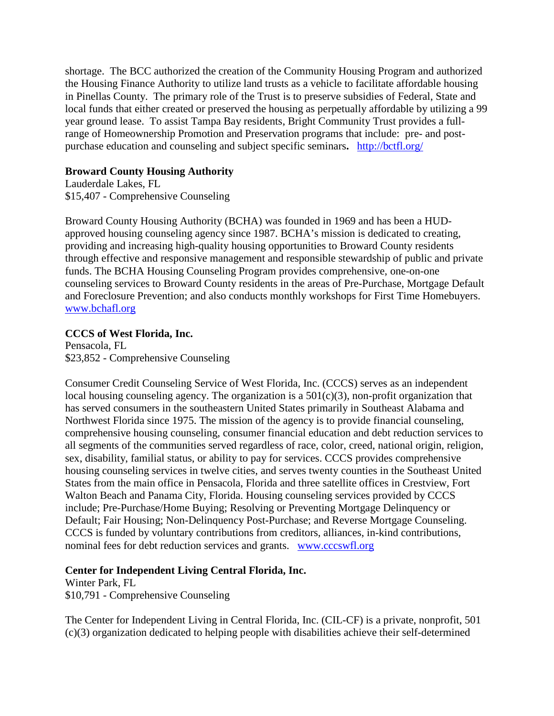shortage. The BCC authorized the creation of the Community Housing Program and authorized the Housing Finance Authority to utilize land trusts as a vehicle to facilitate affordable housing in Pinellas County. The primary role of the Trust is to preserve subsidies of Federal, State and local funds that either created or preserved the housing as perpetually affordable by utilizing a 99 year ground lease. To assist Tampa Bay residents, Bright Community Trust provides a fullrange of Homeownership Promotion and Preservation programs that include: pre- and postpurchase education and counseling and subject specific seminars**.** <http://bctfl.org/>

## **Broward County Housing Authority**

Lauderdale Lakes, FL \$15,407 - Comprehensive Counseling

Broward County Housing Authority (BCHA) was founded in 1969 and has been a HUDapproved housing counseling agency since 1987. BCHA's mission is dedicated to creating, providing and increasing high-quality housing opportunities to Broward County residents through effective and responsive management and responsible stewardship of public and private funds. The BCHA Housing Counseling Program provides comprehensive, one-on-one counseling services to Broward County residents in the areas of Pre-Purchase, Mortgage Default and Foreclosure Prevention; and also conducts monthly workshops for First Time Homebuyers. [www.bchafl.org](http://www.bchafl.org/)

## **CCCS of West Florida, Inc.**

Pensacola, FL \$23,852 - Comprehensive Counseling

Consumer Credit Counseling Service of West Florida, Inc. (CCCS) serves as an independent local housing counseling agency. The organization is a  $501(c)(3)$ , non-profit organization that has served consumers in the southeastern United States primarily in Southeast Alabama and Northwest Florida since 1975. The mission of the agency is to provide financial counseling, comprehensive housing counseling, consumer financial education and debt reduction services to all segments of the communities served regardless of race, color, creed, national origin, religion, sex, disability, familial status, or ability to pay for services. CCCS provides comprehensive housing counseling services in twelve cities, and serves twenty counties in the Southeast United States from the main office in Pensacola, Florida and three satellite offices in Crestview, Fort Walton Beach and Panama City, Florida. Housing counseling services provided by CCCS include; Pre-Purchase/Home Buying; Resolving or Preventing Mortgage Delinquency or Default; Fair Housing; Non-Delinquency Post-Purchase; and Reverse Mortgage Counseling. CCCS is funded by voluntary contributions from creditors, alliances, in-kind contributions, nominal fees for debt reduction services and grants. [www.cccswfl.org](http://www.cccswfl.org/)

## **Center for Independent Living Central Florida, Inc.**

Winter Park, FL

\$10,791 - Comprehensive Counseling

The Center for Independent Living in Central Florida, Inc. (CIL-CF) is a private, nonprofit, 501 (c)(3) organization dedicated to helping people with disabilities achieve their self-determined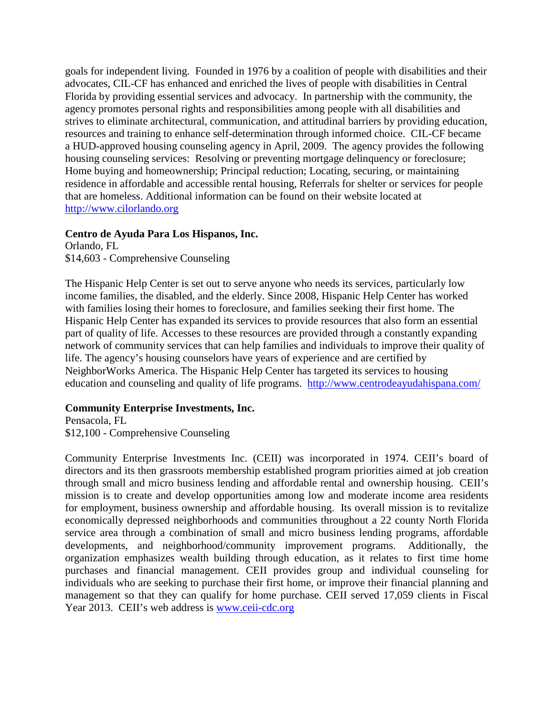goals for independent living. Founded in 1976 by a coalition of people with disabilities and their advocates, CIL-CF has enhanced and enriched the lives of people with disabilities in Central Florida by providing essential services and advocacy. In partnership with the community, the agency promotes personal rights and responsibilities among people with all disabilities and strives to eliminate architectural, communication, and attitudinal barriers by providing education, resources and training to enhance self-determination through informed choice. CIL-CF became a HUD-approved housing counseling agency in April, 2009. The agency provides the following housing counseling services: Resolving or preventing mortgage delinquency or foreclosure; Home buying and homeownership; Principal reduction; Locating, securing, or maintaining residence in affordable and accessible rental housing, Referrals for shelter or services for people that are homeless. Additional information can be found on their website located at [http://www.cilorlando.org](http://www.cilorlando.org/)

### **Centro de Ayuda Para Los Hispanos, Inc.**

Orlando, FL \$14,603 - Comprehensive Counseling

The Hispanic Help Center is set out to serve anyone who needs its services, particularly low income families, the disabled, and the elderly. Since 2008, Hispanic Help Center has worked with families losing their homes to foreclosure, and families seeking their first home. The Hispanic Help Center has expanded its services to provide resources that also form an essential part of quality of life. Accesses to these resources are provided through a constantly expanding network of community services that can help families and individuals to improve their quality of life. The agency's housing counselors have years of experience and are certified by NeighborWorks America. The Hispanic Help Center has targeted its services to housing education and counseling and quality of life programs. <http://www.centrodeayudahispana.com/>

## **Community Enterprise Investments, Inc.**

Pensacola, FL \$12,100 - Comprehensive Counseling

Community Enterprise Investments Inc. (CEII) was incorporated in 1974. CEII's board of directors and its then grassroots membership established program priorities aimed at job creation through small and micro business lending and affordable rental and ownership housing. CEII's mission is to create and develop opportunities among low and moderate income area residents for employment, business ownership and affordable housing. Its overall mission is to revitalize economically depressed neighborhoods and communities throughout a 22 county North Florida service area through a combination of small and micro business lending programs, affordable developments, and neighborhood/community improvement programs. Additionally, the organization emphasizes wealth building through education, as it relates to first time home purchases and financial management. CEII provides group and individual counseling for individuals who are seeking to purchase their first home, or improve their financial planning and management so that they can qualify for home purchase. CEII served 17,059 clients in Fiscal Year 2013. CEII's web address is [www.ceii-cdc.org](http://www.ceii-cdc.org/)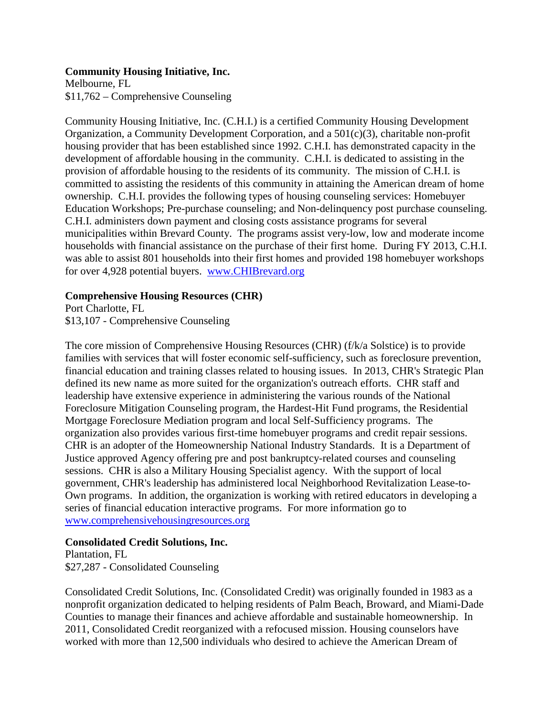### **Community Housing Initiative, Inc.**

Melbourne, FL \$11,762 – Comprehensive Counseling

Community Housing Initiative, Inc. (C.H.I.) is a certified Community Housing Development Organization, a Community Development Corporation, and a 501(c)(3), charitable non-profit housing provider that has been established since 1992. C.H.I. has demonstrated capacity in the development of affordable housing in the community. C.H.I. is dedicated to assisting in the provision of affordable housing to the residents of its community. The mission of C.H.I. is committed to assisting the residents of this community in attaining the American dream of home ownership. C.H.I. provides the following types of housing counseling services: Homebuyer Education Workshops; Pre-purchase counseling; and Non-delinquency post purchase counseling. C.H.I. administers down payment and closing costs assistance programs for several municipalities within Brevard County. The programs assist very-low, low and moderate income households with financial assistance on the purchase of their first home. During FY 2013, C.H.I. was able to assist 801 households into their first homes and provided 198 homebuyer workshops for over 4,928 potential buyers. [www.CHIBrevard.org](http://www.chibrevard.org/)

### **Comprehensive Housing Resources (CHR)**

Port Charlotte, FL \$13,107 - Comprehensive Counseling

The core mission of Comprehensive Housing Resources (CHR) (f/k/a Solstice) is to provide families with services that will foster economic self-sufficiency, such as foreclosure prevention, financial education and training classes related to housing issues. In 2013, CHR's Strategic Plan defined its new name as more suited for the organization's outreach efforts. CHR staff and leadership have extensive experience in administering the various rounds of the National Foreclosure Mitigation Counseling program, the Hardest-Hit Fund programs, the Residential Mortgage Foreclosure Mediation program and local Self-Sufficiency programs. The organization also provides various first-time homebuyer programs and credit repair sessions. CHR is an adopter of the Homeownership National Industry Standards. It is a Department of Justice approved Agency offering pre and post bankruptcy-related courses and counseling sessions. CHR is also a Military Housing Specialist agency. With the support of local government, CHR's leadership has administered local Neighborhood Revitalization Lease-to-Own programs. In addition, the organization is working with retired educators in developing a series of financial education interactive programs. For more information go to [www.comprehensivehousingresources.org](http://www.solsticeconsumer.org/)

## **Consolidated Credit Solutions, Inc.**

Plantation, FL \$27,287 - Consolidated Counseling

Consolidated Credit Solutions, Inc. (Consolidated Credit) was originally founded in 1983 as a nonprofit organization dedicated to helping residents of Palm Beach, Broward, and Miami-Dade Counties to manage their finances and achieve affordable and sustainable homeownership. In 2011, Consolidated Credit reorganized with a refocused mission. Housing counselors have worked with more than 12,500 individuals who desired to achieve the American Dream of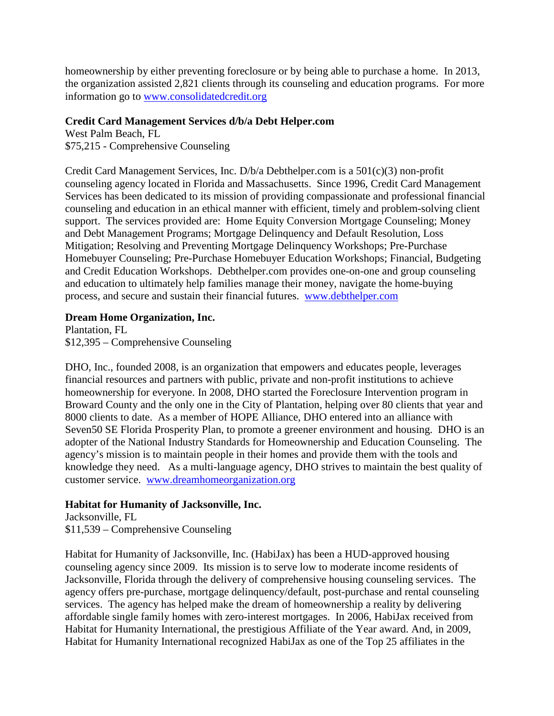homeownership by either preventing foreclosure or by being able to purchase a home. In 2013, the organization assisted 2,821 clients through its counseling and education programs. For more information go to [www.consolidatedcredit.org](http://www.consolidatedcredit.org/)

### **Credit Card Management Services d/b/a Debt Helper.com**

West Palm Beach, FL \$75,215 - Comprehensive Counseling

Credit Card Management Services, Inc. D/b/a Debthelper.com is a 501(c)(3) non-profit counseling agency located in Florida and Massachusetts. Since 1996, Credit Card Management Services has been dedicated to its mission of providing compassionate and professional financial counseling and education in an ethical manner with efficient, timely and problem-solving client support. The services provided are: Home Equity Conversion Mortgage Counseling; Money and Debt Management Programs; Mortgage Delinquency and Default Resolution, Loss Mitigation; Resolving and Preventing Mortgage Delinquency Workshops; Pre-Purchase Homebuyer Counseling; Pre-Purchase Homebuyer Education Workshops; Financial, Budgeting and Credit Education Workshops. Debthelper.com provides one-on-one and group counseling and education to ultimately help families manage their money, navigate the home-buying process, and secure and sustain their financial futures. [www.debthelper.com](http://www.debthelper.com/)

## **Dream Home Organization, Inc.**

Plantation, FL \$12,395 – Comprehensive Counseling

DHO, Inc., founded 2008, is an organization that empowers and educates people, leverages financial resources and partners with public, private and non-profit institutions to achieve homeownership for everyone. In 2008, DHO started the Foreclosure Intervention program in Broward County and the only one in the City of Plantation, helping over 80 clients that year and 8000 clients to date. As a member of HOPE Alliance, DHO entered into an alliance with Seven50 SE Florida Prosperity Plan, to promote a greener environment and housing. DHO is an adopter of the National Industry Standards for Homeownership and Education Counseling. The agency's mission is to maintain people in their homes and provide them with the tools and knowledge they need. As a multi-language agency, DHO strives to maintain the best quality of customer service. [www.dreamhomeorganization.org](http://www.dreamhomeorganization.org/)

## **Habitat for Humanity of Jacksonville, Inc.**

Jacksonville, FL \$11,539 – Comprehensive Counseling

Habitat for Humanity of Jacksonville, Inc. (HabiJax) has been a HUD-approved housing counseling agency since 2009. Its mission is to serve low to moderate income residents of Jacksonville, Florida through the delivery of comprehensive housing counseling services. The agency offers pre-purchase, mortgage delinquency/default, post-purchase and rental counseling services. The agency has helped make the dream of homeownership a reality by delivering affordable single family homes with zero-interest mortgages. In 2006, HabiJax received from Habitat for Humanity International, the prestigious Affiliate of the Year award. And, in 2009, Habitat for Humanity International recognized HabiJax as one of the Top 25 affiliates in the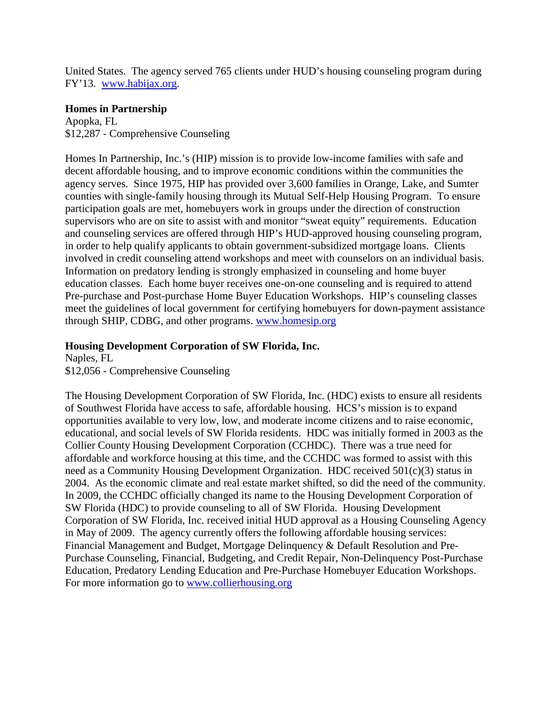United States. The agency served 765 clients under HUD's housing counseling program during FY'13. www.habijax.org.

### **Homes in Partnership**

Apopka, FL \$12,287 - Comprehensive Counseling

Homes In Partnership, Inc.'s (HIP) mission is to provide low-income families with safe and decent affordable housing, and to improve economic conditions within the communities the agency serves. Since 1975, HIP has provided over 3,600 families in Orange, Lake, and Sumter counties with single-family housing through its Mutual Self-Help Housing Program. To ensure participation goals are met, homebuyers work in groups under the direction of construction supervisors who are on site to assist with and monitor "sweat equity" requirements. Education and counseling services are offered through HIP's HUD-approved housing counseling program, in order to help qualify applicants to obtain government-subsidized mortgage loans. Clients involved in credit counseling attend workshops and meet with counselors on an individual basis. Information on predatory lending is strongly emphasized in counseling and home buyer education classes. Each home buyer receives one-on-one counseling and is required to attend Pre-purchase and Post-purchase Home Buyer Education Workshops. HIP's counseling classes meet the guidelines of local government for certifying homebuyers for down-payment assistance through SHIP, CDBG, and other programs. [www.homesip.org](http://www.homesip.org/)

### **Housing Development Corporation of SW Florida, Inc.**

Naples, FL \$12,056 - Comprehensive Counseling

The Housing Development Corporation of SW Florida, Inc. (HDC) exists to ensure all residents of Southwest Florida have access to safe, affordable housing. HCS's mission is to expand opportunities available to very low, low, and moderate income citizens and to raise economic, educational, and social levels of SW Florida residents. HDC was initially formed in 2003 as the Collier County Housing Development Corporation (CCHDC). There was a true need for affordable and workforce housing at this time, and the CCHDC was formed to assist with this need as a Community Housing Development Organization. HDC received 501(c)(3) status in 2004. As the economic climate and real estate market shifted, so did the need of the community. In 2009, the CCHDC officially changed its name to the Housing Development Corporation of SW Florida (HDC) to provide counseling to all of SW Florida. Housing Development Corporation of SW Florida, Inc. received initial HUD approval as a Housing Counseling Agency in May of 2009. The agency currently offers the following affordable housing services: Financial Management and Budget, Mortgage Delinquency & Default Resolution and Pre-Purchase Counseling, Financial, Budgeting, and Credit Repair, Non-Delinquency Post-Purchase Education, Predatory Lending Education and Pre-Purchase Homebuyer Education Workshops. For more information go to www.collierhousing.org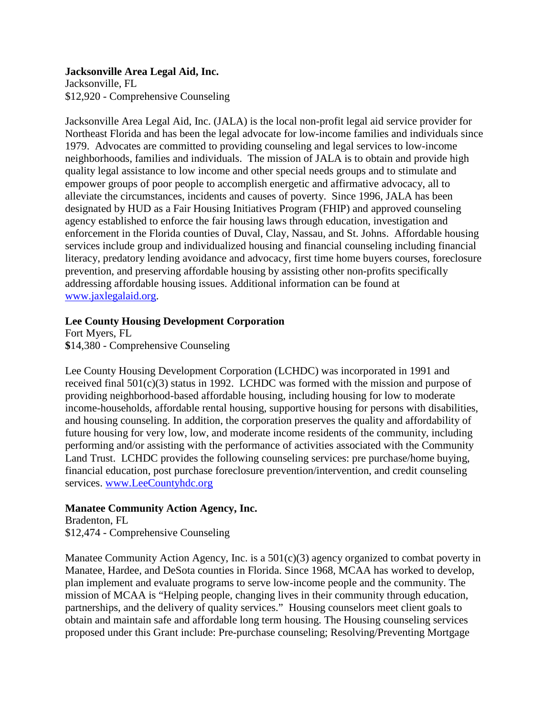#### **Jacksonville Area Legal Aid, Inc.** Jacksonville, FL \$12,920 - Comprehensive Counseling

Jacksonville Area Legal Aid, Inc. (JALA) is the local non-profit legal aid service provider for Northeast Florida and has been the legal advocate for low-income families and individuals since 1979. Advocates are committed to providing counseling and legal services to low-income neighborhoods, families and individuals. The mission of JALA is to obtain and provide high quality legal assistance to low income and other special needs groups and to stimulate and empower groups of poor people to accomplish energetic and affirmative advocacy, all to alleviate the circumstances, incidents and causes of poverty. Since 1996, JALA has been designated by HUD as a Fair Housing Initiatives Program (FHIP) and approved counseling agency established to enforce the fair housing laws through education, investigation and enforcement in the Florida counties of Duval, Clay, Nassau, and St. Johns. Affordable housing services include group and individualized housing and financial counseling including financial literacy, predatory lending avoidance and advocacy, first time home buyers courses, foreclosure prevention, and preserving affordable housing by assisting other non-profits specifically addressing affordable housing issues. Additional information can be found at [www.jaxlegalaid.org.](http://www.jaxlegalaid.org/)

## **Lee County Housing Development Corporation**

Fort Myers, FL **\$**14,380 - Comprehensive Counseling

Lee County Housing Development Corporation (LCHDC) was incorporated in 1991 and received final 501(c)(3) status in 1992. LCHDC was formed with the mission and purpose of providing neighborhood-based affordable housing, including housing for low to moderate income-households, affordable rental housing, supportive housing for persons with disabilities, and housing counseling. In addition, the corporation preserves the quality and affordability of future housing for very low, low, and moderate income residents of the community, including performing and/or assisting with the performance of activities associated with the Community Land Trust. LCHDC provides the following counseling services: pre purchase/home buying, financial education, post purchase foreclosure prevention/intervention, and credit counseling services. [www.LeeCountyhdc.org](http://www.leecountyhdc.org/)

## **Manatee Community Action Agency, Inc.**

Bradenton, FL \$12,474 - Comprehensive Counseling

Manatee Community Action Agency, Inc. is a  $501(c)(3)$  agency organized to combat poverty in Manatee, Hardee, and DeSota counties in Florida. Since 1968, MCAA has worked to develop, plan implement and evaluate programs to serve low-income people and the community. The mission of MCAA is "Helping people, changing lives in their community through education, partnerships, and the delivery of quality services." Housing counselors meet client goals to obtain and maintain safe and affordable long term housing. The Housing counseling services proposed under this Grant include: Pre-purchase counseling; Resolving/Preventing Mortgage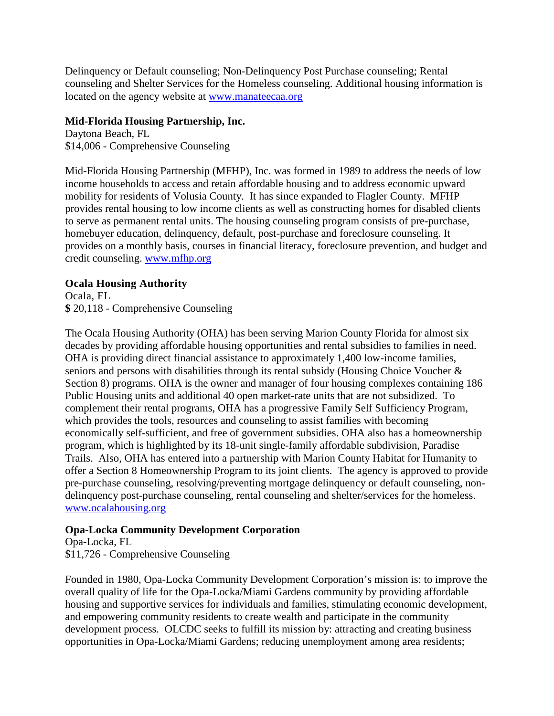Delinquency or Default counseling; Non-Delinquency Post Purchase counseling; Rental counseling and Shelter Services for the Homeless counseling. Additional housing information is located on the agency website at [www.manateecaa.org](http://www.manateecaa.org/)

## **Mid-Florida Housing Partnership, Inc.**

Daytona Beach, FL \$14,006 - Comprehensive Counseling

Mid-Florida Housing Partnership (MFHP), Inc. was formed in 1989 to address the needs of low income households to access and retain affordable housing and to address economic upward mobility for residents of Volusia County. It has since expanded to Flagler County. MFHP provides rental housing to low income clients as well as constructing homes for disabled clients to serve as permanent rental units. The housing counseling program consists of pre-purchase, homebuyer education, delinquency, default, post-purchase and foreclosure counseling. It provides on a monthly basis, courses in financial literacy, foreclosure prevention, and budget and credit counseling. [www.mfhp.org](http://www.mfhp.org/)

## **Ocala Housing Authority**

Ocala, FL **\$** 20,118 - Comprehensive Counseling

The Ocala Housing Authority (OHA) has been serving Marion County Florida for almost six decades by providing affordable housing opportunities and rental subsidies to families in need. OHA is providing direct financial assistance to approximately 1,400 low-income families, seniors and persons with disabilities through its rental subsidy (Housing Choice Voucher & Section 8) programs. OHA is the owner and manager of four housing complexes containing 186 Public Housing units and additional 40 open market-rate units that are not subsidized. To complement their rental programs, OHA has a progressive Family Self Sufficiency Program, which provides the tools, resources and counseling to assist families with becoming economically self-sufficient, and free of government subsidies. OHA also has a homeownership program, which is highlighted by its 18-unit single-family affordable subdivision, Paradise Trails. Also, OHA has entered into a partnership with Marion County Habitat for Humanity to offer a Section 8 Homeownership Program to its joint clients. The agency is approved to provide pre-purchase counseling, resolving/preventing mortgage delinquency or default counseling, nondelinquency post-purchase counseling, rental counseling and shelter/services for the homeless. [www.ocalahousing.org](http://www.ocalahousing.org/)

## **Opa-Locka Community Development Corporation**

Opa-Locka, FL \$11,726 - Comprehensive Counseling

Founded in 1980, Opa-Locka Community Development Corporation's mission is: to improve the overall quality of life for the Opa-Locka/Miami Gardens community by providing affordable housing and supportive services for individuals and families, stimulating economic development, and empowering community residents to create wealth and participate in the community development process. OLCDC seeks to fulfill its mission by: attracting and creating business opportunities in Opa-Locka/Miami Gardens; reducing unemployment among area residents;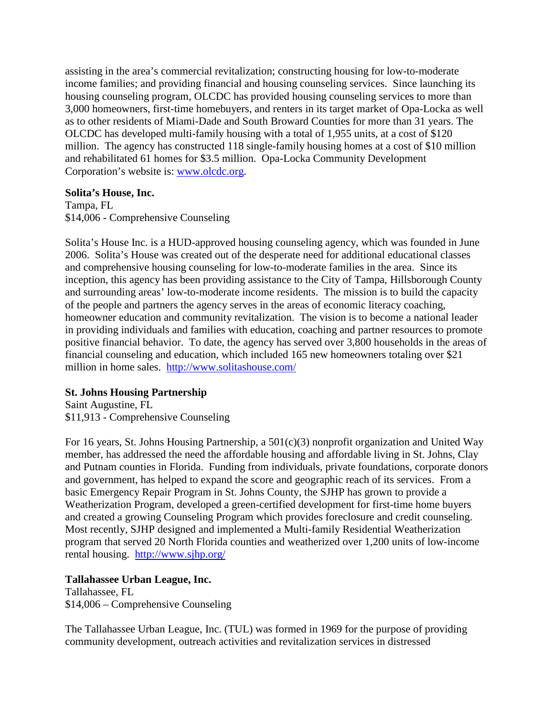assisting in the area's commercial revitalization; constructing housing for low-to-moderate income families; and providing financial and housing counseling services. Since launching its housing counseling program, OLCDC has provided housing counseling services to more than 3,000 homeowners, first-time homebuyers, and renters in its target market of Opa-Locka as well as to other residents of Miami-Dade and South Broward Counties for more than 31 years. The OLCDC has developed multi-family housing with a total of 1,955 units, at a cost of \$120 million. The agency has constructed 118 single-family housing homes at a cost of \$10 million and rehabilitated 61 homes for \$3.5 million. Opa-Locka Community Development Corporation's website is: [www.olcdc.org.](http://www.olcdc.org/)

### **Solita's House, Inc.**

Tampa, FL \$14,006 - Comprehensive Counseling

Solita's House Inc. is a HUD-approved housing counseling agency, which was founded in June 2006. Solita's House was created out of the desperate need for additional educational classes and comprehensive housing counseling for low-to-moderate families in the area. Since its inception, this agency has been providing assistance to the City of Tampa, Hillsborough County and surrounding areas' low-to-moderate income residents. The mission is to build the capacity of the people and partners the agency serves in the areas of economic literacy coaching, homeowner education and community revitalization. The vision is to become a national leader in providing individuals and families with education, coaching and partner resources to promote positive financial behavior. To date, the agency has served over 3,800 households in the areas of financial counseling and education, which included 165 new homeowners totaling over \$21 million in home sales. <http://www.solitashouse.com/>

## **St. Johns Housing Partnership**

Saint Augustine, FL \$11,913 - Comprehensive Counseling

For 16 years, St. Johns Housing Partnership, a 501(c)(3) nonprofit organization and United Way member, has addressed the need the affordable housing and affordable living in St. Johns, Clay and Putnam counties in Florida. Funding from individuals, private foundations, corporate donors and government, has helped to expand the score and geographic reach of its services. From a basic Emergency Repair Program in St. Johns County, the SJHP has grown to provide a Weatherization Program, developed a green-certified development for first-time home buyers and created a growing Counseling Program which provides foreclosure and credit counseling. Most recently, SJHP designed and implemented a Multi-family Residential Weatherization program that served 20 North Florida counties and weatherized over 1,200 units of low-income rental housing. <http://www.sjhp.org/>

## **Tallahassee Urban League, Inc.**

Tallahassee, FL \$14,006 – Comprehensive Counseling

The Tallahassee Urban League, Inc. (TUL) was formed in 1969 for the purpose of providing community development, outreach activities and revitalization services in distressed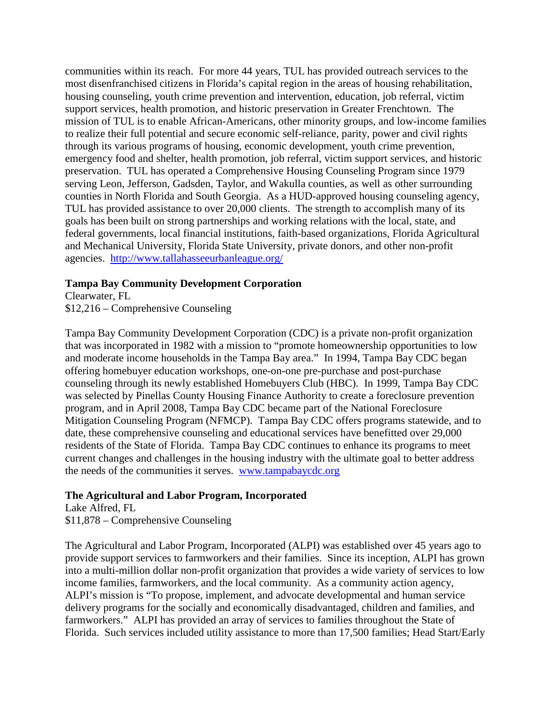communities within its reach. For more 44 years, TUL has provided outreach services to the most disenfranchised citizens in Florida's capital region in the areas of housing rehabilitation, housing counseling, youth crime prevention and intervention, education, job referral, victim support services, health promotion, and historic preservation in Greater Frenchtown. The mission of TUL is to enable African-Americans, other minority groups, and low-income families to realize their full potential and secure economic self-reliance, parity, power and civil rights through its various programs of housing, economic development, youth crime prevention, emergency food and shelter, health promotion, job referral, victim support services, and historic preservation. TUL has operated a Comprehensive Housing Counseling Program since 1979 serving Leon, Jefferson, Gadsden, Taylor, and Wakulla counties, as well as other surrounding counties in North Florida and South Georgia. As a HUD-approved housing counseling agency, TUL has provided assistance to over 20,000 clients. The strength to accomplish many of its goals has been built on strong partnerships and working relations with the local, state, and federal governments, local financial institutions, faith-based organizations, Florida Agricultural and Mechanical University, Florida State University, private donors, and other non-profit agencies. <http://www.tallahasseeurbanleague.org/>

#### **Tampa Bay Community Development Corporation**

Clearwater, FL

\$12,216 – Comprehensive Counseling

Tampa Bay Community Development Corporation (CDC) is a private non-profit organization that was incorporated in 1982 with a mission to "promote homeownership opportunities to low and moderate income households in the Tampa Bay area." In 1994, Tampa Bay CDC began offering homebuyer education workshops, one-on-one pre-purchase and post-purchase counseling through its newly established Homebuyers Club (HBC). In 1999, Tampa Bay CDC was selected by Pinellas County Housing Finance Authority to create a foreclosure prevention program, and in April 2008, Tampa Bay CDC became part of the National Foreclosure Mitigation Counseling Program (NFMCP). Tampa Bay CDC offers programs statewide, and to date, these comprehensive counseling and educational services have benefitted over 29,000 residents of the State of Florida. Tampa Bay CDC continues to enhance its programs to meet current changes and challenges in the housing industry with the ultimate goal to better address the needs of the communities it serves. [www.tampabaycdc.org](http://www.tampabaycdc.org/)

### **The Agricultural and Labor Program, Incorporated**

Lake Alfred, FL \$11,878 – Comprehensive Counseling

The Agricultural and Labor Program, Incorporated (ALPI) was established over 45 years ago to provide support services to farmworkers and their families. Since its inception, ALPI has grown into a multi-million dollar non-profit organization that provides a wide variety of services to low income families, farmworkers, and the local community. As a community action agency, ALPI's mission is "To propose, implement, and advocate developmental and human service delivery programs for the socially and economically disadvantaged, children and families, and farmworkers." ALPI has provided an array of services to families throughout the State of Florida. Such services included utility assistance to more than 17,500 families; Head Start/Early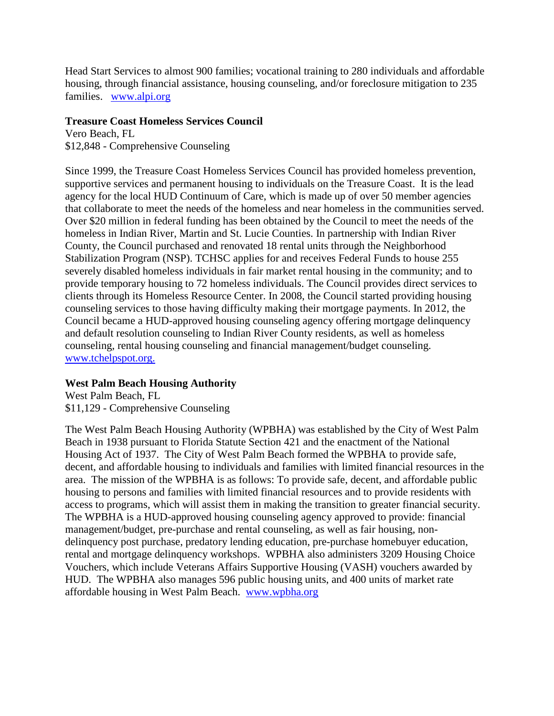Head Start Services to almost 900 families; vocational training to 280 individuals and affordable housing, through financial assistance, housing counseling, and/or foreclosure mitigation to 235 families. [www.alpi.org](http://www.alpi.org/)

## **Treasure Coast Homeless Services Council**

Vero Beach, FL \$12,848 - Comprehensive Counseling

Since 1999, the Treasure Coast Homeless Services Council has provided homeless prevention, supportive services and permanent housing to individuals on the Treasure Coast. It is the lead agency for the local HUD Continuum of Care, which is made up of over 50 member agencies that collaborate to meet the needs of the homeless and near homeless in the communities served. Over \$20 million in federal funding has been obtained by the Council to meet the needs of the homeless in Indian River, Martin and St. Lucie Counties. In partnership with Indian River County, the Council purchased and renovated 18 rental units through the Neighborhood Stabilization Program (NSP). TCHSC applies for and receives Federal Funds to house 255 severely disabled homeless individuals in fair market rental housing in the community; and to provide temporary housing to 72 homeless individuals. The Council provides direct services to clients through its Homeless Resource Center. In 2008, the Council started providing housing counseling services to those having difficulty making their mortgage payments. In 2012, the Council became a HUD-approved housing counseling agency offering mortgage delinquency and default resolution counseling to Indian River County residents, as well as homeless counseling, rental housing counseling and financial management/budget counseling. www.tchelpspot.org.

## **West Palm Beach Housing Authority**

West Palm Beach, FL \$11,129 - Comprehensive Counseling

The West Palm Beach Housing Authority (WPBHA) was established by the City of West Palm Beach in 1938 pursuant to Florida Statute Section 421 and the enactment of the National Housing Act of 1937. The City of West Palm Beach formed the WPBHA to provide safe, decent, and affordable housing to individuals and families with limited financial resources in the area. The mission of the WPBHA is as follows: To provide safe, decent, and affordable public housing to persons and families with limited financial resources and to provide residents with access to programs, which will assist them in making the transition to greater financial security. The WPBHA is a HUD-approved housing counseling agency approved to provide: financial management/budget, pre-purchase and rental counseling, as well as fair housing, nondelinquency post purchase, predatory lending education, pre-purchase homebuyer education, rental and mortgage delinquency workshops. WPBHA also administers 3209 Housing Choice Vouchers, which include Veterans Affairs Supportive Housing (VASH) vouchers awarded by HUD. The WPBHA also manages 596 public housing units, and 400 units of market rate affordable housing in West Palm Beach. [www.wpbha.org](http://www.wpbha.org/)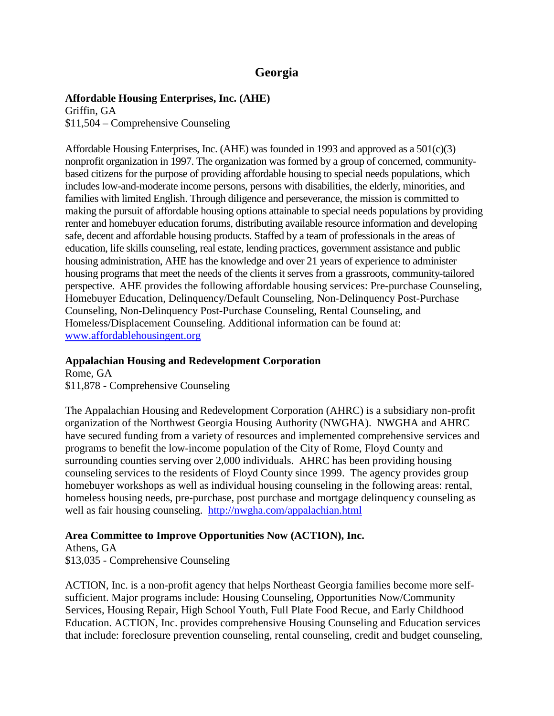# **Georgia**

### **Affordable Housing Enterprises, Inc. (AHE)**

Griffin, GA \$11,504 – Comprehensive Counseling

Affordable Housing Enterprises, Inc. (AHE) was founded in 1993 and approved as a 501(c)(3) nonprofit organization in 1997. The organization was formed by a group of concerned, communitybased citizens for the purpose of providing affordable housing to special needs populations, which includes low-and-moderate income persons, persons with disabilities, the elderly, minorities, and families with limited English. Through diligence and perseverance, the mission is committed to making the pursuit of affordable housing options attainable to special needs populations by providing renter and homebuyer education forums, distributing available resource information and developing safe, decent and affordable housing products. Staffed by a team of professionals in the areas of education, life skills counseling, real estate, lending practices, government assistance and public housing administration, AHE has the knowledge and over 21 years of experience to administer housing programs that meet the needs of the clients it serves from a grassroots, community-tailored perspective. AHE provides the following affordable housing services: Pre-purchase Counseling, Homebuyer Education, Delinquency/Default Counseling, Non-Delinquency Post-Purchase Counseling, Non-Delinquency Post-Purchase Counseling, Rental Counseling, and Homeless/Displacement Counseling. Additional information can be found at: [www.affordablehousingent.org](http://www.affordablehousingent.org/)

### **Appalachian Housing and Redevelopment Corporation**

Rome, GA \$11,878 - Comprehensive Counseling

The Appalachian Housing and Redevelopment Corporation (AHRC) is a subsidiary non-profit organization of the Northwest Georgia Housing Authority (NWGHA). NWGHA and AHRC have secured funding from a variety of resources and implemented comprehensive services and programs to benefit the low-income population of the City of Rome, Floyd County and surrounding counties serving over 2,000 individuals. AHRC has been providing housing counseling services to the residents of Floyd County since 1999. The agency provides group homebuyer workshops as well as individual housing counseling in the following areas: rental, homeless housing needs, pre-purchase, post purchase and mortgage delinquency counseling as well as fair housing counseling. <http://nwgha.com/appalachian.html>

## **Area Committee to Improve Opportunities Now (ACTION), Inc.**

Athens, GA \$13,035 - Comprehensive Counseling

ACTION, Inc. is a non-profit agency that helps Northeast Georgia families become more selfsufficient. Major programs include: Housing Counseling, Opportunities Now/Community Services, Housing Repair, High School Youth, Full Plate Food Recue, and Early Childhood Education. ACTION, Inc. provides comprehensive Housing Counseling and Education services that include: foreclosure prevention counseling, rental counseling, credit and budget counseling,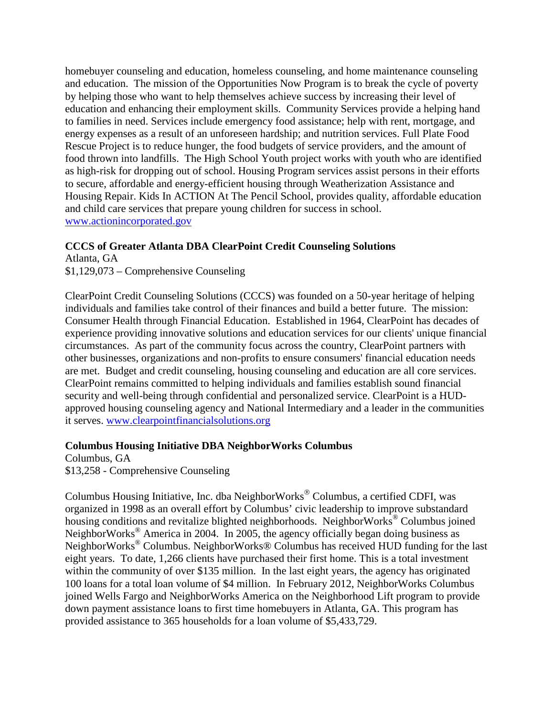homebuyer counseling and education, homeless counseling, and home maintenance counseling and education. The mission of the Opportunities Now Program is to break the cycle of poverty by helping those who want to help themselves achieve success by increasing their level of education and enhancing their employment skills. Community Services provide a helping hand to families in need. Services include emergency food assistance; help with rent, mortgage, and energy expenses as a result of an unforeseen hardship; and nutrition services. Full Plate Food Rescue Project is to reduce hunger, the food budgets of service providers, and the amount of food thrown into landfills. The High School Youth project works with youth who are identified as high-risk for dropping out of school. Housing Program services assist persons in their efforts to secure, affordable and energy-efficient housing through Weatherization Assistance and Housing Repair. Kids In ACTION At The Pencil School, provides quality, affordable education and child care services that prepare young children for success in school. [www.actionincorporated.gov](http://www.actionincorporated.gov/)

### **CCCS of Greater Atlanta DBA ClearPoint Credit Counseling Solutions**

Atlanta, GA \$1,129,073 – Comprehensive Counseling

ClearPoint Credit Counseling Solutions (CCCS) was founded on a 50-year heritage of helping individuals and families take control of their finances and build a better future. The mission: Consumer Health through Financial Education. Established in 1964, ClearPoint has decades of experience providing innovative solutions and education services for our clients' unique financial circumstances. As part of the community focus across the country, ClearPoint partners with other businesses, organizations and non-profits to ensure consumers' financial education needs are met. Budget and credit counseling, housing counseling and education are all core services. ClearPoint remains committed to helping individuals and families establish sound financial security and well-being through confidential and personalized service. ClearPoint is a HUDapproved housing counseling agency and National Intermediary and a leader in the communities it serves. www.clearpointfinancialsolutions.org

### **Columbus Housing Initiative DBA NeighborWorks Columbus**

Columbus, GA \$13,258 - Comprehensive Counseling

Columbus Housing Initiative, Inc. dba NeighborWorks<sup>®</sup> Columbus, a certified CDFI, was organized in 1998 as an overall effort by Columbus' civic leadership to improve substandard housing conditions and revitalize blighted neighborhoods. NeighborWorks<sup>®</sup> Columbus joined NeighborWorks® America in 2004. In 2005, the agency officially began doing business as NeighborWorks® Columbus. NeighborWorks® Columbus has received HUD funding for the last eight years. To date, 1,266 clients have purchased their first home. This is a total investment within the community of over \$135 million. In the last eight years, the agency has originated 100 loans for a total loan volume of \$4 million. In February 2012, NeighborWorks Columbus joined Wells Fargo and NeighborWorks America on the Neighborhood Lift program to provide down payment assistance loans to first time homebuyers in Atlanta, GA. This program has provided assistance to 365 households for a loan volume of \$5,433,729.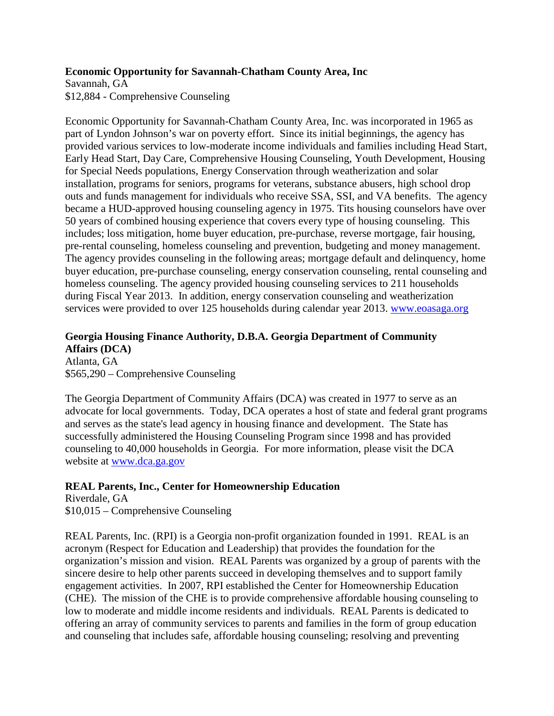### **Economic Opportunity for Savannah-Chatham County Area, Inc**

Savannah, GA \$12,884 - Comprehensive Counseling

Economic Opportunity for Savannah-Chatham County Area, Inc. was incorporated in 1965 as part of Lyndon Johnson's war on poverty effort. Since its initial beginnings, the agency has provided various services to low-moderate income individuals and families including Head Start, Early Head Start, Day Care, Comprehensive Housing Counseling, Youth Development, Housing for Special Needs populations, Energy Conservation through weatherization and solar installation, programs for seniors, programs for veterans, substance abusers, high school drop outs and funds management for individuals who receive SSA, SSI, and VA benefits. The agency became a HUD-approved housing counseling agency in 1975. Tits housing counselors have over 50 years of combined housing experience that covers every type of housing counseling. This includes; loss mitigation, home buyer education, pre-purchase, reverse mortgage, fair housing, pre-rental counseling, homeless counseling and prevention, budgeting and money management. The agency provides counseling in the following areas; mortgage default and delinquency, home buyer education, pre-purchase counseling, energy conservation counseling, rental counseling and homeless counseling. The agency provided housing counseling services to 211 households during Fiscal Year 2013. In addition, energy conservation counseling and weatherization services were provided to over 125 households during calendar year 2013. [www.eoasaga.org](http://www.eoasaga.org/)

## **Georgia Housing Finance Authority, D.B.A. Georgia Department of Community Affairs (DCA)**

Atlanta, GA \$565,290 – Comprehensive Counseling

The Georgia Department of Community Affairs (DCA) was created in 1977 to serve as an advocate for local governments. Today, DCA operates a host of state and federal grant programs and serves as the state's lead agency in housing finance and development. The State has successfully administered the Housing Counseling Program since 1998 and has provided counseling to 40,000 households in Georgia. For more information, please visit the DCA website at [www.dca.ga.gov](http://www.dca.ga.gov/)

## **REAL Parents, Inc., Center for Homeownership Education**

Riverdale, GA \$10,015 – Comprehensive Counseling

REAL Parents, Inc. (RPI) is a Georgia non-profit organization founded in 1991. REAL is an acronym (Respect for Education and Leadership) that provides the foundation for the organization's mission and vision. REAL Parents was organized by a group of parents with the sincere desire to help other parents succeed in developing themselves and to support family engagement activities. In 2007, RPI established the Center for Homeownership Education (CHE). The mission of the CHE is to provide comprehensive affordable housing counseling to low to moderate and middle income residents and individuals. REAL Parents is dedicated to offering an array of community services to parents and families in the form of group education and counseling that includes safe, affordable housing counseling; resolving and preventing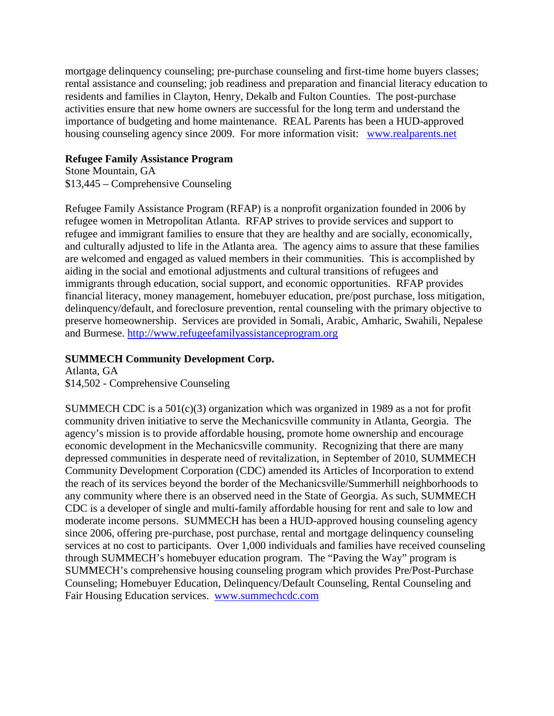mortgage delinquency counseling; pre-purchase counseling and first-time home buyers classes; rental assistance and counseling; job readiness and preparation and financial literacy education to residents and families in Clayton, Henry, Dekalb and Fulton Counties. The post-purchase activities ensure that new home owners are successful for the long term and understand the importance of budgeting and home maintenance. REAL Parents has been a HUD-approved housing counseling agency since 2009. For more information visit: [www.realparents.net](http://www.realparents.net/)

### **Refugee Family Assistance Program**

Stone Mountain, GA \$13,445 – Comprehensive Counseling

Refugee Family Assistance Program (RFAP) is a nonprofit organization founded in 2006 by refugee women in Metropolitan Atlanta. RFAP strives to provide services and support to refugee and immigrant families to ensure that they are healthy and are socially, economically, and culturally adjusted to life in the Atlanta area. The agency aims to assure that these families are welcomed and engaged as valued members in their communities. This is accomplished by aiding in the social and emotional adjustments and cultural transitions of refugees and immigrants through education, social support, and economic opportunities. RFAP provides financial literacy, money management, homebuyer education, pre/post purchase, loss mitigation, delinquency/default, and foreclosure prevention, rental counseling with the primary objective to preserve homeownership. Services are provided in Somali, Arabic, Amharic, Swahili, Nepalese and Burmese. [http://www.refugeefamilyassistanceprogram.org](http://www.refugeefamilyassistanceprogram.org/)

## **SUMMECH Community Development Corp.**

Atlanta, GA \$14,502 - Comprehensive Counseling

SUMMECH CDC is a  $501(c)(3)$  organization which was organized in 1989 as a not for profit community driven initiative to serve the Mechanicsville community in Atlanta, Georgia. The agency's mission is to provide affordable housing, promote home ownership and encourage economic development in the Mechanicsville community. Recognizing that there are many depressed communities in desperate need of revitalization, in September of 2010, SUMMECH Community Development Corporation (CDC) amended its Articles of Incorporation to extend the reach of its services beyond the border of the Mechanicsville/Summerhill neighborhoods to any community where there is an observed need in the State of Georgia. As such, SUMMECH CDC is a developer of single and multi-family affordable housing for rent and sale to low and moderate income persons. SUMMECH has been a HUD-approved housing counseling agency since 2006, offering pre-purchase, post purchase, rental and mortgage delinquency counseling services at no cost to participants. Over 1,000 individuals and families have received counseling through SUMMECH's homebuyer education program. The "Paving the Way" program is SUMMECH's comprehensive housing counseling program which provides Pre/Post-Purchase Counseling; Homebuyer Education, Delinquency/Default Counseling, Rental Counseling and Fair Housing Education services. [www.summechcdc.com](http://www.summechcdc.com/)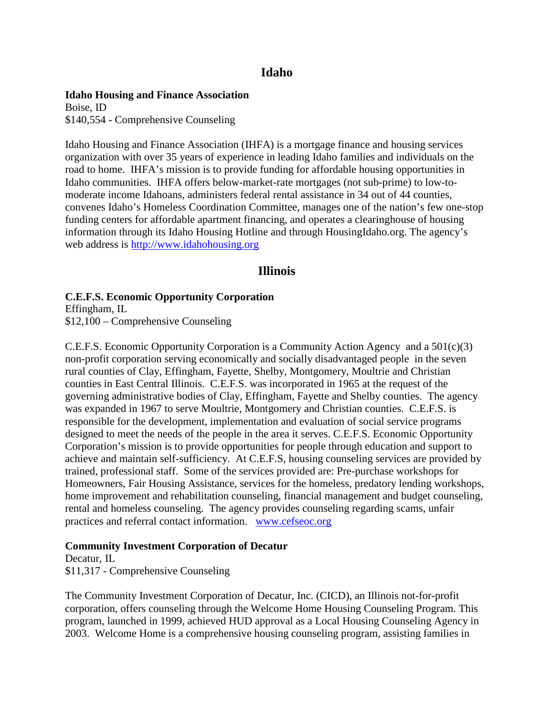## **Idaho**

#### **Idaho Housing and Finance Association**

Boise, ID \$140,554 - Comprehensive Counseling

Idaho Housing and Finance Association (IHFA) is a mortgage finance and housing services organization with over 35 years of experience in leading Idaho families and individuals on the road to home. IHFA's mission is to provide funding for affordable housing opportunities in Idaho communities. IHFA offers below-market-rate mortgages (not sub-prime) to low-tomoderate income Idahoans, administers federal rental assistance in 34 out of 44 counties, convenes Idaho's Homeless Coordination Committee, manages one of the nation's few one-stop funding centers for affordable apartment financing, and operates a clearinghouse of housing information through its Idaho Housing Hotline and through HousingIdaho.org. The agency's web address is [http://www.idahohousing.org](http://www.idahohousing.org/)

## **Illinois**

## **C.E.F.S. Economic Opportunity Corporation**

Effingham, IL \$12,100 – Comprehensive Counseling

C.E.F.S. Economic Opportunity Corporation is a Community Action Agency and a  $501(c)(3)$ non-profit corporation serving economically and socially disadvantaged people in the seven rural counties of Clay, Effingham, Fayette, Shelby, Montgomery, Moultrie and Christian counties in East Central Illinois. C.E.F.S. was incorporated in 1965 at the request of the governing administrative bodies of Clay, Effingham, Fayette and Shelby counties. The agency was expanded in 1967 to serve Moultrie, Montgomery and Christian counties. C.E.F.S. is responsible for the development, implementation and evaluation of social service programs designed to meet the needs of the people in the area it serves. C.E.F.S. Economic Opportunity Corporation's mission is to provide opportunities for people through education and support to achieve and maintain self-sufficiency. At C.E.F.S, housing counseling services are provided by trained, professional staff. Some of the services provided are: Pre-purchase workshops for Homeowners, Fair Housing Assistance, services for the homeless, predatory lending workshops, home improvement and rehabilitation counseling, financial management and budget counseling, rental and homeless counseling. The agency provides counseling regarding scams, unfair practices and referral contact information. [www.cefseoc.org](http://www.cefseoc.org/)

### **Community Investment Corporation of Decatur**

Decatur, IL \$11,317 - Comprehensive Counseling

The Community Investment Corporation of Decatur, Inc. (CICD), an Illinois not-for-profit corporation, offers counseling through the Welcome Home Housing Counseling Program. This program, launched in 1999, achieved HUD approval as a Local Housing Counseling Agency in 2003. Welcome Home is a comprehensive housing counseling program, assisting families in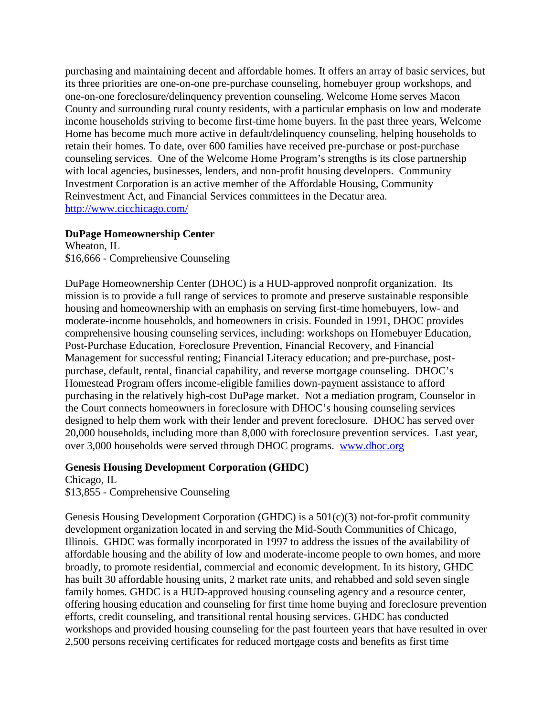purchasing and maintaining decent and affordable homes. It offers an array of basic services, but its three priorities are one-on-one pre-purchase counseling, homebuyer group workshops, and one-on-one foreclosure/delinquency prevention counseling. Welcome Home serves Macon County and surrounding rural county residents, with a particular emphasis on low and moderate income households striving to become first-time home buyers. In the past three years, Welcome Home has become much more active in default/delinquency counseling, helping households to retain their homes. To date, over 600 families have received pre-purchase or post-purchase counseling services. One of the Welcome Home Program's strengths is its close partnership with local agencies, businesses, lenders, and non-profit housing developers. Community Investment Corporation is an active member of the Affordable Housing, Community Reinvestment Act, and Financial Services committees in the Decatur area. <http://www.cicchicago.com/>

### **DuPage Homeownership Center**

Wheaton, IL \$16,666 - Comprehensive Counseling

DuPage Homeownership Center (DHOC) is a HUD-approved nonprofit organization. Its mission is to provide a full range of services to promote and preserve sustainable responsible housing and homeownership with an emphasis on serving first-time homebuyers, low- and moderate-income households, and homeowners in crisis. Founded in 1991, DHOC provides comprehensive housing counseling services, including: workshops on Homebuyer Education, Post-Purchase Education, Foreclosure Prevention, Financial Recovery, and Financial Management for successful renting; Financial Literacy education; and pre-purchase, postpurchase, default, rental, financial capability, and reverse mortgage counseling. DHOC's Homestead Program offers income-eligible families down-payment assistance to afford purchasing in the relatively high-cost DuPage market. Not a mediation program, Counselor in the Court connects homeowners in foreclosure with DHOC's housing counseling services designed to help them work with their lender and prevent foreclosure. DHOC has served over 20,000 households, including more than 8,000 with foreclosure prevention services. Last year, over 3,000 households were served through DHOC programs. [www.dhoc.org](http://www.dhoc.org/)

# **Genesis Housing Development Corporation (GHDC)**

Chicago, IL \$13,855 - Comprehensive Counseling

Genesis Housing Development Corporation (GHDC) is a 501(c)(3) not-for-profit community development organization located in and serving the Mid-South Communities of Chicago, Illinois. GHDC was formally incorporated in 1997 to address the issues of the availability of affordable housing and the ability of low and moderate-income people to own homes, and more broadly, to promote residential, commercial and economic development. In its history, GHDC has built 30 affordable housing units, 2 market rate units, and rehabbed and sold seven single family homes. GHDC is a HUD-approved housing counseling agency and a resource center, offering housing education and counseling for first time home buying and foreclosure prevention efforts, credit counseling, and transitional rental housing services. GHDC has conducted workshops and provided housing counseling for the past fourteen years that have resulted in over 2,500 persons receiving certificates for reduced mortgage costs and benefits as first time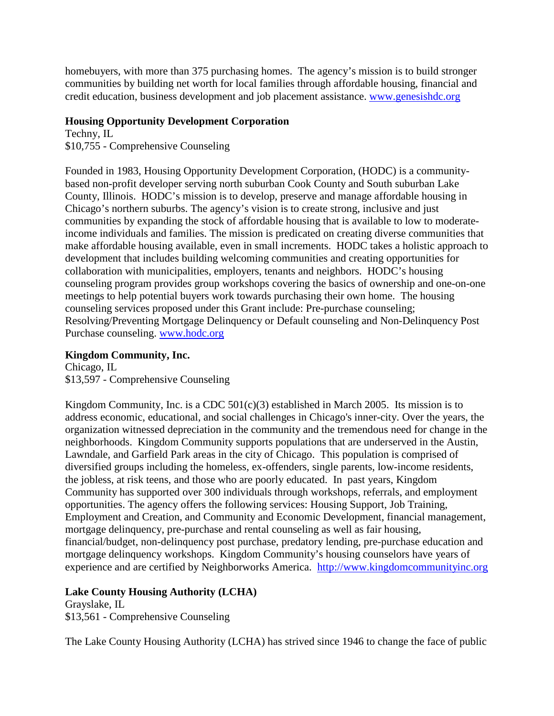homebuyers, with more than 375 purchasing homes. The agency's mission is to build stronger communities by building net worth for local families through affordable housing, financial and credit education, business development and job placement assistance. [www.genesishdc.org](http://www.genesishdc.org/)

# **Housing Opportunity Development Corporation**

Techny, IL \$10,755 - Comprehensive Counseling

Founded in 1983, Housing Opportunity Development Corporation, (HODC) is a communitybased non-profit developer serving north suburban Cook County and South suburban Lake County, Illinois. HODC's mission is to develop, preserve and manage affordable housing in Chicago's northern suburbs. The agency's vision is to create strong, inclusive and just communities by expanding the stock of affordable housing that is available to low to moderateincome individuals and families. The mission is predicated on creating diverse communities that make affordable housing available, even in small increments. HODC takes a holistic approach to development that includes building welcoming communities and creating opportunities for collaboration with municipalities, employers, tenants and neighbors. HODC's housing counseling program provides group workshops covering the basics of ownership and one-on-one meetings to help potential buyers work towards purchasing their own home. The housing counseling services proposed under this Grant include: Pre-purchase counseling; Resolving/Preventing Mortgage Delinquency or Default counseling and Non-Delinquency Post Purchase counseling. [www.hodc.org](http://www.hodc.org/)

# **Kingdom Community, Inc.**

Chicago, IL \$13,597 - Comprehensive Counseling

Kingdom Community, Inc. is a CDC  $501(c)(3)$  established in March 2005. Its mission is to address economic, educational, and social challenges in Chicago's inner-city. Over the years, the organization witnessed depreciation in the community and the tremendous need for change in the neighborhoods. Kingdom Community supports populations that are underserved in the Austin, Lawndale, and Garfield Park areas in the city of Chicago. This population is comprised of diversified groups including the homeless, ex-offenders, single parents, low-income residents, the jobless, at risk teens, and those who are poorly educated. In past years, Kingdom Community has supported over 300 individuals through workshops, referrals, and employment opportunities. The agency offers the following services: Housing Support, Job Training, Employment and Creation, and Community and Economic Development, financial management, mortgage delinquency, pre-purchase and rental counseling as well as fair housing, financial/budget, non-delinquency post purchase, predatory lending, pre-purchase education and mortgage delinquency workshops. Kingdom Community's housing counselors have years of experience and are certified by Neighborworks America. [http://www.kingdomcommunityinc.org](http://www.kingdomcommunityinc.org/)

# **Lake County Housing Authority (LCHA)**

Grayslake, IL \$13,561 - Comprehensive Counseling

The Lake County Housing Authority (LCHA) has strived since 1946 to change the face of public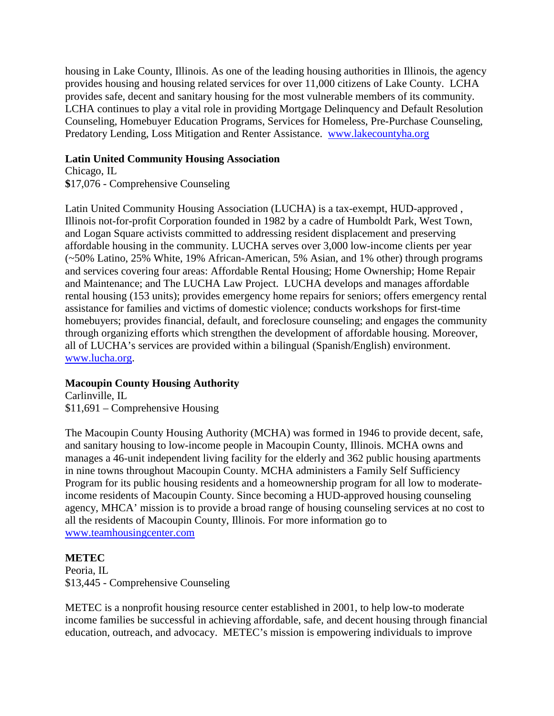housing in Lake County, Illinois. As one of the leading housing authorities in Illinois, the agency provides housing and housing related services for over 11,000 citizens of Lake County. LCHA provides safe, decent and sanitary housing for the most vulnerable members of its community. LCHA continues to play a vital role in providing Mortgage Delinquency and Default Resolution Counseling, Homebuyer Education Programs, Services for Homeless, Pre-Purchase Counseling, Predatory Lending, Loss Mitigation and Renter Assistance. [www.lakecountyha.org](http://www.lakecountyha.org/)

## **Latin United Community Housing Association**

Chicago, IL **\$**17,076 - Comprehensive Counseling

Latin United Community Housing Association (LUCHA) is a tax-exempt, HUD-approved , Illinois not-for-profit Corporation founded in 1982 by a cadre of Humboldt Park, West Town, and Logan Square activists committed to addressing resident displacement and preserving affordable housing in the community. LUCHA serves over 3,000 low-income clients per year (~50% Latino, 25% White, 19% African-American, 5% Asian, and 1% other) through programs and services covering four areas: Affordable Rental Housing; Home Ownership; Home Repair and Maintenance; and The LUCHA Law Project. LUCHA develops and manages affordable rental housing (153 units); provides emergency home repairs for seniors; offers emergency rental assistance for families and victims of domestic violence; conducts workshops for first-time homebuyers; provides financial, default, and foreclosure counseling; and engages the community through organizing efforts which strengthen the development of affordable housing. Moreover, all of LUCHA's services are provided within a bilingual (Spanish/English) environment. [www.lucha.org.](http://www.lucha.org/)

# **Macoupin County Housing Authority**

Carlinville, IL \$11,691 – Comprehensive Housing

The Macoupin County Housing Authority (MCHA) was formed in 1946 to provide decent, safe, and sanitary housing to low-income people in Macoupin County, Illinois. MCHA owns and manages a 46-unit independent living facility for the elderly and 362 public housing apartments in nine towns throughout Macoupin County. MCHA administers a Family Self Sufficiency Program for its public housing residents and a homeownership program for all low to moderateincome residents of Macoupin County. Since becoming a HUD-approved housing counseling agency, MHCA' mission is to provide a broad range of housing counseling services at no cost to all the residents of Macoupin County, Illinois. For more information go to [www.teamhousingcenter.com](http://www.teamhousingcenter.com/)

# **METEC**

Peoria, IL \$13,445 - Comprehensive Counseling

METEC is a nonprofit housing resource center established in 2001, to help low-to moderate income families be successful in achieving affordable, safe, and decent housing through financial education, outreach, and advocacy. METEC's mission is empowering individuals to improve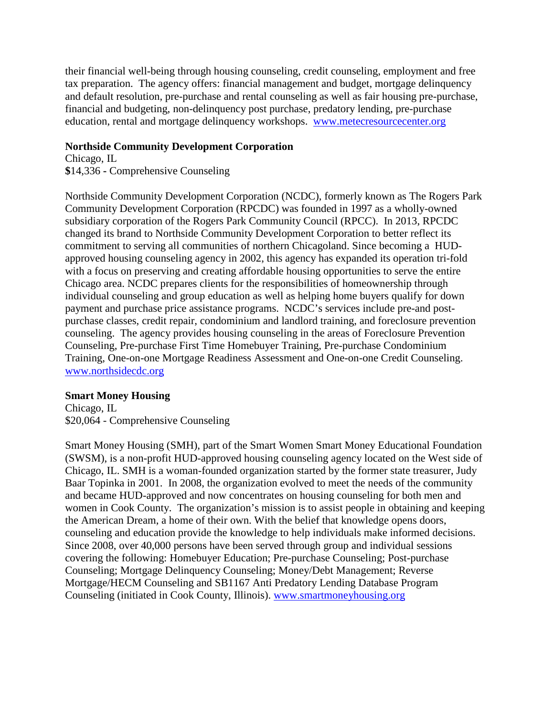their financial well-being through housing counseling, credit counseling, employment and free tax preparation. The agency offers: financial management and budget, mortgage delinquency and default resolution, pre-purchase and rental counseling as well as fair housing pre-purchase, financial and budgeting, non-delinquency post purchase, predatory lending, pre-purchase education, rental and mortgage delinquency workshops. [www.metecresourcecenter.org](http://www.metecresourcecenter.org/)

## **Northside Community Development Corporation**

Chicago, IL **\$**14,336 **-** Comprehensive Counseling

Northside Community Development Corporation (NCDC), formerly known as The Rogers Park Community Development Corporation (RPCDC) was founded in 1997 as a wholly-owned subsidiary corporation of the Rogers Park Community Council (RPCC). In 2013, RPCDC changed its brand to Northside Community Development Corporation to better reflect its commitment to serving all communities of northern Chicagoland. Since becoming a HUDapproved housing counseling agency in 2002, this agency has expanded its operation tri-fold with a focus on preserving and creating affordable housing opportunities to serve the entire Chicago area. NCDC prepares clients for the responsibilities of homeownership through individual counseling and group education as well as helping home buyers qualify for down payment and purchase price assistance programs. NCDC's services include pre-and postpurchase classes, credit repair, condominium and landlord training, and foreclosure prevention counseling. The agency provides housing counseling in the areas of Foreclosure Prevention Counseling, Pre-purchase First Time Homebuyer Training, Pre-purchase Condominium Training, One-on-one Mortgage Readiness Assessment and One-on-one Credit Counseling. [www.northsidecdc.org](http://www.northsidecdc.org/)

# **Smart Money Housing**

Chicago, IL \$20,064 - Comprehensive Counseling

Smart Money Housing (SMH), part of the Smart Women Smart Money Educational Foundation (SWSM), is a non-profit HUD-approved housing counseling agency located on the West side of Chicago, IL. SMH is a woman-founded organization started by the former state treasurer, Judy Baar Topinka in 2001. In 2008, the organization evolved to meet the needs of the community and became HUD-approved and now concentrates on housing counseling for both men and women in Cook County. The organization's mission is to assist people in obtaining and keeping the American Dream, a home of their own. With the belief that knowledge opens doors, counseling and education provide the knowledge to help individuals make informed decisions. Since 2008, over 40,000 persons have been served through group and individual sessions covering the following: Homebuyer Education; Pre-purchase Counseling; Post-purchase Counseling; Mortgage Delinquency Counseling; Money/Debt Management; Reverse Mortgage/HECM Counseling and SB1167 Anti Predatory Lending Database Program Counseling (initiated in Cook County, Illinois). [www.smartmoneyhousing.org](http://www.smartmoneyhousing.org/)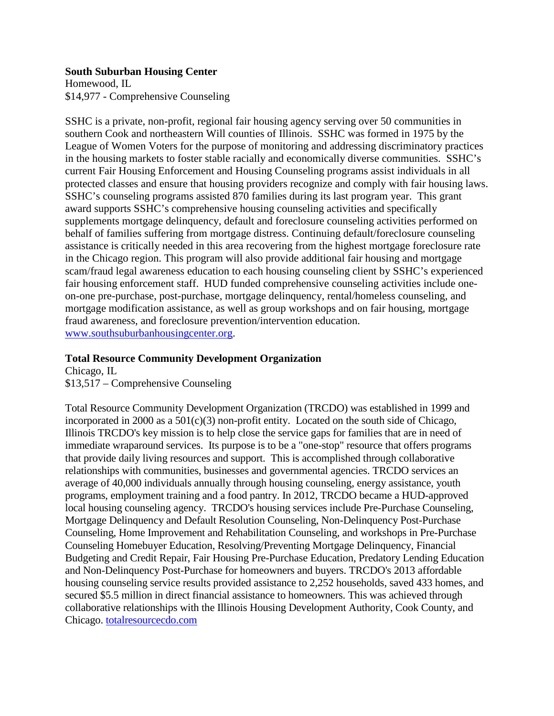### **South Suburban Housing Center**

Homewood, IL \$14,977 - Comprehensive Counseling

SSHC is a private, non-profit, regional fair housing agency serving over 50 communities in southern Cook and northeastern Will counties of Illinois. SSHC was formed in 1975 by the League of Women Voters for the purpose of monitoring and addressing discriminatory practices in the housing markets to foster stable racially and economically diverse communities. SSHC's current Fair Housing Enforcement and Housing Counseling programs assist individuals in all protected classes and ensure that housing providers recognize and comply with fair housing laws. SSHC's counseling programs assisted 870 families during its last program year. This grant award supports SSHC's comprehensive housing counseling activities and specifically supplements mortgage delinquency, default and foreclosure counseling activities performed on behalf of families suffering from mortgage distress. Continuing default/foreclosure counseling assistance is critically needed in this area recovering from the highest mortgage foreclosure rate in the Chicago region. This program will also provide additional fair housing and mortgage scam/fraud legal awareness education to each housing counseling client by SSHC's experienced fair housing enforcement staff. HUD funded comprehensive counseling activities include oneon-one pre-purchase, post-purchase, mortgage delinquency, rental/homeless counseling, and mortgage modification assistance, as well as group workshops and on fair housing, mortgage fraud awareness, and foreclosure prevention/intervention education. [www.southsuburbanhousingcenter.org](http://www.southsuburbanhousingcenter.org/).

## **Total Resource Community Development Organization**

Chicago, IL \$13,517 – Comprehensive Counseling

Total Resource Community Development Organization (TRCDO) was established in 1999 and incorporated in 2000 as a  $501(c)(3)$  non-profit entity. Located on the south side of Chicago, Illinois TRCDO's key mission is to help close the service gaps for families that are in need of immediate wraparound services. Its purpose is to be a "one-stop" resource that offers programs that provide daily living resources and support. This is accomplished through collaborative relationships with communities, businesses and governmental agencies. TRCDO services an average of 40,000 individuals annually through housing counseling, energy assistance, youth programs, employment training and a food pantry. In 2012, TRCDO became a HUD-approved local housing counseling agency. TRCDO's housing services include Pre-Purchase Counseling, Mortgage Delinquency and Default Resolution Counseling, Non-Delinquency Post-Purchase Counseling, Home Improvement and Rehabilitation Counseling, and workshops in Pre-Purchase Counseling Homebuyer Education, Resolving/Preventing Mortgage Delinquency, Financial Budgeting and Credit Repair, Fair Housing Pre-Purchase Education, Predatory Lending Education and Non-Delinquency Post-Purchase for homeowners and buyers. TRCDO's 2013 affordable housing counseling service results provided assistance to 2,252 households, saved 433 homes, and secured \$5.5 million in direct financial assistance to homeowners. This was achieved through collaborative relationships with the Illinois Housing Development Authority, Cook County, and Chicago. [totalresourcecdo.com](http://totalresourcecdo.com/)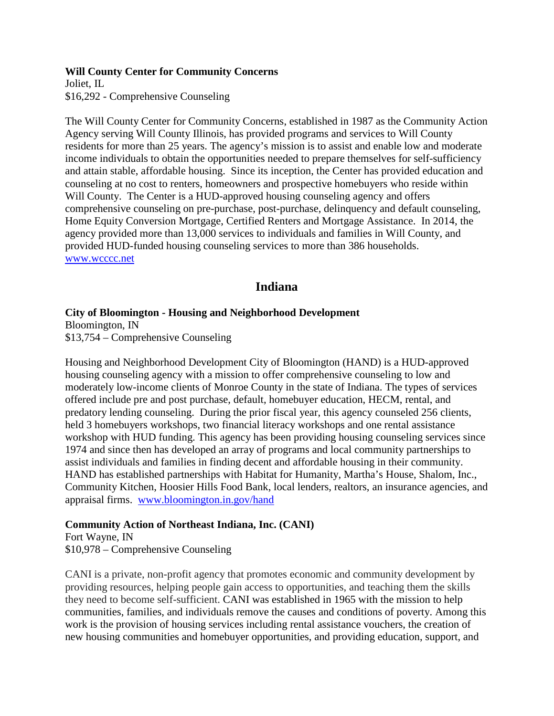**Will County Center for Community Concerns**

Joliet, IL \$16,292 - Comprehensive Counseling

The Will County Center for Community Concerns, established in 1987 as the Community Action Agency serving Will County Illinois, has provided programs and services to Will County residents for more than 25 years. The agency's mission is to assist and enable low and moderate income individuals to obtain the opportunities needed to prepare themselves for self-sufficiency and attain stable, affordable housing. Since its inception, the Center has provided education and counseling at no cost to renters, homeowners and prospective homebuyers who reside within Will County. The Center is a HUD-approved housing counseling agency and offers comprehensive counseling on pre-purchase, post-purchase, delinquency and default counseling, Home Equity Conversion Mortgage, Certified Renters and Mortgage Assistance. In 2014, the agency provided more than 13,000 services to individuals and families in Will County, and provided HUD-funded housing counseling services to more than 386 households. [www.wcccc.net](http://www.wcccc.net/)

# **Indiana**

## **City of Bloomington - Housing and Neighborhood Development**

Bloomington, IN \$13,754 – Comprehensive Counseling

Housing and Neighborhood Development City of Bloomington (HAND) is a HUD-approved housing counseling agency with a mission to offer comprehensive counseling to low and moderately low-income clients of Monroe County in the state of Indiana. The types of services offered include pre and post purchase, default, homebuyer education, HECM, rental, and predatory lending counseling. During the prior fiscal year, this agency counseled 256 clients, held 3 homebuyers workshops, two financial literacy workshops and one rental assistance workshop with HUD funding. This agency has been providing housing counseling services since 1974 and since then has developed an array of programs and local community partnerships to assist individuals and families in finding decent and affordable housing in their community. HAND has established partnerships with Habitat for Humanity, Martha's House, Shalom, Inc., Community Kitchen, Hoosier Hills Food Bank, local lenders, realtors, an insurance agencies, and appraisal firms. [www.bloomington.in.gov/hand](http://www.bloomington.in.gov/hand)

# **Community Action of Northeast Indiana, Inc. (CANI)**

Fort Wayne, IN \$10,978 – Comprehensive Counseling

CANI is a private, non-profit agency that promotes economic and community development by providing resources, helping people gain access to opportunities, and teaching them the skills they need to become self-sufficient. CANI was established in 1965 with the mission to help communities, families, and individuals remove the causes and conditions of poverty. Among this work is the provision of housing services including rental assistance vouchers, the creation of new housing communities and homebuyer opportunities, and providing education, support, and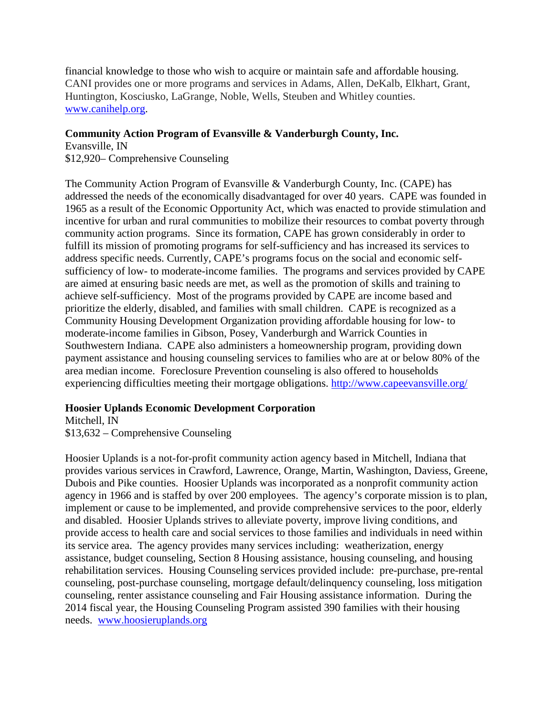financial knowledge to those who wish to acquire or maintain safe and affordable housing. CANI provides one or more programs and services in Adams, Allen, DeKalb, Elkhart, Grant, Huntington, Kosciusko, LaGrange, Noble, Wells, Steuben and Whitley counties. [www.canihelp.org.](http://www.canihelp.org/)

### **Community Action Program of Evansville & Vanderburgh County, Inc.**

Evansville, IN

\$12,920– Comprehensive Counseling

The Community Action Program of Evansville & Vanderburgh County, Inc. (CAPE) has addressed the needs of the economically disadvantaged for over 40 years. CAPE was founded in 1965 as a result of the Economic Opportunity Act, which was enacted to provide stimulation and incentive for urban and rural communities to mobilize their resources to combat poverty through community action programs. Since its formation, CAPE has grown considerably in order to fulfill its mission of promoting programs for self-sufficiency and has increased its services to address specific needs. Currently, CAPE's programs focus on the social and economic selfsufficiency of low- to moderate-income families. The programs and services provided by CAPE are aimed at ensuring basic needs are met, as well as the promotion of skills and training to achieve self-sufficiency. Most of the programs provided by CAPE are income based and prioritize the elderly, disabled, and families with small children. CAPE is recognized as a Community Housing Development Organization providing affordable housing for low- to moderate-income families in Gibson, Posey, Vanderburgh and Warrick Counties in Southwestern Indiana. CAPE also administers a homeownership program, providing down payment assistance and housing counseling services to families who are at or below 80% of the area median income. Foreclosure Prevention counseling is also offered to households experiencing difficulties meeting their mortgage obligations. <http://www.capeevansville.org/>

### **Hoosier Uplands Economic Development Corporation**

Mitchell, IN

\$13,632 – Comprehensive Counseling

Hoosier Uplands is a not-for-profit community action agency based in Mitchell, Indiana that provides various services in Crawford, Lawrence, Orange, Martin, Washington, Daviess, Greene, Dubois and Pike counties. Hoosier Uplands was incorporated as a nonprofit community action agency in 1966 and is staffed by over 200 employees. The agency's corporate mission is to plan, implement or cause to be implemented, and provide comprehensive services to the poor, elderly and disabled. Hoosier Uplands strives to alleviate poverty, improve living conditions, and provide access to health care and social services to those families and individuals in need within its service area. The agency provides many services including: weatherization, energy assistance, budget counseling, Section 8 Housing assistance, housing counseling, and housing rehabilitation services. Housing Counseling services provided include: pre-purchase, pre-rental counseling, post-purchase counseling, mortgage default/delinquency counseling, loss mitigation counseling, renter assistance counseling and Fair Housing assistance information. During the 2014 fiscal year, the Housing Counseling Program assisted 390 families with their housing needs. [www.hoosieruplands.org](http://www.hoosieruplands.org/)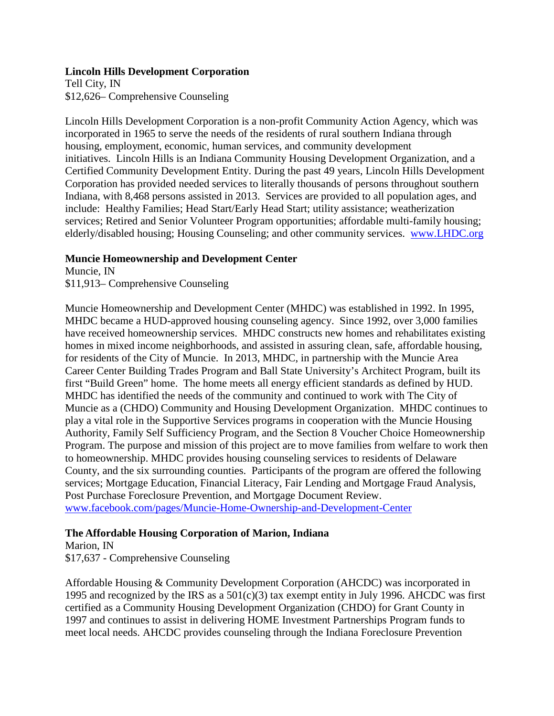### **Lincoln Hills Development Corporation**

Tell City, IN \$12,626– Comprehensive Counseling

Lincoln Hills Development Corporation is a non-profit Community Action Agency, which was incorporated in 1965 to serve the needs of the residents of rural southern Indiana through housing, employment, economic, human services, and community development initiatives. Lincoln Hills is an Indiana Community Housing Development Organization, and a Certified Community Development Entity. During the past 49 years, Lincoln Hills Development Corporation has provided needed services to literally thousands of persons throughout southern Indiana, with 8,468 persons assisted in 2013. Services are provided to all population ages, and include: Healthy Families; Head Start/Early Head Start; utility assistance; weatherization services; Retired and Senior Volunteer Program opportunities; affordable multi-family housing; elderly/disabled housing; Housing Counseling; and other community services. [www.LHDC.org](http://www.lhdc.org/)

### **Muncie Homeownership and Development Center**

Muncie, IN \$11,913– Comprehensive Counseling

Muncie Homeownership and Development Center (MHDC) was established in 1992. In 1995, MHDC became a HUD-approved housing counseling agency. Since 1992, over 3,000 families have received homeownership services. MHDC constructs new homes and rehabilitates existing homes in mixed income neighborhoods, and assisted in assuring clean, safe, affordable housing, for residents of the City of Muncie. In 2013, MHDC, in partnership with the Muncie Area Career Center Building Trades Program and Ball State University's Architect Program, built its first "Build Green" home. The home meets all energy efficient standards as defined by HUD. MHDC has identified the needs of the community and continued to work with The City of Muncie as a (CHDO) Community and Housing Development Organization. MHDC continues to play a vital role in the Supportive Services programs in cooperation with the Muncie Housing Authority, Family Self Sufficiency Program, and the Section 8 Voucher Choice Homeownership Program. The purpose and mission of this project are to move families from welfare to work then to homeownership. MHDC provides housing counseling services to residents of Delaware County, and the six surrounding counties. Participants of the program are offered the following services; Mortgage Education, Financial Literacy, Fair Lending and Mortgage Fraud Analysis, Post Purchase Foreclosure Prevention, and Mortgage Document Review. [www.facebook.com/pages/Muncie-Home-Ownership-and-Development-Center](http://www.facebook.com/pages/Muncie-Home-Ownership-and-Development-Center)

# **The Affordable Housing Corporation of Marion, Indiana**

Marion, IN \$17,637 - Comprehensive Counseling

Affordable Housing & Community Development Corporation (AHCDC) was incorporated in 1995 and recognized by the IRS as a  $501(c)(3)$  tax exempt entity in July 1996. AHCDC was first certified as a Community Housing Development Organization (CHDO) for Grant County in 1997 and continues to assist in delivering HOME Investment Partnerships Program funds to meet local needs. AHCDC provides counseling through the Indiana Foreclosure Prevention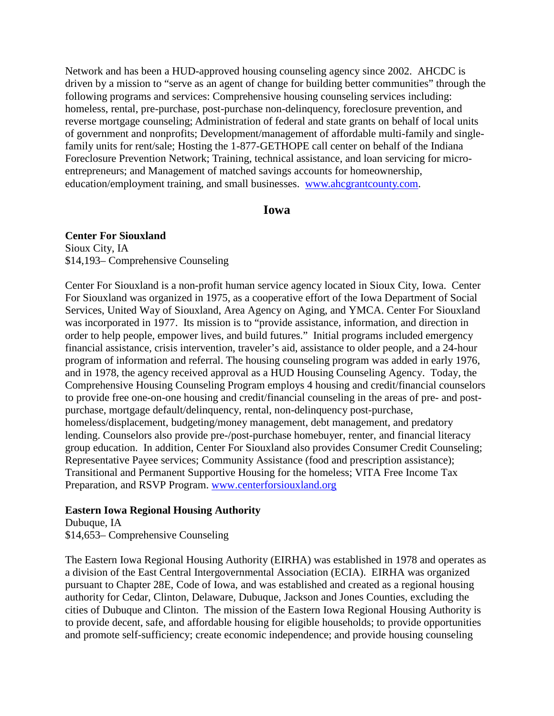Network and has been a HUD-approved housing counseling agency since 2002. AHCDC is driven by a mission to "serve as an agent of change for building better communities" through the following programs and services: Comprehensive housing counseling services including: homeless, rental, pre-purchase, post-purchase non-delinquency, foreclosure prevention, and reverse mortgage counseling; Administration of federal and state grants on behalf of local units of government and nonprofits; Development/management of affordable multi-family and singlefamily units for rent/sale; Hosting the 1-877-GETHOPE call center on behalf of the Indiana Foreclosure Prevention Network; Training, technical assistance, and loan servicing for microentrepreneurs; and Management of matched savings accounts for homeownership, education/employment training, and small businesses. [www.ahcgrantcounty.com](http://www.ahcgrantcounty.com/).

### **Iowa**

**Center For Siouxland** Sioux City, IA \$14,193– Comprehensive Counseling

Center For Siouxland is a non-profit human service agency located in Sioux City, Iowa. Center For Siouxland was organized in 1975, as a cooperative effort of the Iowa Department of Social Services, United Way of Siouxland, Area Agency on Aging, and YMCA. Center For Siouxland was incorporated in 1977. Its mission is to "provide assistance, information, and direction in order to help people, empower lives, and build futures." Initial programs included emergency financial assistance, crisis intervention, traveler's aid, assistance to older people, and a 24-hour program of information and referral. The housing counseling program was added in early 1976, and in 1978, the agency received approval as a HUD Housing Counseling Agency. Today, the Comprehensive Housing Counseling Program employs 4 housing and credit/financial counselors to provide free one-on-one housing and credit/financial counseling in the areas of pre- and postpurchase, mortgage default/delinquency, rental, non-delinquency post-purchase, homeless/displacement, budgeting/money management, debt management, and predatory lending. Counselors also provide pre-/post-purchase homebuyer, renter, and financial literacy group education. In addition, Center For Siouxland also provides Consumer Credit Counseling; Representative Payee services; Community Assistance (food and prescription assistance); Transitional and Permanent Supportive Housing for the homeless; VITA Free Income Tax Preparation, and RSVP Program. [www.centerforsiouxland.org](http://www.centerforsiouxland.org/)

### **Eastern Iowa Regional Housing Authority**

Dubuque, IA \$14,653– Comprehensive Counseling

The Eastern Iowa Regional Housing Authority (EIRHA) was established in 1978 and operates as a division of the East Central Intergovernmental Association (ECIA). EIRHA was organized pursuant to Chapter 28E, Code of Iowa, and was established and created as a regional housing authority for Cedar, Clinton, Delaware, Dubuque, Jackson and Jones Counties, excluding the cities of Dubuque and Clinton. The mission of the Eastern Iowa Regional Housing Authority is to provide decent, safe, and affordable housing for eligible households; to provide opportunities and promote self-sufficiency; create economic independence; and provide housing counseling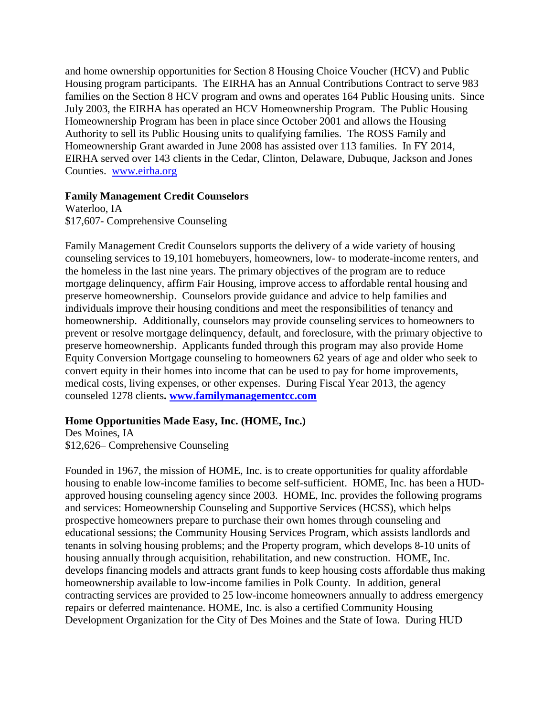and home ownership opportunities for Section 8 Housing Choice Voucher (HCV) and Public Housing program participants. The EIRHA has an Annual Contributions Contract to serve 983 families on the Section 8 HCV program and owns and operates 164 Public Housing units. Since July 2003, the EIRHA has operated an HCV Homeownership Program. The Public Housing Homeownership Program has been in place since October 2001 and allows the Housing Authority to sell its Public Housing units to qualifying families. The ROSS Family and Homeownership Grant awarded in June 2008 has assisted over 113 families. In FY 2014, EIRHA served over 143 clients in the Cedar, Clinton, Delaware, Dubuque, Jackson and Jones Counties. [www.eirha.org](http://www.easterniowaregionalhousing.org/)

### **Family Management Credit Counselors**

Waterloo, IA \$17,607- Comprehensive Counseling

Family Management Credit Counselors supports the delivery of a wide variety of housing counseling services to 19,101 homebuyers, homeowners, low- to moderate-income renters, and the homeless in the last nine years. The primary objectives of the program are to reduce mortgage delinquency, affirm Fair Housing, improve access to affordable rental housing and preserve homeownership. Counselors provide guidance and advice to help families and individuals improve their housing conditions and meet the responsibilities of tenancy and homeownership. Additionally, counselors may provide counseling services to homeowners to prevent or resolve mortgage delinquency, default, and foreclosure, with the primary objective to preserve homeownership. Applicants funded through this program may also provide Home Equity Conversion Mortgage counseling to homeowners 62 years of age and older who seek to convert equity in their homes into income that can be used to pay for home improvements, medical costs, living expenses, or other expenses. During Fiscal Year 2013, the agency counseled 1278 clients**. [www.familymanagementcc.com](http://www.familymanagementcc.com/)**

### **Home Opportunities Made Easy, Inc. (HOME, Inc.)**

Des Moines, IA \$12,626– Comprehensive Counseling

Founded in 1967, the mission of HOME, Inc. is to create opportunities for quality affordable housing to enable low-income families to become self-sufficient. HOME, Inc. has been a HUDapproved housing counseling agency since 2003. HOME, Inc. provides the following programs and services: Homeownership Counseling and Supportive Services (HCSS), which helps prospective homeowners prepare to purchase their own homes through counseling and educational sessions; the Community Housing Services Program, which assists landlords and tenants in solving housing problems; and the Property program, which develops 8-10 units of housing annually through acquisition, rehabilitation, and new construction. HOME, Inc. develops financing models and attracts grant funds to keep housing costs affordable thus making homeownership available to low-income families in Polk County. In addition, general contracting services are provided to 25 low-income homeowners annually to address emergency repairs or deferred maintenance. HOME, Inc. is also a certified Community Housing Development Organization for the City of Des Moines and the State of Iowa. During HUD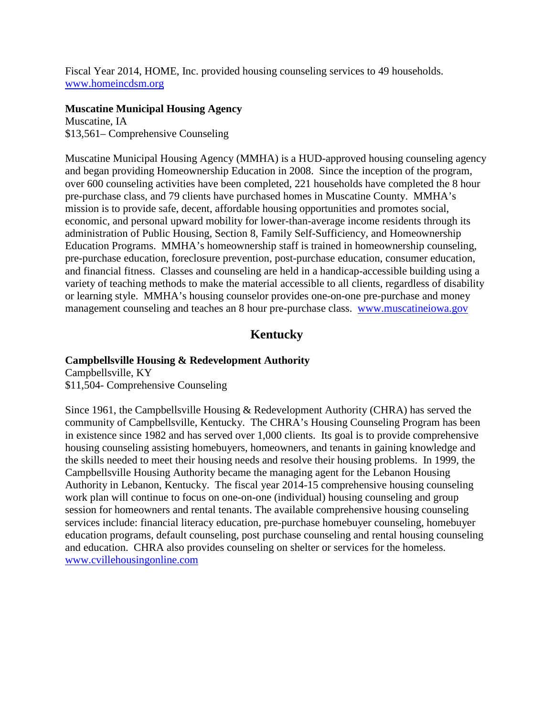Fiscal Year 2014, HOME, Inc. provided housing counseling services to 49 households. [www.homeincdsm.org](http://www.homeincdsm.org/)

### **Muscatine Municipal Housing Agency**

Muscatine, IA \$13,561– Comprehensive Counseling

Muscatine Municipal Housing Agency (MMHA) is a HUD-approved housing counseling agency and began providing Homeownership Education in 2008. Since the inception of the program, over 600 counseling activities have been completed, 221 households have completed the 8 hour pre-purchase class, and 79 clients have purchased homes in Muscatine County. MMHA's mission is to provide safe, decent, affordable housing opportunities and promotes social, economic, and personal upward mobility for lower-than-average income residents through its administration of Public Housing, Section 8, Family Self-Sufficiency, and Homeownership Education Programs. MMHA's homeownership staff is trained in homeownership counseling, pre-purchase education, foreclosure prevention, post-purchase education, consumer education, and financial fitness. Classes and counseling are held in a handicap-accessible building using a variety of teaching methods to make the material accessible to all clients, regardless of disability or learning style. MMHA's housing counselor provides one-on-one pre-purchase and money management counseling and teaches an 8 hour pre-purchase class. [www.muscatineiowa.gov](http://www.muscatineiowa.gov/)

# **Kentucky**

# **Campbellsville Housing & Redevelopment Authority**

Campbellsville, KY \$11,504- Comprehensive Counseling

Since 1961, the Campbellsville Housing & Redevelopment Authority (CHRA) has served the community of Campbellsville, Kentucky. The CHRA's Housing Counseling Program has been in existence since 1982 and has served over 1,000 clients. Its goal is to provide comprehensive housing counseling assisting homebuyers, homeowners, and tenants in gaining knowledge and the skills needed to meet their housing needs and resolve their housing problems. In 1999, the Campbellsville Housing Authority became the managing agent for the Lebanon Housing Authority in Lebanon, Kentucky. The fiscal year 2014-15 comprehensive housing counseling work plan will continue to focus on one-on-one (individual) housing counseling and group session for homeowners and rental tenants. The available comprehensive housing counseling services include: financial literacy education, pre-purchase homebuyer counseling, homebuyer education programs, default counseling, post purchase counseling and rental housing counseling and education. CHRA also provides counseling on shelter or services for the homeless. [www.cvillehousingonline.com](http://www.cvillehousingonline.com/)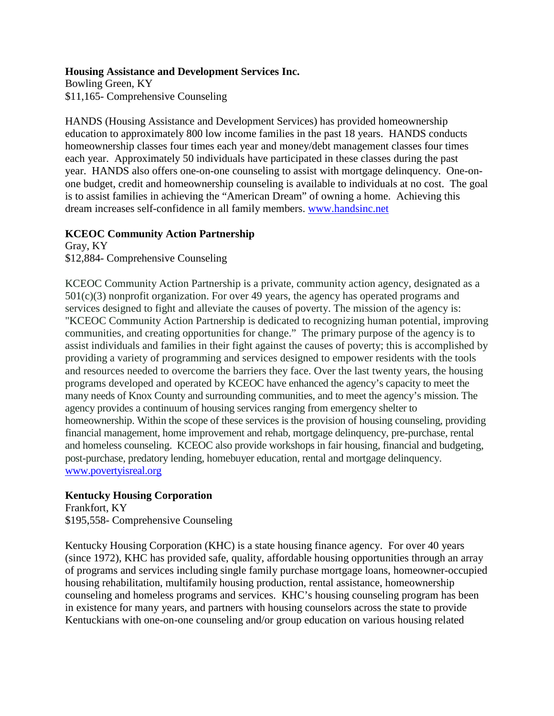### **Housing Assistance and Development Services Inc.**

Bowling Green, KY \$11,165- Comprehensive Counseling

HANDS (Housing Assistance and Development Services) has provided homeownership education to approximately 800 low income families in the past 18 years. HANDS conducts homeownership classes four times each year and money/debt management classes four times each year. Approximately 50 individuals have participated in these classes during the past year. HANDS also offers one-on-one counseling to assist with mortgage delinquency. One-onone budget, credit and homeownership counseling is available to individuals at no cost. The goal is to assist families in achieving the "American Dream" of owning a home. Achieving this dream increases self-confidence in all family members. [www.handsinc.net](http://www.handsinc.net/)

### **KCEOC Community Action Partnership**

Gray, KY \$12,884- Comprehensive Counseling

KCEOC Community Action Partnership is a private, community action agency, designated as a 501(c)(3) nonprofit organization. For over 49 years, the agency has operated programs and services designed to fight and alleviate the causes of poverty. The mission of the agency is: "KCEOC Community Action Partnership is dedicated to recognizing human potential, improving communities, and creating opportunities for change." The primary purpose of the agency is to assist individuals and families in their fight against the causes of poverty; this is accomplished by providing a variety of programming and services designed to empower residents with the tools and resources needed to overcome the barriers they face. Over the last twenty years, the housing programs developed and operated by KCEOC have enhanced the agency's capacity to meet the many needs of Knox County and surrounding communities, and to meet the agency's mission. The agency provides a continuum of housing services ranging from emergency shelter to homeownership. Within the scope of these services is the provision of housing counseling, providing financial management, home improvement and rehab, mortgage delinquency, pre-purchase, rental and homeless counseling. KCEOC also provide workshops in fair housing, financial and budgeting, post-purchase, predatory lending, homebuyer education, rental and mortgage delinquency. [www.povertyisreal.org](http://www.povertyisreal.org/)

# **Kentucky Housing Corporation**

Frankfort, KY \$195,558- Comprehensive Counseling

Kentucky Housing Corporation (KHC) is a state housing finance agency. For over 40 years (since 1972), KHC has provided safe, quality, affordable housing opportunities through an array of programs and services including single family purchase mortgage loans, homeowner-occupied housing rehabilitation, multifamily housing production, rental assistance, homeownership counseling and homeless programs and services. KHC's housing counseling program has been in existence for many years, and partners with housing counselors across the state to provide Kentuckians with one-on-one counseling and/or group education on various housing related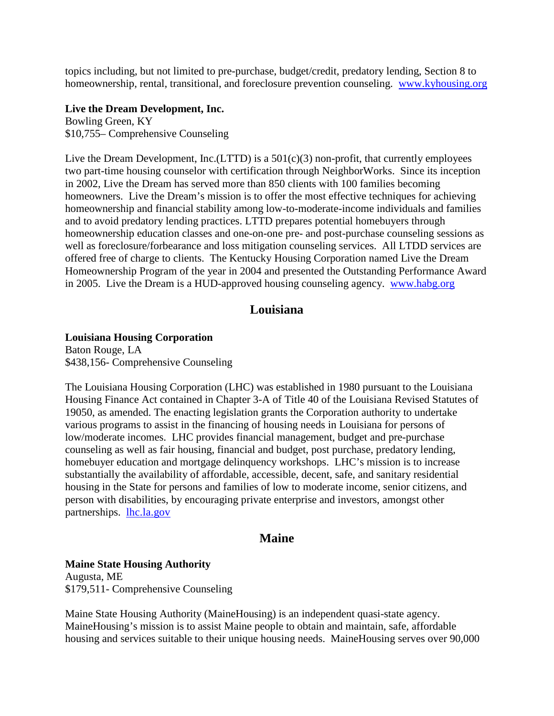topics including, but not limited to pre-purchase, budget/credit, predatory lending, Section 8 to homeownership, rental, transitional, and foreclosure prevention counseling. [www.kyhousing.org](http://www.kyhousing.org/)

### **Live the Dream Development, Inc.**

Bowling Green, KY \$10,755– Comprehensive Counseling

Live the Dream Development, Inc.(LTTD) is a 501(c)(3) non-profit, that currently employees two part-time housing counselor with certification through NeighborWorks. Since its inception in 2002, Live the Dream has served more than 850 clients with 100 families becoming homeowners. Live the Dream's mission is to offer the most effective techniques for achieving homeownership and financial stability among low-to-moderate-income individuals and families and to avoid predatory lending practices. LTTD prepares potential homebuyers through homeownership education classes and one-on-one pre- and post-purchase counseling sessions as well as foreclosure/forbearance and loss mitigation counseling services. All LTDD services are offered free of charge to clients. The Kentucky Housing Corporation named Live the Dream Homeownership Program of the year in 2004 and presented the Outstanding Performance Award in 2005. Live the Dream is a HUD-approved housing counseling agency. [www.habg.org](http://www.habg.org/)

# **Louisiana**

### **Louisiana Housing Corporation**

Baton Rouge, LA \$438,156- Comprehensive Counseling

The Louisiana Housing Corporation (LHC) was established in 1980 pursuant to the Louisiana Housing Finance Act contained in Chapter 3-A of Title 40 of the Louisiana Revised Statutes of 19050, as amended. The enacting legislation grants the Corporation authority to undertake various programs to assist in the financing of housing needs in Louisiana for persons of low/moderate incomes. LHC provides financial management, budget and pre-purchase counseling as well as fair housing, financial and budget, post purchase, predatory lending, homebuyer education and mortgage delinquency workshops. LHC's mission is to increase substantially the availability of affordable, accessible, decent, safe, and sanitary residential housing in the State for persons and families of low to moderate income, senior citizens, and person with disabilities, by encouraging private enterprise and investors, amongst other partnerships. [lhc.la.gov](http://lhc.la.gov/)

# **Maine**

### **Maine State Housing Authority**

Augusta, ME \$179,511- Comprehensive Counseling

Maine State Housing Authority (MaineHousing) is an independent quasi-state agency. MaineHousing's mission is to assist Maine people to obtain and maintain, safe, affordable housing and services suitable to their unique housing needs. MaineHousing serves over 90,000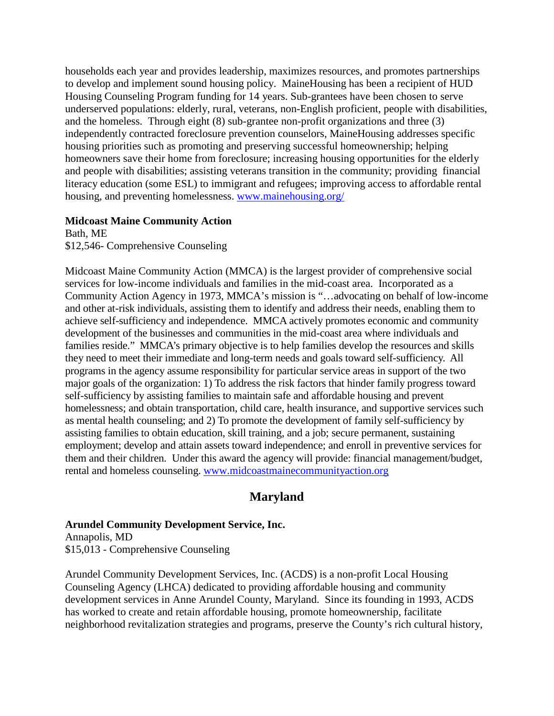households each year and provides leadership, maximizes resources, and promotes partnerships to develop and implement sound housing policy. MaineHousing has been a recipient of HUD Housing Counseling Program funding for 14 years. Sub-grantees have been chosen to serve underserved populations: elderly, rural, veterans, non-English proficient, people with disabilities, and the homeless. Through eight (8) sub-grantee non-profit organizations and three (3) independently contracted foreclosure prevention counselors, MaineHousing addresses specific housing priorities such as promoting and preserving successful homeownership; helping homeowners save their home from foreclosure; increasing housing opportunities for the elderly and people with disabilities; assisting veterans transition in the community; providing financial literacy education (some ESL) to immigrant and refugees; improving access to affordable rental housing, and preventing homelessness. [www.mainehousing.org/](http://www.mainehousing.org/)

#### **Midcoast Maine Community Action**

Bath, ME \$12,546- Comprehensive Counseling

Midcoast Maine Community Action (MMCA) is the largest provider of comprehensive social services for low-income individuals and families in the mid-coast area. Incorporated as a Community Action Agency in 1973, MMCA's mission is "…advocating on behalf of low-income and other at-risk individuals, assisting them to identify and address their needs, enabling them to achieve self-sufficiency and independence. MMCA actively promotes economic and community development of the businesses and communities in the mid-coast area where individuals and families reside." MMCA's primary objective is to help families develop the resources and skills they need to meet their immediate and long-term needs and goals toward self-sufficiency. All programs in the agency assume responsibility for particular service areas in support of the two major goals of the organization: 1) To address the risk factors that hinder family progress toward self-sufficiency by assisting families to maintain safe and affordable housing and prevent homelessness; and obtain transportation, child care, health insurance, and supportive services such as mental health counseling; and 2) To promote the development of family self-sufficiency by assisting families to obtain education, skill training, and a job; secure permanent, sustaining employment; develop and attain assets toward independence; and enroll in preventive services for them and their children. Under this award the agency will provide: financial management/budget, rental and homeless counseling. [www.midcoastmainecommunityaction.org](http://www.midcoastmainecommunityaction.org/)

# **Maryland**

### **Arundel Community Development Service, Inc.**

Annapolis, MD \$15,013 - Comprehensive Counseling

Arundel Community Development Services, Inc. (ACDS) is a non-profit Local Housing Counseling Agency (LHCA) dedicated to providing affordable housing and community development services in Anne Arundel County, Maryland. Since its founding in 1993, ACDS has worked to create and retain affordable housing, promote homeownership, facilitate neighborhood revitalization strategies and programs, preserve the County's rich cultural history,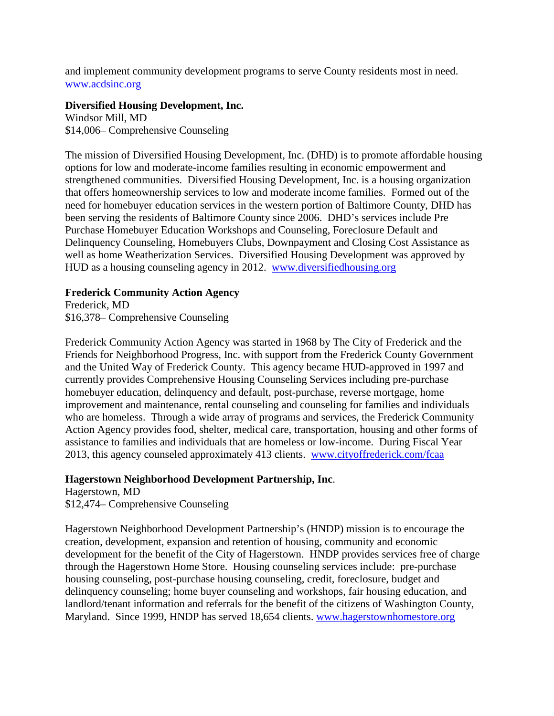and implement community development programs to serve County residents most in need. www.acdsinc.org

### **Diversified Housing Development, Inc.**

Windsor Mill, MD \$14,006– Comprehensive Counseling

The mission of Diversified Housing Development, Inc. (DHD) is to promote affordable housing options for low and moderate-income families resulting in economic empowerment and strengthened communities. Diversified Housing Development, Inc. is a housing organization that offers homeownership services to low and moderate income families. Formed out of the need for homebuyer education services in the western portion of Baltimore County, DHD has been serving the residents of Baltimore County since 2006. DHD's services include Pre Purchase Homebuyer Education Workshops and Counseling, Foreclosure Default and Delinquency Counseling, Homebuyers Clubs, Downpayment and Closing Cost Assistance as well as home Weatherization Services. Diversified Housing Development was approved by HUD as a housing counseling agency in 2012. [www.diversifiedhousing.org](http://www.diversifiedhousing.org/)

# **Frederick Community Action Agency**

Frederick, MD \$16,378– Comprehensive Counseling

Frederick Community Action Agency was started in 1968 by The City of Frederick and the Friends for Neighborhood Progress, Inc. with support from the Frederick County Government and the United Way of Frederick County. This agency became HUD-approved in 1997 and currently provides Comprehensive Housing Counseling Services including pre-purchase homebuyer education, delinquency and default, post-purchase, reverse mortgage, home improvement and maintenance, rental counseling and counseling for families and individuals who are homeless. Through a wide array of programs and services, the Frederick Community Action Agency provides food, shelter, medical care, transportation, housing and other forms of assistance to families and individuals that are homeless or low-income. During Fiscal Year 2013, this agency counseled approximately 413 clients. [www.cityoffrederick.com/fcaa](http://www.cityoffrederick.com/fcaa)

# **Hagerstown Neighborhood Development Partnership, Inc**.

Hagerstown, MD \$12,474– Comprehensive Counseling

Hagerstown Neighborhood Development Partnership's (HNDP) mission is to encourage the creation, development, expansion and retention of housing, community and economic development for the benefit of the City of Hagerstown. HNDP provides services free of charge through the Hagerstown Home Store. Housing counseling services include: pre-purchase housing counseling, post-purchase housing counseling, credit, foreclosure, budget and delinquency counseling; home buyer counseling and workshops, fair housing education, and landlord/tenant information and referrals for the benefit of the citizens of Washington County, Maryland. Since 1999, HNDP has served 18,654 clients. [www.hagerstownhomestore.org](http://www.hagerstownhomestore.org/)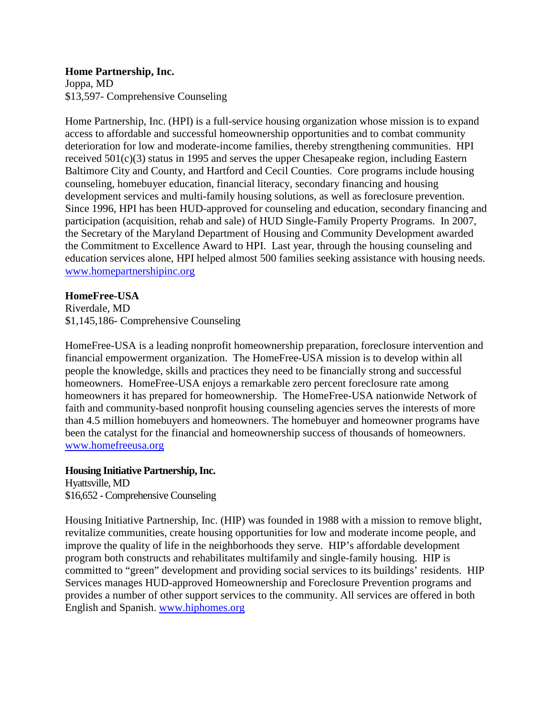**Home Partnership, Inc.** Joppa, MD \$13,597- Comprehensive Counseling

Home Partnership, Inc. (HPI) is a full-service housing organization whose mission is to expand access to affordable and successful homeownership opportunities and to combat community deterioration for low and moderate-income families, thereby strengthening communities. HPI received 501(c)(3) status in 1995 and serves the upper Chesapeake region, including Eastern Baltimore City and County, and Hartford and Cecil Counties. Core programs include housing counseling, homebuyer education, financial literacy, secondary financing and housing development services and multi-family housing solutions, as well as foreclosure prevention. Since 1996, HPI has been HUD-approved for counseling and education, secondary financing and participation (acquisition, rehab and sale) of HUD Single-Family Property Programs. In 2007, the Secretary of the Maryland Department of Housing and Community Development awarded the Commitment to Excellence Award to HPI. Last year, through the housing counseling and education services alone, HPI helped almost 500 families seeking assistance with housing needs. [www.homepartnershipinc.org](http://www.homepartnershipinc.org/)

### **HomeFree-USA**

Riverdale, MD \$1,145,186- Comprehensive Counseling

HomeFree-USA is a leading nonprofit homeownership preparation, foreclosure intervention and financial empowerment organization. The HomeFree-USA mission is to develop within all people the knowledge, skills and practices they need to be financially strong and successful homeowners. HomeFree-USA enjoys a remarkable zero percent foreclosure rate among homeowners it has prepared for homeownership. The HomeFree-USA nationwide Network of faith and community-based nonprofit housing counseling agencies serves the interests of more than 4.5 million homebuyers and homeowners. The homebuyer and homeowner programs have been the catalyst for the financial and homeownership success of thousands of homeowners. [www.homefreeusa.org](http://www.homefreeusa.org/)

**Housing Initiative Partnership, Inc.** Hyattsville, MD \$16,652 - Comprehensive Counseling

Housing Initiative Partnership, Inc. (HIP) was founded in 1988 with a mission to remove blight, revitalize communities, create housing opportunities for low and moderate income people, and improve the quality of life in the neighborhoods they serve. HIP's affordable development program both constructs and rehabilitates multifamily and single-family housing. HIP is committed to "green" development and providing social services to its buildings' residents. HIP Services manages HUD-approved Homeownership and Foreclosure Prevention programs and provides a number of other support services to the community. All services are offered in both English and Spanish. [www.hiphomes.org](http://www.hiphomes.org/)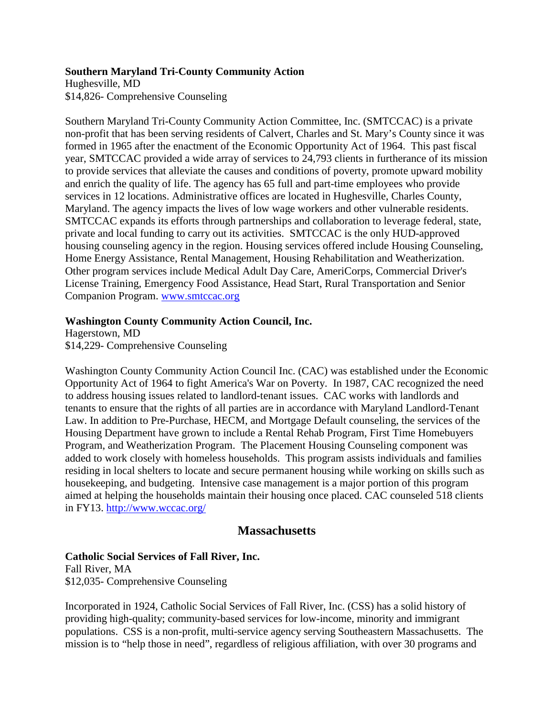### **Southern Maryland Tri-County Community Action**

Hughesville, MD \$14,826- Comprehensive Counseling

Southern Maryland Tri-County Community Action Committee, Inc. (SMTCCAC) is a private non-profit that has been serving residents of Calvert, Charles and St. Mary's County since it was formed in 1965 after the enactment of the Economic Opportunity Act of 1964. This past fiscal year, SMTCCAC provided a wide array of services to 24,793 clients in furtherance of its mission to provide services that alleviate the causes and conditions of poverty, promote upward mobility and enrich the quality of life. The agency has 65 full and part-time employees who provide services in 12 locations. Administrative offices are located in Hughesville, Charles County, Maryland. The agency impacts the lives of low wage workers and other vulnerable residents. SMTCCAC expands its efforts through partnerships and collaboration to leverage federal, state, private and local funding to carry out its activities. SMTCCAC is the only HUD-approved housing counseling agency in the region. Housing services offered include Housing Counseling, Home Energy Assistance, Rental Management, Housing Rehabilitation and Weatherization. Other program services include Medical Adult Day Care, AmeriCorps, Commercial Driver's License Training, Emergency Food Assistance, Head Start, Rural Transportation and Senior Companion Program. [www.smtccac.org](http://www.smtccac.org/)

### **Washington County Community Action Council, Inc.**

Hagerstown, MD \$14,229- Comprehensive Counseling

Washington County Community Action Council Inc. (CAC) was established under the Economic Opportunity Act of 1964 to fight America's War on Poverty. In 1987, CAC recognized the need to address housing issues related to landlord-tenant issues. CAC works with landlords and tenants to ensure that the rights of all parties are in accordance with Maryland Landlord-Tenant Law. In addition to Pre-Purchase, HECM, and Mortgage Default counseling, the services of the Housing Department have grown to include a Rental Rehab Program, First Time Homebuyers Program, and Weatherization Program. The Placement Housing Counseling component was added to work closely with homeless households. This program assists individuals and families residing in local shelters to locate and secure permanent housing while working on skills such as housekeeping, and budgeting. Intensive case management is a major portion of this program aimed at helping the households maintain their housing once placed. CAC counseled 518 clients in FY13. <http://www.wccac.org/>

# **Massachusetts**

# **Catholic Social Services of Fall River, Inc.**

Fall River, MA \$12,035- Comprehensive Counseling

Incorporated in 1924, Catholic Social Services of Fall River, Inc. (CSS) has a solid history of providing high-quality; community-based services for low-income, minority and immigrant populations. CSS is a non-profit, multi-service agency serving Southeastern Massachusetts. The mission is to "help those in need", regardless of religious affiliation, with over 30 programs and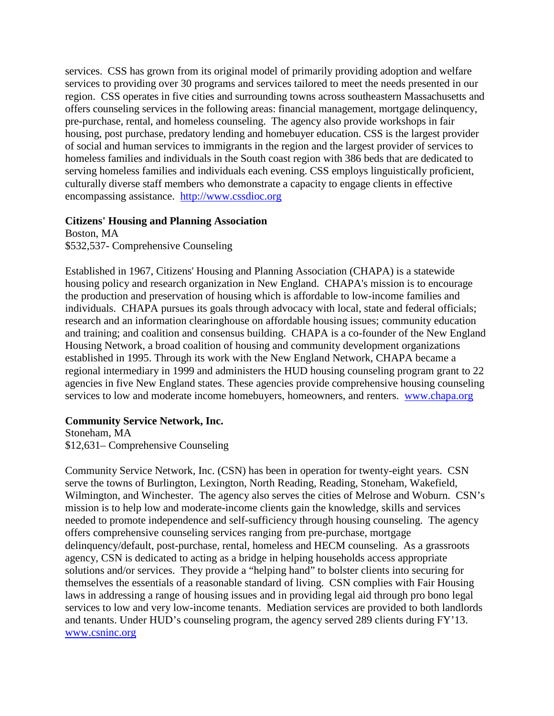services. CSS has grown from its original model of primarily providing adoption and welfare services to providing over 30 programs and services tailored to meet the needs presented in our region. CSS operates in five cities and surrounding towns across southeastern Massachusetts and offers counseling services in the following areas: financial management, mortgage delinquency, pre-purchase, rental, and homeless counseling. The agency also provide workshops in fair housing, post purchase, predatory lending and homebuyer education. CSS is the largest provider of social and human services to immigrants in the region and the largest provider of services to homeless families and individuals in the South coast region with 386 beds that are dedicated to serving homeless families and individuals each evening. CSS employs linguistically proficient, culturally diverse staff members who demonstrate a capacity to engage clients in effective encompassing assistance. [http://www.cssdioc.org](http://www.cssdioc.org/)

### **Citizens' Housing and Planning Association**

Boston, MA \$532,537- Comprehensive Counseling

Established in 1967, Citizens' Housing and Planning Association (CHAPA) is a statewide housing policy and research organization in New England. CHAPA's mission is to encourage the production and preservation of housing which is affordable to low-income families and individuals. CHAPA pursues its goals through advocacy with local, state and federal officials; research and an information clearinghouse on affordable housing issues; community education and training; and coalition and consensus building. CHAPA is a co-founder of the New England Housing Network, a broad coalition of housing and community development organizations established in 1995. Through its work with the New England Network, CHAPA became a regional intermediary in 1999 and administers the HUD housing counseling program grant to 22 agencies in five New England states. These agencies provide comprehensive housing counseling services to low and moderate income homebuyers, homeowners, and renters. www.chapa.org

### **Community Service Network, Inc.**

Stoneham, MA \$12,631– Comprehensive Counseling

Community Service Network, Inc. (CSN) has been in operation for twenty-eight years. CSN serve the towns of Burlington, Lexington, North Reading, Reading, Stoneham, Wakefield, Wilmington, and Winchester. The agency also serves the cities of Melrose and Woburn. CSN's mission is to help low and moderate-income clients gain the knowledge, skills and services needed to promote independence and self-sufficiency through housing counseling. The agency offers comprehensive counseling services ranging from pre-purchase, mortgage delinquency/default, post-purchase, rental, homeless and HECM counseling. As a grassroots agency, CSN is dedicated to acting as a bridge in helping households access appropriate solutions and/or services. They provide a "helping hand" to bolster clients into securing for themselves the essentials of a reasonable standard of living. CSN complies with Fair Housing laws in addressing a range of housing issues and in providing legal aid through pro bono legal services to low and very low-income tenants. Mediation services are provided to both landlords and tenants. Under HUD's counseling program, the agency served 289 clients during FY'13. www.csninc.org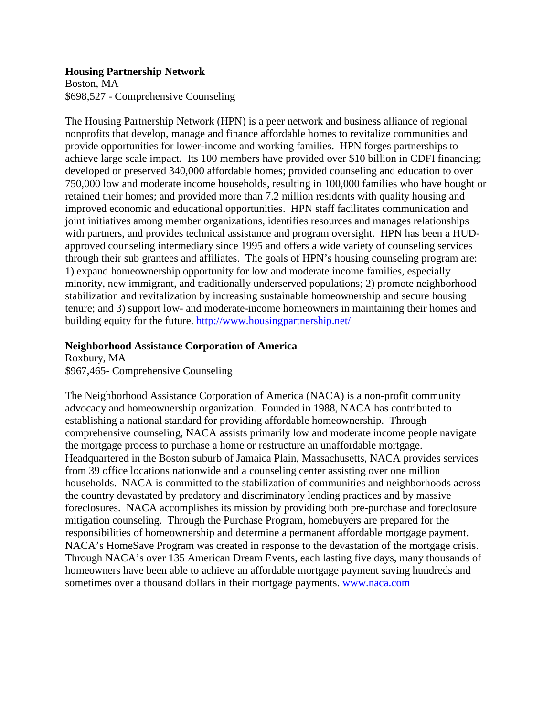### **Housing Partnership Network**

Boston, MA \$698,527 - Comprehensive Counseling

The Housing Partnership Network (HPN) is a peer network and business alliance of regional nonprofits that develop, manage and finance affordable homes to revitalize communities and provide opportunities for lower-income and working families. HPN forges partnerships to achieve large scale impact. Its 100 members have provided over \$10 billion in CDFI financing; developed or preserved 340,000 affordable homes; provided counseling and education to over 750,000 low and moderate income households, resulting in 100,000 families who have bought or retained their homes; and provided more than 7.2 million residents with quality housing and improved economic and educational opportunities. HPN staff facilitates communication and joint initiatives among member organizations, identifies resources and manages relationships with partners, and provides technical assistance and program oversight. HPN has been a HUDapproved counseling intermediary since 1995 and offers a wide variety of counseling services through their sub grantees and affiliates. The goals of HPN's housing counseling program are: 1) expand homeownership opportunity for low and moderate income families, especially minority, new immigrant, and traditionally underserved populations; 2) promote neighborhood stabilization and revitalization by increasing sustainable homeownership and secure housing tenure; and 3) support low- and moderate-income homeowners in maintaining their homes and building equity for the future. <http://www.housingpartnership.net/>

# **Neighborhood Assistance Corporation of America**

Roxbury, MA \$967,465- Comprehensive Counseling

The Neighborhood Assistance Corporation of America (NACA) is a non-profit community advocacy and homeownership organization. Founded in 1988, NACA has contributed to establishing a national standard for providing affordable homeownership. Through comprehensive counseling, NACA assists primarily low and moderate income people navigate the mortgage process to purchase a home or restructure an unaffordable mortgage. Headquartered in the Boston suburb of Jamaica Plain, Massachusetts, NACA provides services from 39 office locations nationwide and a counseling center assisting over one million households. NACA is committed to the stabilization of communities and neighborhoods across the country devastated by predatory and discriminatory lending practices and by massive foreclosures. NACA accomplishes its mission by providing both pre-purchase and foreclosure mitigation counseling. Through the Purchase Program, homebuyers are prepared for the responsibilities of homeownership and determine a permanent affordable mortgage payment. NACA's HomeSave Program was created in response to the devastation of the mortgage crisis. Through NACA's over 135 American Dream Events, each lasting five days, many thousands of homeowners have been able to achieve an affordable mortgage payment saving hundreds and sometimes over a thousand dollars in their mortgage payments. [www.naca.com](http://www.naca.com/)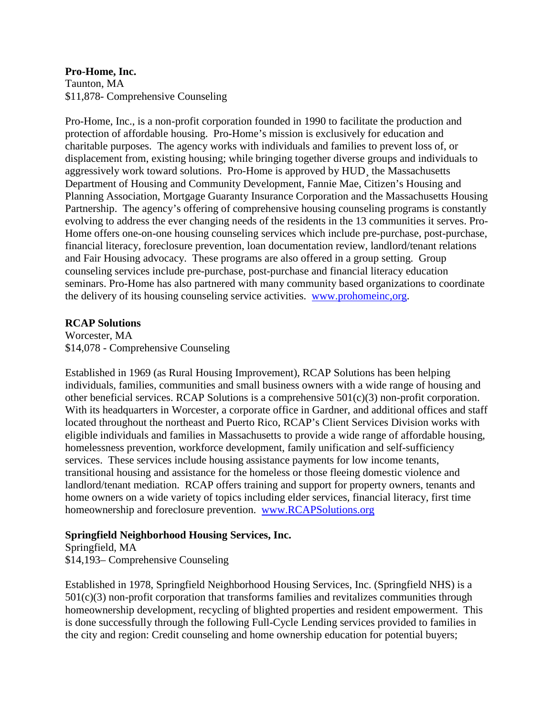# **Pro-Home, Inc.**

Taunton, MA \$11,878- Comprehensive Counseling

Pro-Home, Inc., is a non-profit corporation founded in 1990 to facilitate the production and protection of affordable housing. Pro-Home's mission is exclusively for education and charitable purposes. The agency works with individuals and families to prevent loss of, or displacement from, existing housing; while bringing together diverse groups and individuals to aggressively work toward solutions. Pro-Home is approved by HUD¸ the Massachusetts Department of Housing and Community Development, Fannie Mae, Citizen's Housing and Planning Association, Mortgage Guaranty Insurance Corporation and the Massachusetts Housing Partnership. The agency's offering of comprehensive housing counseling programs is constantly evolving to address the ever changing needs of the residents in the 13 communities it serves. Pro-Home offers one-on-one housing counseling services which include pre-purchase, post-purchase, financial literacy, foreclosure prevention, loan documentation review, landlord/tenant relations and Fair Housing advocacy. These programs are also offered in a group setting. Group counseling services include pre-purchase, post-purchase and financial literacy education seminars. Pro-Home has also partnered with many community based organizations to coordinate the delivery of its housing counseling service activities. [www.prohomeinc,org.](http://www.prohomeinc,org/)

### **RCAP Solutions**

Worcester, MA \$14,078 - Comprehensive Counseling

Established in 1969 (as Rural Housing Improvement), RCAP Solutions has been helping individuals, families, communities and small business owners with a wide range of housing and other beneficial services. RCAP Solutions is a comprehensive 501(c)(3) non-profit corporation. With its headquarters in Worcester, a corporate office in Gardner, and additional offices and staff located throughout the northeast and Puerto Rico, RCAP's Client Services Division works with eligible individuals and families in Massachusetts to provide a wide range of affordable housing, homelessness prevention, workforce development, family unification and self-sufficiency services. These services include housing assistance payments for low income tenants, transitional housing and assistance for the homeless or those fleeing domestic violence and landlord/tenant mediation. RCAP offers training and support for property owners, tenants and home owners on a wide variety of topics including elder services, financial literacy, first time homeownership and foreclosure prevention. [www.RCAPSolutions.org](http://www.rcapsolutions.org/)

# **Springfield Neighborhood Housing Services, Inc.**

Springfield, MA \$14,193– Comprehensive Counseling

Established in 1978, Springfield Neighborhood Housing Services, Inc. (Springfield NHS) is a 501(c)(3) non-profit corporation that transforms families and revitalizes communities through homeownership development, recycling of blighted properties and resident empowerment. This is done successfully through the following Full-Cycle Lending services provided to families in the city and region: Credit counseling and home ownership education for potential buyers;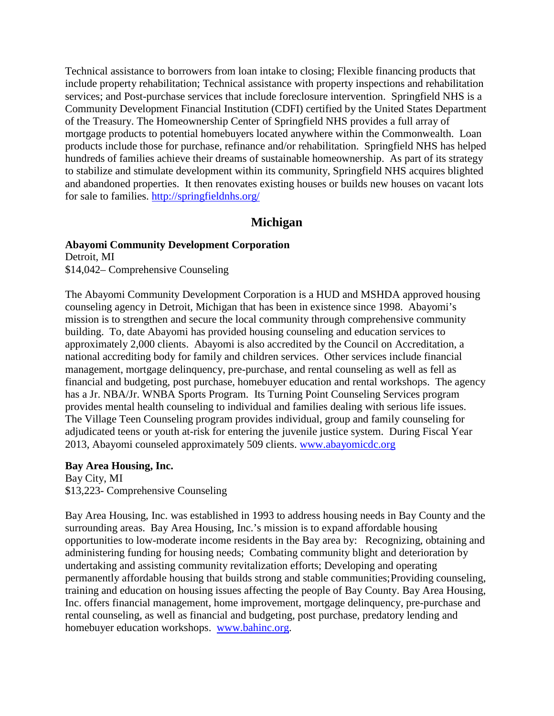Technical assistance to borrowers from loan intake to closing; Flexible financing products that include property rehabilitation; Technical assistance with property inspections and rehabilitation services; and Post-purchase services that include foreclosure intervention. Springfield NHS is a Community Development Financial Institution (CDFI) certified by the United States Department of the Treasury. The Homeownership Center of Springfield NHS provides a full array of mortgage products to potential homebuyers located anywhere within the Commonwealth. Loan products include those for purchase, refinance and/or rehabilitation. Springfield NHS has helped hundreds of families achieve their dreams of sustainable homeownership. As part of its strategy to stabilize and stimulate development within its community, Springfield NHS acquires blighted and abandoned properties. It then renovates existing houses or builds new houses on vacant lots for sale to families. <http://springfieldnhs.org/>

# **Michigan**

#### **Abayomi Community Development Corporation**

Detroit, MI \$14,042– Comprehensive Counseling

The Abayomi Community Development Corporation is a HUD and MSHDA approved housing counseling agency in Detroit, Michigan that has been in existence since 1998. Abayomi's mission is to strengthen and secure the local community through comprehensive community building. To, date Abayomi has provided housing counseling and education services to approximately 2,000 clients. Abayomi is also accredited by the Council on Accreditation, a national accrediting body for family and children services. Other services include financial management, mortgage delinquency, pre-purchase, and rental counseling as well as fell as financial and budgeting, post purchase, homebuyer education and rental workshops. The agency has a Jr. NBA/Jr. WNBA Sports Program. Its Turning Point Counseling Services program provides mental health counseling to individual and families dealing with serious life issues. The Village Teen Counseling program provides individual, group and family counseling for adjudicated teens or youth at-risk for entering the juvenile justice system. During Fiscal Year 2013, Abayomi counseled approximately 509 clients. [www.abayomicdc.org](http://www.abayomicdc.org/)

#### **Bay Area Housing, Inc.**

Bay City, MI \$13,223- Comprehensive Counseling

Bay Area Housing, Inc. was established in 1993 to address housing needs in Bay County and the surrounding areas. Bay Area Housing, Inc.'s mission is to expand affordable housing opportunities to low-moderate income residents in the Bay area by: Recognizing, obtaining and administering funding for housing needs; Combating community blight and deterioration by undertaking and assisting community revitalization efforts; Developing and operating permanently affordable housing that builds strong and stable communities;Providing counseling, training and education on housing issues affecting the people of Bay County. Bay Area Housing, Inc. offers financial management, home improvement, mortgage delinquency, pre-purchase and rental counseling, as well as financial and budgeting, post purchase, predatory lending and homebuyer education workshops. [www.bahinc.org.](http://www.bahinc.org/)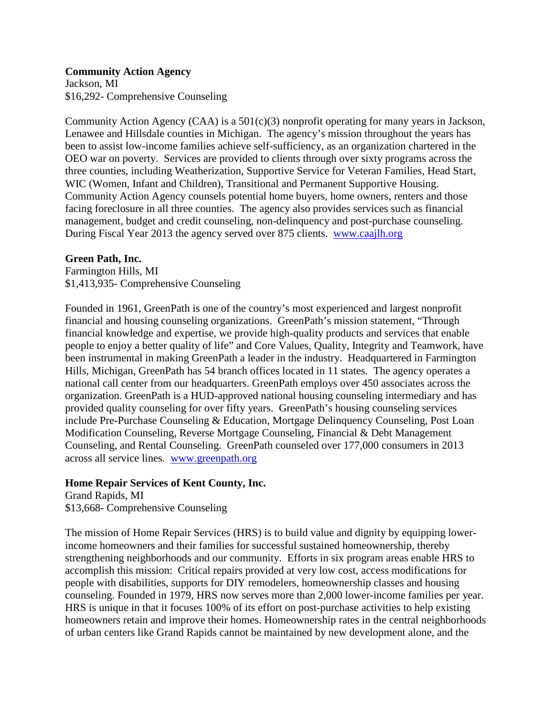### **Community Action Agency**

Jackson, MI \$16,292- Comprehensive Counseling

Community Action Agency (CAA) is a  $501(c)(3)$  nonprofit operating for many years in Jackson, Lenawee and Hillsdale counties in Michigan. The agency's mission throughout the years has been to assist low-income families achieve self-sufficiency, as an organization chartered in the OEO war on poverty. Services are provided to clients through over sixty programs across the three counties, including Weatherization, Supportive Service for Veteran Families, Head Start, WIC (Women, Infant and Children), Transitional and Permanent Supportive Housing. Community Action Agency counsels potential home buyers, home owners, renters and those facing foreclosure in all three counties. The agency also provides services such as financial management, budget and credit counseling, non-delinquency and post-purchase counseling. During Fiscal Year 2013 the agency served over 875 clients. [www.caajlh.org](http://www.caajlh.org/)

### **Green Path, Inc.**

Farmington Hills, MI \$1,413,935- Comprehensive Counseling

Founded in 1961, GreenPath is one of the country's most experienced and largest nonprofit financial and housing counseling organizations. GreenPath's mission statement, "Through financial knowledge and expertise, we provide high-quality products and services that enable people to enjoy a better quality of life" and Core Values, Quality, Integrity and Teamwork, have been instrumental in making GreenPath a leader in the industry. Headquartered in Farmington Hills, Michigan, GreenPath has 54 branch offices located in 11 states. The agency operates a national call center from our headquarters. GreenPath employs over 450 associates across the organization. GreenPath is a HUD-approved national housing counseling intermediary and has provided quality counseling for over fifty years. GreenPath's housing counseling services include Pre-Purchase Counseling & Education, Mortgage Delinquency Counseling, Post Loan Modification Counseling, Reverse Mortgage Counseling, Financial & Debt Management Counseling, and Rental Counseling. GreenPath counseled over 177,000 consumers in 2013 across all service lines. [www.greenpath.org](http://www.greenpath.org/)

### **Home Repair Services of Kent County, Inc.**

Grand Rapids, MI \$13,668- Comprehensive Counseling

The mission of Home Repair Services (HRS) is to build value and dignity by equipping lowerincome homeowners and their families for successful sustained homeownership, thereby strengthening neighborhoods and our community. Efforts in six program areas enable HRS to accomplish this mission: Critical repairs provided at very low cost, access modifications for people with disabilities, supports for DIY remodelers, homeownership classes and housing counseling. Founded in 1979, HRS now serves more than 2,000 lower-income families per year. HRS is unique in that it focuses 100% of its effort on post-purchase activities to help existing homeowners retain and improve their homes. Homeownership rates in the central neighborhoods of urban centers like Grand Rapids cannot be maintained by new development alone, and the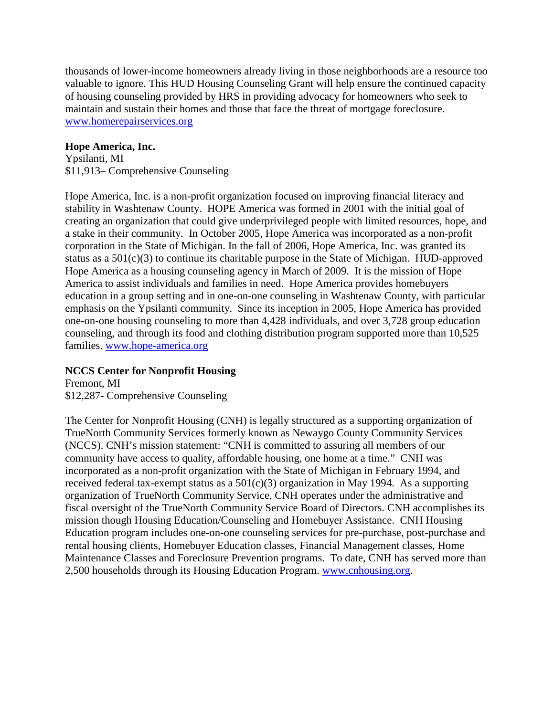thousands of lower-income homeowners already living in those neighborhoods are a resource too valuable to ignore. This HUD Housing Counseling Grant will help ensure the continued capacity of housing counseling provided by HRS in providing advocacy for homeowners who seek to maintain and sustain their homes and those that face the threat of mortgage foreclosure. [www.homerepairservices.org](http://www.homerepairservices.org/)

### **Hope America, Inc.**

Ypsilanti, MI \$11,913– Comprehensive Counseling

Hope America, Inc. is a non-profit organization focused on improving financial literacy and stability in Washtenaw County. HOPE America was formed in 2001 with the initial goal of creating an organization that could give underprivileged people with limited resources, hope, and a stake in their community. In October 2005, Hope America was incorporated as a non-profit corporation in the State of Michigan. In the fall of 2006, Hope America, Inc. was granted its status as a 501(c)(3) to continue its charitable purpose in the State of Michigan. HUD-approved Hope America as a housing counseling agency in March of 2009. It is the mission of Hope America to assist individuals and families in need. Hope America provides homebuyers education in a group setting and in one-on-one counseling in Washtenaw County, with particular emphasis on the Ypsilanti community. Since its inception in 2005, Hope America has provided one-on-one housing counseling to more than 4,428 individuals, and over 3,728 group education counseling, and through its food and clothing distribution program supported more than 10,525 families. [www.hope-america.org](http://www.hope-america.org/)

### **NCCS Center for Nonprofit Housing**

Fremont, MI \$12,287- Comprehensive Counseling

The Center for Nonprofit Housing (CNH) is legally structured as a supporting organization of TrueNorth Community Services formerly known as Newaygo County Community Services (NCCS). CNH's mission statement: "CNH is committed to assuring all members of our community have access to quality, affordable housing, one home at a time." CNH was incorporated as a non-profit organization with the State of Michigan in February 1994, and received federal tax-exempt status as a  $501(c)(3)$  organization in May 1994. As a supporting organization of TrueNorth Community Service, CNH operates under the administrative and fiscal oversight of the TrueNorth Community Service Board of Directors. CNH accomplishes its mission though Housing Education/Counseling and Homebuyer Assistance. CNH Housing Education program includes one-on-one counseling services for pre-purchase, post-purchase and rental housing clients, Homebuyer Education classes, Financial Management classes, Home Maintenance Classes and Foreclosure Prevention programs. To date, CNH has served more than 2,500 households through its Housing Education Program. [www.cnhousing.org.](http://www.cnhousing.org/)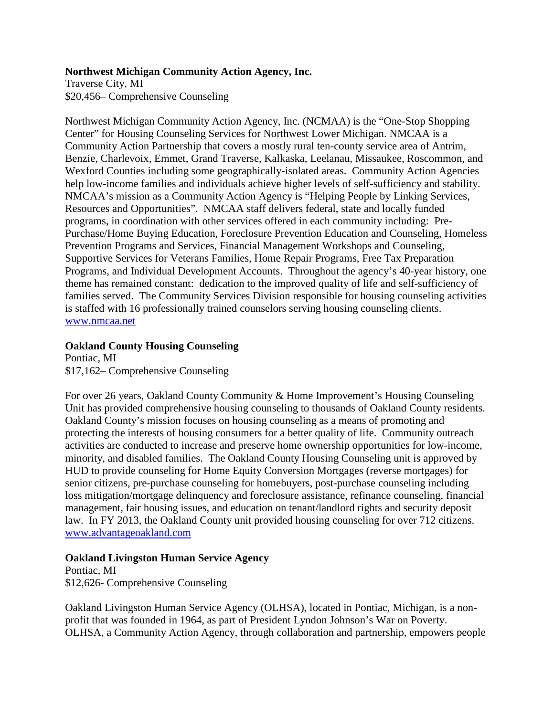### **Northwest Michigan Community Action Agency, Inc.**

Traverse City, MI \$20,456– Comprehensive Counseling

Northwest Michigan Community Action Agency, Inc. (NCMAA) is the "One-Stop Shopping Center" for Housing Counseling Services for Northwest Lower Michigan. NMCAA is a Community Action Partnership that covers a mostly rural ten-county service area of Antrim, Benzie, Charlevoix, Emmet, Grand Traverse, Kalkaska, Leelanau, Missaukee, Roscommon, and Wexford Counties including some geographically-isolated areas. Community Action Agencies help low-income families and individuals achieve higher levels of self-sufficiency and stability. NMCAA's mission as a Community Action Agency is "Helping People by Linking Services, Resources and Opportunities". NMCAA staff delivers federal, state and locally funded programs, in coordination with other services offered in each community including: Pre-Purchase/Home Buying Education, Foreclosure Prevention Education and Counseling, Homeless Prevention Programs and Services, Financial Management Workshops and Counseling, Supportive Services for Veterans Families, Home Repair Programs, Free Tax Preparation Programs, and Individual Development Accounts. Throughout the agency's 40-year history, one theme has remained constant: dedication to the improved quality of life and self-sufficiency of families served. The Community Services Division responsible for housing counseling activities is staffed with 16 professionally trained counselors serving housing counseling clients. [www.nmcaa.net](http://www.nmcaa.net/)

## **Oakland County Housing Counseling**

Pontiac, MI \$17,162– Comprehensive Counseling

For over 26 years, Oakland County Community & Home Improvement's Housing Counseling Unit has provided comprehensive housing counseling to thousands of Oakland County residents. Oakland County's mission focuses on housing counseling as a means of promoting and protecting the interests of housing consumers for a better quality of life. Community outreach activities are conducted to increase and preserve home ownership opportunities for low-income, minority, and disabled families. The Oakland County Housing Counseling unit is approved by HUD to provide counseling for Home Equity Conversion Mortgages (reverse mortgages) for senior citizens, pre-purchase counseling for homebuyers, post-purchase counseling including loss mitigation/mortgage delinquency and foreclosure assistance, refinance counseling, financial management, fair housing issues, and education on tenant/landlord rights and security deposit law. In FY 2013, the Oakland County unit provided housing counseling for over 712 citizens. [www.advantageoakland.com](http://www.advantageoakland.com/)

# **Oakland Livingston Human Service Agency**

Pontiac, MI \$12,626- Comprehensive Counseling

Oakland Livingston Human Service Agency (OLHSA), located in Pontiac, Michigan, is a nonprofit that was founded in 1964, as part of President Lyndon Johnson's War on Poverty. OLHSA, a Community Action Agency, through collaboration and partnership, empowers people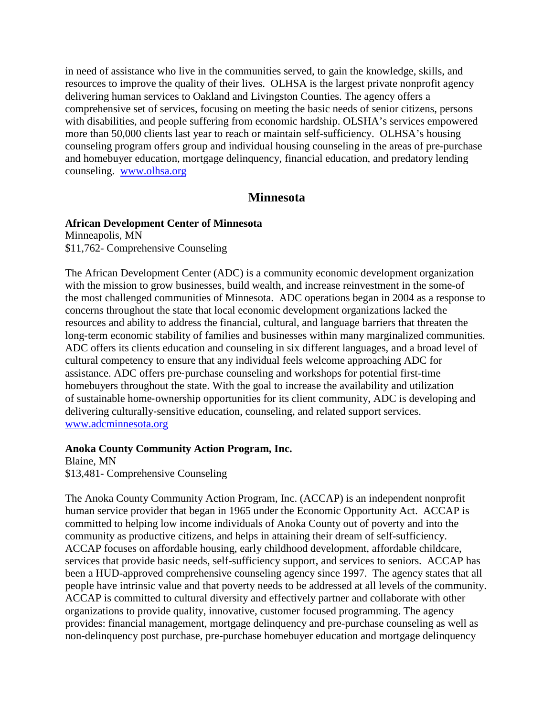in need of assistance who live in the communities served, to gain the knowledge, skills, and resources to improve the quality of their lives. OLHSA is the largest private nonprofit agency delivering human services to Oakland and Livingston Counties. The agency offers a comprehensive set of services, focusing on meeting the basic needs of senior citizens, persons with disabilities, and people suffering from economic hardship. OLSHA's services empowered more than 50,000 clients last year to reach or maintain self-sufficiency. OLHSA's housing counseling program offers group and individual housing counseling in the areas of pre-purchase and homebuyer education, mortgage delinquency, financial education, and predatory lending counseling. [www.olhsa.org](http://www.olhsa.org/)

# **Minnesota**

# **African Development Center of Minnesota**

Minneapolis, MN \$11,762- Comprehensive Counseling

The African Development Center (ADC) is a community economic development organization with the mission to grow businesses, build wealth, and increase reinvestment in the some-of the most challenged communities of Minnesota. ADC operations began in 2004 as a response to concerns throughout the state that local economic development organizations lacked the resources and ability to address the financial, cultural, and language barriers that threaten the long-term economic stability of families and businesses within many marginalized communities. ADC offers its clients education and counseling in six different languages, and a broad level of cultural competency to ensure that any individual feels welcome approaching ADC for assistance. ADC offers pre‐purchase counseling and workshops for potential first-time homebuyers throughout the state. With the goal to increase the availability and utilization of sustainable home‐ownership opportunities for its client community, ADC is developing and delivering culturally‐sensitive education, counseling, and related support services. [www.adcminnesota.org](http://www.adcminnesota.org/)

### **Anoka County Community Action Program, Inc.**

Blaine, MN \$13,481- Comprehensive Counseling

The Anoka County Community Action Program, Inc. (ACCAP) is an independent nonprofit human service provider that began in 1965 under the Economic Opportunity Act. ACCAP is committed to helping low income individuals of Anoka County out of poverty and into the community as productive citizens, and helps in attaining their dream of self-sufficiency. ACCAP focuses on affordable housing, early childhood development, affordable childcare, services that provide basic needs, self-sufficiency support, and services to seniors. ACCAP has been a HUD-approved comprehensive counseling agency since 1997. The agency states that all people have intrinsic value and that poverty needs to be addressed at all levels of the community. ACCAP is committed to cultural diversity and effectively partner and collaborate with other organizations to provide quality, innovative, customer focused programming. The agency provides: financial management, mortgage delinquency and pre-purchase counseling as well as non-delinquency post purchase, pre-purchase homebuyer education and mortgage delinquency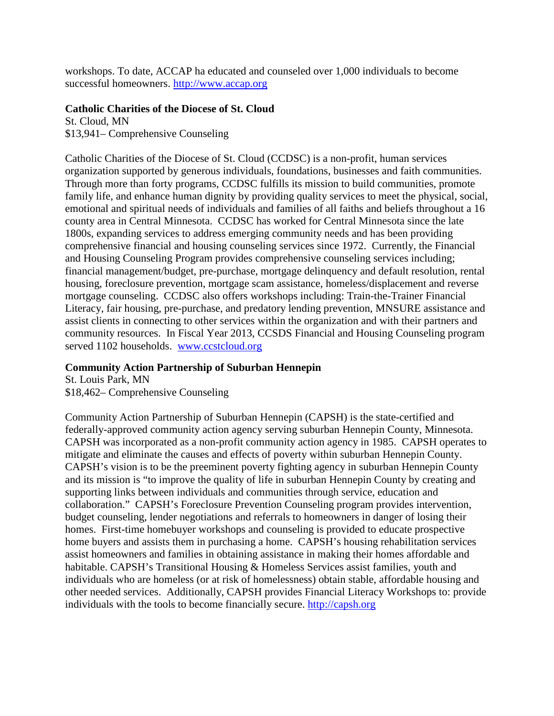workshops. To date, ACCAP ha educated and counseled over 1,000 individuals to become successful homeowners. [http://www.accap.org](http://www.accap.org/)

## **Catholic Charities of the Diocese of St. Cloud**

St. Cloud, MN \$13,941– Comprehensive Counseling

Catholic Charities of the Diocese of St. Cloud (CCDSC) is a non-profit, human services organization supported by generous individuals, foundations, businesses and faith communities. Through more than forty programs, CCDSC fulfills its mission to build communities, promote family life, and enhance human dignity by providing quality services to meet the physical, social, emotional and spiritual needs of individuals and families of all faiths and beliefs throughout a 16 county area in Central Minnesota. CCDSC has worked for Central Minnesota since the late 1800s, expanding services to address emerging community needs and has been providing comprehensive financial and housing counseling services since 1972. Currently, the Financial and Housing Counseling Program provides comprehensive counseling services including; financial management/budget, pre-purchase, mortgage delinquency and default resolution, rental housing, foreclosure prevention, mortgage scam assistance, homeless/displacement and reverse mortgage counseling. CCDSC also offers workshops including: Train-the-Trainer Financial Literacy, fair housing, pre-purchase, and predatory lending prevention, MNSURE assistance and assist clients in connecting to other services within the organization and with their partners and community resources. In Fiscal Year 2013, CCSDS Financial and Housing Counseling program served 1102 households. [www.ccstcloud.org](http://www.ccstcloud.org/)

# **Community Action Partnership of Suburban Hennepin**

St. Louis Park, MN \$18,462– Comprehensive Counseling

Community Action Partnership of Suburban Hennepin (CAPSH) is the state-certified and federally-approved community action agency serving suburban Hennepin County, Minnesota. CAPSH was incorporated as a non-profit community action agency in 1985. CAPSH operates to mitigate and eliminate the causes and effects of poverty within suburban Hennepin County. CAPSH's vision is to be the preeminent poverty fighting agency in suburban Hennepin County and its mission is "to improve the quality of life in suburban Hennepin County by creating and supporting links between individuals and communities through service, education and collaboration." CAPSH's Foreclosure Prevention Counseling program provides intervention, budget counseling, lender negotiations and referrals to homeowners in danger of losing their homes. First-time homebuyer workshops and counseling is provided to educate prospective home buyers and assists them in purchasing a home. CAPSH's housing rehabilitation services assist homeowners and families in obtaining assistance in making their homes affordable and habitable. CAPSH's Transitional Housing & Homeless Services assist families, youth and individuals who are homeless (or at risk of homelessness) obtain stable, affordable housing and other needed services. Additionally, CAPSH provides Financial Literacy Workshops to: provide individuals with the tools to become financially secure. [http://capsh.org](http://capsh.org/)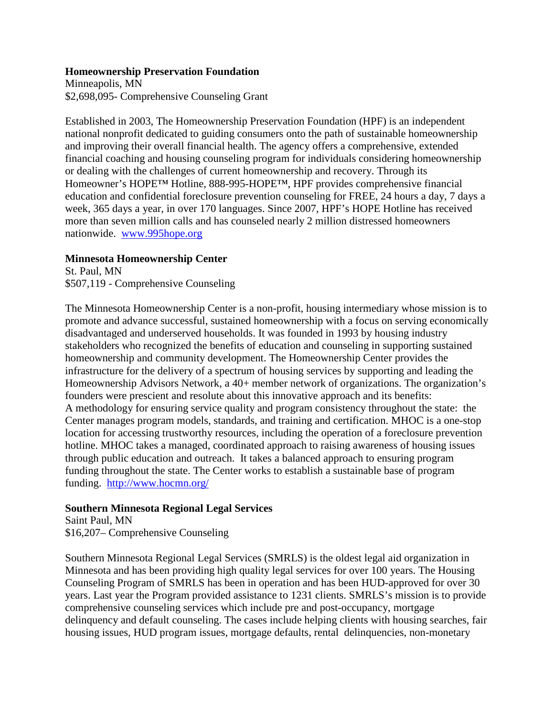### **Homeownership Preservation Foundation**

Minneapolis, MN \$2,698,095- Comprehensive Counseling Grant

Established in 2003, The Homeownership Preservation Foundation (HPF) is an independent national nonprofit dedicated to guiding consumers onto the path of sustainable homeownership and improving their overall financial health. The agency offers a comprehensive, extended financial coaching and housing counseling program for individuals considering homeownership or dealing with the challenges of current homeownership and recovery. Through its Homeowner's HOPE™ Hotline, 888-995-HOPE™, HPF provides comprehensive financial education and confidential foreclosure prevention counseling for FREE, 24 hours a day, 7 days a week, 365 days a year, in over 170 languages. Since 2007, HPF's HOPE Hotline has received more than seven million calls and has counseled nearly 2 million distressed homeowners nationwide. [www.995hope.org](http://www.995hope.org/)

### **Minnesota Homeownership Center**

St. Paul, MN \$507,119 - Comprehensive Counseling

The Minnesota Homeownership Center is a non-profit, housing intermediary whose mission is to promote and advance successful, sustained homeownership with a focus on serving economically disadvantaged and underserved households. It was founded in 1993 by housing industry stakeholders who recognized the benefits of education and counseling in supporting sustained homeownership and community development. The Homeownership Center provides the infrastructure for the delivery of a spectrum of housing services by supporting and leading the Homeownership Advisors Network, a 40+ member network of organizations. The organization's founders were prescient and resolute about this innovative approach and its benefits: A methodology for ensuring service quality and program consistency throughout the state: the Center manages program models, standards, and training and certification. MHOC is a one-stop location for accessing trustworthy resources, including the operation of a foreclosure prevention hotline. MHOC takes a managed, coordinated approach to raising awareness of housing issues through public education and outreach. It takes a balanced approach to ensuring program funding throughout the state. The Center works to establish a sustainable base of program funding. <http://www.hocmn.org/>

### **Southern Minnesota Regional Legal Services**

Saint Paul, MN \$16,207– Comprehensive Counseling

Southern Minnesota Regional Legal Services (SMRLS) is the oldest legal aid organization in Minnesota and has been providing high quality legal services for over 100 years. The Housing Counseling Program of SMRLS has been in operation and has been HUD-approved for over 30 years. Last year the Program provided assistance to 1231 clients. SMRLS's mission is to provide comprehensive counseling services which include pre and post-occupancy, mortgage delinquency and default counseling. The cases include helping clients with housing searches, fair housing issues, HUD program issues, mortgage defaults, rental delinquencies, non-monetary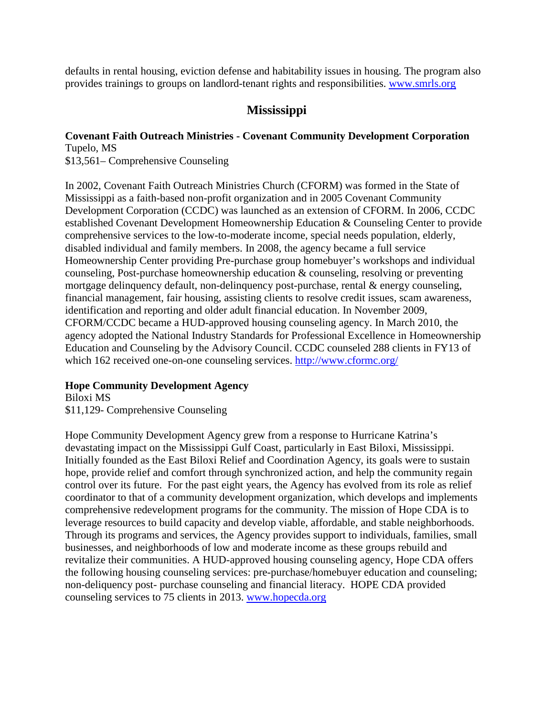defaults in rental housing, eviction defense and habitability issues in housing. The program also provides trainings to groups on landlord-tenant rights and responsibilities. [www.smrls.org](http://www.smrls.org/)

# **Mississippi**

# **Covenant Faith Outreach Ministries - Covenant Community Development Corporation** Tupelo, MS

\$13,561– Comprehensive Counseling

In 2002, Covenant Faith Outreach Ministries Church (CFORM) was formed in the State of Mississippi as a faith-based non-profit organization and in 2005 Covenant Community Development Corporation (CCDC) was launched as an extension of CFORM. In 2006, CCDC established Covenant Development Homeownership Education & Counseling Center to provide comprehensive services to the low-to-moderate income, special needs population, elderly, disabled individual and family members. In 2008, the agency became a full service Homeownership Center providing Pre-purchase group homebuyer's workshops and individual counseling, Post-purchase homeownership education & counseling, resolving or preventing mortgage delinquency default, non-delinquency post-purchase, rental & energy counseling, financial management, fair housing, assisting clients to resolve credit issues, scam awareness, identification and reporting and older adult financial education. In November 2009, CFORM/CCDC became a HUD-approved housing counseling agency. In March 2010, the agency adopted the National Industry Standards for Professional Excellence in Homeownership Education and Counseling by the Advisory Council. CCDC counseled 288 clients in FY13 of which 162 received one-on-one counseling services. <http://www.cformc.org/>

# **Hope Community Development Agency**

Biloxi MS \$11,129- Comprehensive Counseling

Hope Community Development Agency grew from a response to Hurricane Katrina's devastating impact on the Mississippi Gulf Coast, particularly in East Biloxi, Mississippi. Initially founded as the East Biloxi Relief and Coordination Agency, its goals were to sustain hope, provide relief and comfort through synchronized action, and help the community regain control over its future. For the past eight years, the Agency has evolved from its role as relief coordinator to that of a community development organization, which develops and implements comprehensive redevelopment programs for the community. The mission of Hope CDA is to leverage resources to build capacity and develop viable, affordable, and stable neighborhoods. Through its programs and services, the Agency provides support to individuals, families, small businesses, and neighborhoods of low and moderate income as these groups rebuild and revitalize their communities. A HUD-approved housing counseling agency, Hope CDA offers the following housing counseling services: pre-purchase/homebuyer education and counseling; non-deliquency post- purchase counseling and financial literacy. HOPE CDA provided counseling services to 75 clients in 2013. [www.hopecda.org](http://www.hopecda.org/)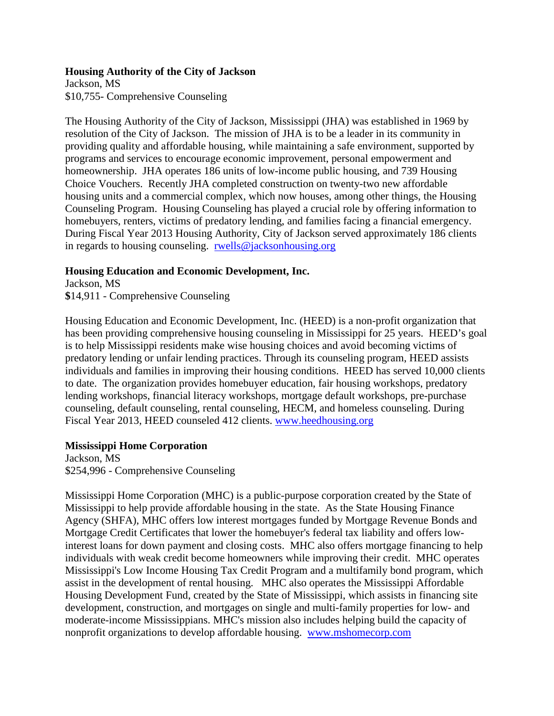### **Housing Authority of the City of Jackson**

Jackson, MS \$10,755- Comprehensive Counseling

The Housing Authority of the City of Jackson, Mississippi (JHA) was established in 1969 by resolution of the City of Jackson. The mission of JHA is to be a leader in its community in providing quality and affordable housing, while maintaining a safe environment, supported by programs and services to encourage economic improvement, personal empowerment and homeownership. JHA operates 186 units of low-income public housing, and 739 Housing Choice Vouchers. Recently JHA completed construction on twenty-two new affordable housing units and a commercial complex, which now houses, among other things, the Housing Counseling Program. Housing Counseling has played a crucial role by offering information to homebuyers, renters, victims of predatory lending, and families facing a financial emergency. During Fiscal Year 2013 Housing Authority, City of Jackson served approximately 186 clients in regards to housing counseling. [rwells@jacksonhousing.org](mailto:rwells@jacksonhousing.org)

## **Housing Education and Economic Development, Inc.**

Jackson, MS **\$**14,911 - Comprehensive Counseling

Housing Education and Economic Development, Inc. (HEED) is a non-profit organization that has been providing comprehensive housing counseling in Mississippi for 25 years. HEED's goal is to help Mississippi residents make wise housing choices and avoid becoming victims of predatory lending or unfair lending practices. Through its counseling program, HEED assists individuals and families in improving their housing conditions. HEED has served 10,000 clients to date. The organization provides homebuyer education, fair housing workshops, predatory lending workshops, financial literacy workshops, mortgage default workshops, pre-purchase counseling, default counseling, rental counseling, HECM, and homeless counseling. During Fiscal Year 2013, HEED counseled 412 clients. [www.heedhousing.org](http://www.heedhousing.org/)

### **Mississippi Home Corporation**

Jackson, MS \$254,996 - Comprehensive Counseling

Mississippi Home Corporation (MHC) is a public-purpose corporation created by the State of Mississippi to help provide affordable housing in the state. As the State Housing Finance Agency (SHFA), MHC offers low interest mortgages funded by Mortgage Revenue Bonds and Mortgage Credit Certificates that lower the homebuyer's federal tax liability and offers lowinterest loans for down payment and closing costs. MHC also offers mortgage financing to help individuals with weak credit become homeowners while improving their credit. MHC operates Mississippi's Low Income Housing Tax Credit Program and a multifamily bond program, which assist in the development of rental housing. MHC also operates the Mississippi Affordable Housing Development Fund, created by the State of Mississippi, which assists in financing site development, construction, and mortgages on single and multi-family properties for low- and moderate-income Mississippians. MHC's mission also includes helping build the capacity of nonprofit organizations to develop affordable housing. [www.mshomecorp.com](http://www.mshomecorp.com/)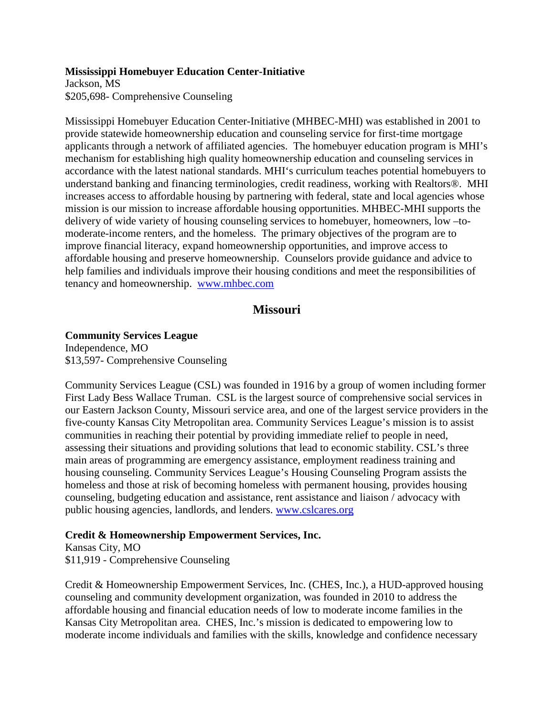### **Mississippi Homebuyer Education Center-Initiative**

Jackson, MS \$205,698- Comprehensive Counseling

Mississippi Homebuyer Education Center-Initiative (MHBEC-MHI) was established in 2001 to provide statewide homeownership education and counseling service for first-time mortgage applicants through a network of affiliated agencies. The homebuyer education program is MHI's mechanism for establishing high quality homeownership education and counseling services in accordance with the latest national standards. MHI's curriculum teaches potential homebuyers to understand banking and financing terminologies, credit readiness, working with Realtors®. MHI increases access to affordable housing by partnering with federal, state and local agencies whose mission is our mission to increase affordable housing opportunities. MHBEC-MHI supports the delivery of wide variety of housing counseling services to homebuyer, homeowners, low –tomoderate-income renters, and the homeless. The primary objectives of the program are to improve financial literacy, expand homeownership opportunities, and improve access to affordable housing and preserve homeownership. Counselors provide guidance and advice to help families and individuals improve their housing conditions and meet the responsibilities of tenancy and homeownership. [www.mhbec.com](http://www.mhbec.com/)

# **Missouri**

### **Community Services League**

Independence, MO \$13,597- Comprehensive Counseling

Community Services League (CSL) was founded in 1916 by a group of women including former First Lady Bess Wallace Truman. CSL is the largest source of comprehensive social services in our Eastern Jackson County, Missouri service area, and one of the largest service providers in the five-county Kansas City Metropolitan area. Community Services League's mission is to assist communities in reaching their potential by providing immediate relief to people in need, assessing their situations and providing solutions that lead to economic stability. CSL's three main areas of programming are emergency assistance, employment readiness training and housing counseling. Community Services League's Housing Counseling Program assists the homeless and those at risk of becoming homeless with permanent housing, provides housing counseling, budgeting education and assistance, rent assistance and liaison / advocacy with public housing agencies, landlords, and lenders. [www.cslcares.org](http://www.cslcares.org/)

### **Credit & Homeownership Empowerment Services, Inc.**

Kansas City, MO \$11,919 - Comprehensive Counseling

Credit & Homeownership Empowerment Services, Inc. (CHES, Inc.), a HUD-approved housing counseling and community development organization, was founded in 2010 to address the affordable housing and financial education needs of low to moderate income families in the Kansas City Metropolitan area. CHES, Inc.'s mission is dedicated to empowering low to moderate income individuals and families with the skills, knowledge and confidence necessary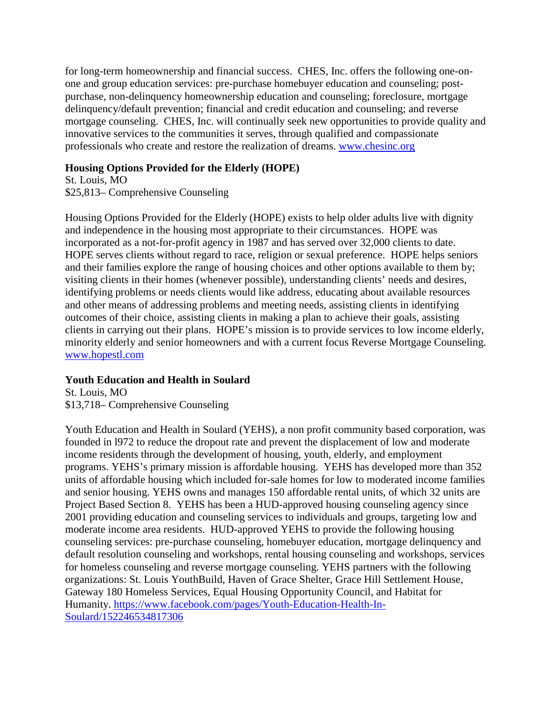for long-term homeownership and financial success. CHES, Inc. offers the following one-onone and group education services: pre-purchase homebuyer education and counseling; postpurchase, non-delinquency homeownership education and counseling; foreclosure, mortgage delinquency/default prevention; financial and credit education and counseling; and reverse mortgage counseling. CHES, Inc. will continually seek new opportunities to provide quality and innovative services to the communities it serves, through qualified and compassionate professionals who create and restore the realization of dreams. [www.chesinc.org](http://www.chesinc.org/)

# **Housing Options Provided for the Elderly (HOPE)**

St. Louis, MO \$25,813– Comprehensive Counseling

Housing Options Provided for the Elderly (HOPE) exists to help older adults live with dignity and independence in the housing most appropriate to their circumstances. HOPE was incorporated as a not-for-profit agency in 1987 and has served over 32,000 clients to date. HOPE serves clients without regard to race, religion or sexual preference. HOPE helps seniors and their families explore the range of housing choices and other options available to them by; visiting clients in their homes (whenever possible), understanding clients' needs and desires, identifying problems or needs clients would like address, educating about available resources and other means of addressing problems and meeting needs, assisting clients in identifying outcomes of their choice, assisting clients in making a plan to achieve their goals, assisting clients in carrying out their plans. HOPE's mission is to provide services to low income elderly, minority elderly and senior homeowners and with a current focus Reverse Mortgage Counseling. [www.hopestl.com](http://www.hopestl.com/)

# **Youth Education and Health in Soulard**

St. Louis, MO \$13,718– Comprehensive Counseling

Youth Education and Health in Soulard (YEHS), a non profit community based corporation, was founded in l972 to reduce the dropout rate and prevent the displacement of low and moderate income residents through the development of housing, youth, elderly, and employment programs. YEHS's primary mission is affordable housing. YEHS has developed more than 352 units of affordable housing which included for-sale homes for low to moderated income families and senior housing. YEHS owns and manages 150 affordable rental units, of which 32 units are Project Based Section 8. YEHS has been a HUD-approved housing counseling agency since 2001 providing education and counseling services to individuals and groups, targeting low and moderate income area residents. HUD-approved YEHS to provide the following housing counseling services: pre-purchase counseling, homebuyer education, mortgage delinquency and default resolution counseling and workshops, rental housing counseling and workshops, services for homeless counseling and reverse mortgage counseling. YEHS partners with the following organizations: St. Louis YouthBuild, Haven of Grace Shelter, Grace Hill Settlement House, Gateway 180 Homeless Services, Equal Housing Opportunity Council, and Habitat for Humanity. [https://www.facebook.com/pages/Youth-Education-Health-In-](https://www.facebook.com/pages/Youth-Education-Health-In-Soulard/152246534817306)[Soulard/152246534817306](https://www.facebook.com/pages/Youth-Education-Health-In-Soulard/152246534817306)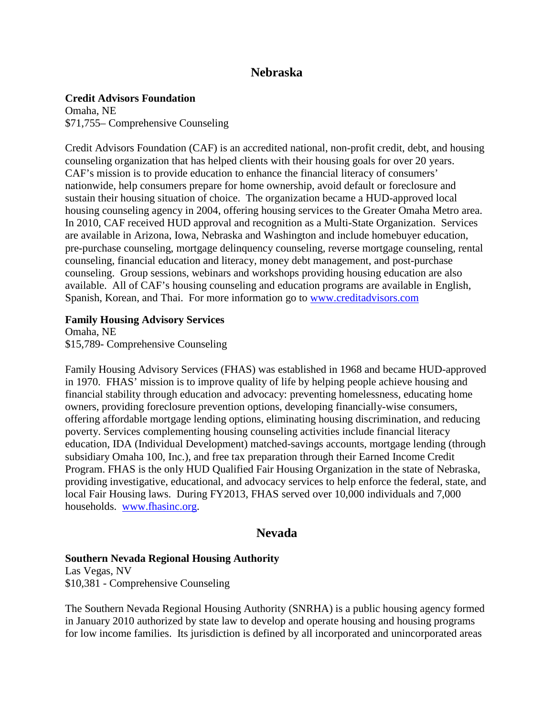# **Nebraska**

## **Credit Advisors Foundation**

Omaha, NE \$71,755– Comprehensive Counseling

Credit Advisors Foundation (CAF) is an accredited national, non-profit credit, debt, and housing counseling organization that has helped clients with their housing goals for over 20 years. CAF's mission is to provide education to enhance the financial literacy of consumers' nationwide, help consumers prepare for home ownership, avoid default or foreclosure and sustain their housing situation of choice. The organization became a HUD-approved local housing counseling agency in 2004, offering housing services to the Greater Omaha Metro area. In 2010, CAF received HUD approval and recognition as a Multi-State Organization. Services are available in Arizona, Iowa, Nebraska and Washington and include homebuyer education, pre-purchase counseling, mortgage delinquency counseling, reverse mortgage counseling, rental counseling, financial education and literacy, money debt management, and post-purchase counseling. Group sessions, webinars and workshops providing housing education are also available. All of CAF's housing counseling and education programs are available in English, Spanish, Korean, and Thai. For more information go to [www.creditadvisors.com](http://www.creditadvisors.com/)

### **Family Housing Advisory Services**

Omaha, NE \$15,789- Comprehensive Counseling

Family Housing Advisory Services (FHAS) was established in 1968 and became HUD-approved in 1970. FHAS' mission is to improve quality of life by helping people achieve housing and financial stability through education and advocacy: preventing homelessness, educating home owners, providing foreclosure prevention options, developing financially-wise consumers, offering affordable mortgage lending options, eliminating housing discrimination, and reducing poverty. Services complementing housing counseling activities include financial literacy education, IDA (Individual Development) matched-savings accounts, mortgage lending (through subsidiary Omaha 100, Inc.), and free tax preparation through their Earned Income Credit Program. FHAS is the only HUD Qualified Fair Housing Organization in the state of Nebraska, providing investigative, educational, and advocacy services to help enforce the federal, state, and local Fair Housing laws. During FY2013, FHAS served over 10,000 individuals and 7,000 households. [www.fhasinc.org.](http://www.fhasinc.org/)

# **Nevada**

### **Southern Nevada Regional Housing Authority**

Las Vegas, NV \$10,381 - Comprehensive Counseling

The Southern Nevada Regional Housing Authority (SNRHA) is a public housing agency formed in January 2010 authorized by state law to develop and operate housing and housing programs for low income families. Its jurisdiction is defined by all incorporated and unincorporated areas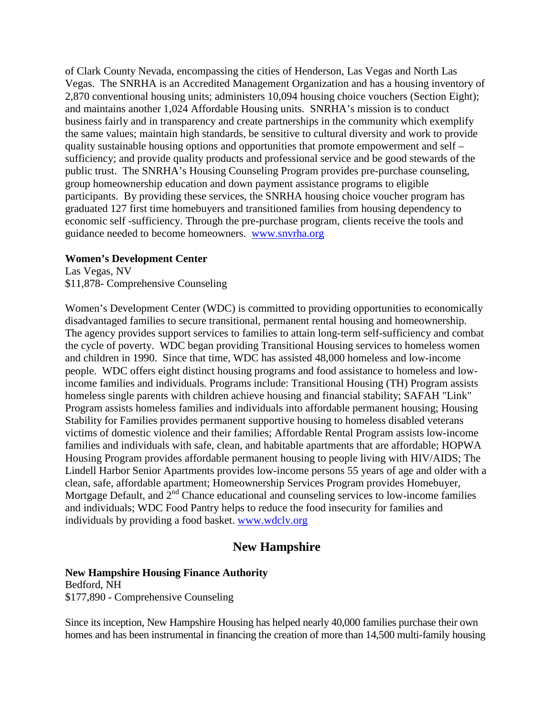of Clark County Nevada, encompassing the cities of Henderson, Las Vegas and North Las Vegas. The SNRHA is an Accredited Management Organization and has a housing inventory of 2,870 conventional housing units; administers 10,094 housing choice vouchers (Section Eight); and maintains another 1,024 Affordable Housing units. SNRHA's mission is to conduct business fairly and in transparency and create partnerships in the community which exemplify the same values; maintain high standards, be sensitive to cultural diversity and work to provide quality sustainable housing options and opportunities that promote empowerment and self – sufficiency; and provide quality products and professional service and be good stewards of the public trust. The SNRHA's Housing Counseling Program provides pre-purchase counseling, group homeownership education and down payment assistance programs to eligible participants. By providing these services, the SNRHA housing choice voucher program has graduated 127 first time homebuyers and transitioned families from housing dependency to economic self -sufficiency. Through the pre-purchase program, clients receive the tools and guidance needed to become homeowners. [www.snvrha.org](http://www.snvrha.org/)

### **Women's Development Center**

Las Vegas, NV \$11,878- Comprehensive Counseling

Women's Development Center (WDC) is committed to providing opportunities to economically disadvantaged families to secure transitional, permanent rental housing and homeownership. The agency provides support services to families to attain long-term self-sufficiency and combat the cycle of poverty. WDC began providing Transitional Housing services to homeless women and children in 1990. Since that time, WDC has assisted 48,000 homeless and low-income people. WDC offers eight distinct housing programs and food assistance to homeless and lowincome families and individuals. Programs include: Transitional Housing (TH) Program assists homeless single parents with children achieve housing and financial stability; SAFAH "Link" Program assists homeless families and individuals into affordable permanent housing; Housing Stability for Families provides permanent supportive housing to homeless disabled veterans victims of domestic violence and their families; Affordable Rental Program assists low-income families and individuals with safe, clean, and habitable apartments that are affordable; HOPWA Housing Program provides affordable permanent housing to people living with HIV/AIDS; The Lindell Harbor Senior Apartments provides low-income persons 55 years of age and older with a clean, safe, affordable apartment; Homeownership Services Program provides Homebuyer, Mortgage Default, and  $2<sup>nd</sup>$  Chance educational and counseling services to low-income families and individuals; WDC Food Pantry helps to reduce the food insecurity for families and individuals by providing a food basket. [www.wdclv.org](http://www.wdclv.org/)

# **New Hampshire**

#### **New Hampshire Housing Finance Authority**

Bedford, NH \$177,890 - Comprehensive Counseling

Since its inception, New Hampshire Housing has helped nearly 40,000 families purchase their own homes and has been instrumental in financing the creation of more than 14,500 multi-family housing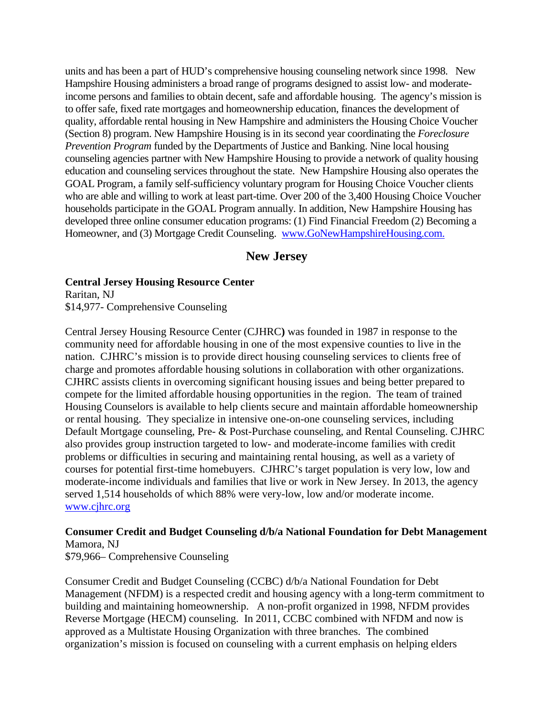units and has been a part of HUD's comprehensive housing counseling network since 1998. New Hampshire Housing administers a broad range of programs designed to assist low- and moderateincome persons and families to obtain decent, safe and affordable housing. The agency's mission is to offer safe, fixed rate mortgages and homeownership education, finances the development of quality, affordable rental housing in New Hampshire and administers the Housing Choice Voucher (Section 8) program. New Hampshire Housing is in its second year coordinating the *Foreclosure Prevention Program* funded by the Departments of Justice and Banking. Nine local housing counseling agencies partner with New Hampshire Housing to provide a network of quality housing education and counseling services throughout the state. New Hampshire Housing also operates the GOAL Program, a family self-sufficiency voluntary program for Housing Choice Voucher clients who are able and willing to work at least part-time. Over 200 of the 3,400 Housing Choice Voucher households participate in the GOAL Program annually. In addition, New Hampshire Housing has developed three online consumer education programs: (1) Find Financial Freedom (2) Becoming a Homeowner, and (3) Mortgage Credit Counseling. [www.GoNewHampshireHousing.com.](http://www.gonewhampshirehousing.com/)

# **New Jersey**

**Central Jersey Housing Resource Center** Raritan, NJ \$14,977- Comprehensive Counseling

Central Jersey Housing Resource Center (CJHRC**)** was founded in 1987 in response to the community need for affordable housing in one of the most expensive counties to live in the nation. CJHRC's mission is to provide direct housing counseling services to clients free of charge and promotes affordable housing solutions in collaboration with other organizations. CJHRC assists clients in overcoming significant housing issues and being better prepared to compete for the limited affordable housing opportunities in the region. The team of trained Housing Counselors is available to help clients secure and maintain affordable homeownership or rental housing. They specialize in intensive one-on-one counseling services, including Default Mortgage counseling, Pre- & Post-Purchase counseling, and Rental Counseling. CJHRC also provides group instruction targeted to low- and moderate-income families with credit problems or difficulties in securing and maintaining rental housing, as well as a variety of courses for potential first-time homebuyers. CJHRC's target population is very low, low and moderate-income individuals and families that live or work in New Jersey. In 2013, the agency served 1,514 households of which 88% were very-low, low and/or moderate income. [www.cjhrc.org](http://www.cjhrc.org/)

# **Consumer Credit and Budget Counseling d/b/a National Foundation for Debt Management** Mamora, NJ

\$79,966– Comprehensive Counseling

Consumer Credit and Budget Counseling (CCBC) d/b/a National Foundation for Debt Management (NFDM) is a respected credit and housing agency with a long-term commitment to building and maintaining homeownership. A non-profit organized in 1998, NFDM provides Reverse Mortgage (HECM) counseling. In 2011, CCBC combined with NFDM and now is approved as a Multistate Housing Organization with three branches. The combined organization's mission is focused on counseling with a current emphasis on helping elders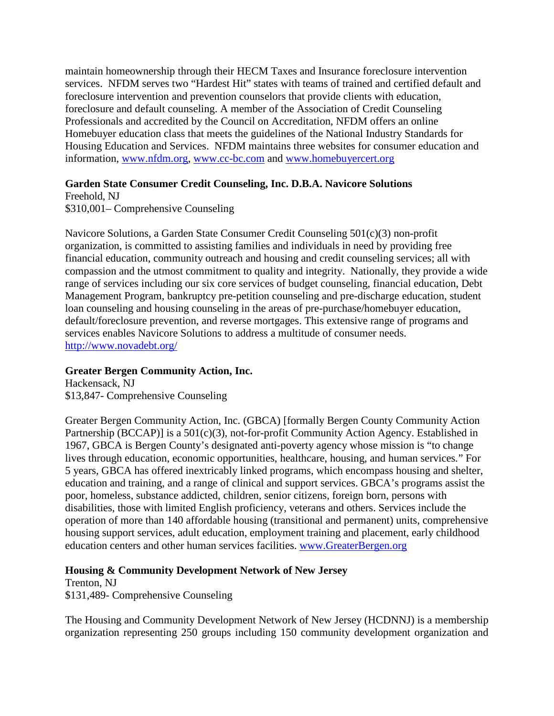maintain homeownership through their HECM Taxes and Insurance foreclosure intervention services. NFDM serves two "Hardest Hit" states with teams of trained and certified default and foreclosure intervention and prevention counselors that provide clients with education, foreclosure and default counseling. A member of the Association of Credit Counseling Professionals and accredited by the Council on Accreditation, NFDM offers an online Homebuyer education class that meets the guidelines of the National Industry Standards for Housing Education and Services. NFDM maintains three websites for consumer education and information, [www.nfdm.org,](http://www.nfdm.org/) [www.cc-bc.com](http://www.cc-bc.com/) and [www.homebuyercert.org](http://www.homebuyercert.org/)

## **Garden State Consumer Credit Counseling, Inc. D.B.A. Navicore Solutions**

Freehold, NJ \$310,001– Comprehensive Counseling

Navicore Solutions, a Garden State Consumer Credit Counseling 501(c)(3) non-profit organization, is committed to assisting families and individuals in need by providing free financial education, community outreach and housing and credit counseling services; all with compassion and the utmost commitment to quality and integrity. Nationally, they provide a wide range of services including our six core services of budget counseling, financial education, Debt Management Program, bankruptcy pre-petition counseling and pre-discharge education, student loan counseling and housing counseling in the areas of pre-purchase/homebuyer education, default/foreclosure prevention, and reverse mortgages. This extensive range of programs and services enables Navicore Solutions to address a multitude of consumer needs. <http://www.novadebt.org/>

# **Greater Bergen Community Action, Inc.**

Hackensack, NJ \$13,847- Comprehensive Counseling

Greater Bergen Community Action, Inc. (GBCA) [formally Bergen County Community Action Partnership (BCCAP)] is a 501(c)(3), not-for-profit Community Action Agency. Established in 1967, GBCA is Bergen County's designated anti-poverty agency whose mission is "to change lives through education, economic opportunities, healthcare, housing, and human services*.*" For 5 years, GBCA has offered inextricably linked programs, which encompass housing and shelter, education and training, and a range of clinical and support services. GBCA's programs assist the poor, homeless, substance addicted, children, senior citizens, foreign born, persons with disabilities, those with limited English proficiency, veterans and others. Services include the operation of more than 140 affordable housing (transitional and permanent) units, comprehensive housing support services, adult education, employment training and placement, early childhood education centers and other human services facilities. [www.GreaterBergen.org](http://www.greaterbergen.org/)

# **Housing & Community Development Network of New Jersey**

Trenton, NJ \$131,489- Comprehensive Counseling

The Housing and Community Development Network of New Jersey (HCDNNJ) is a membership organization representing 250 groups including 150 community development organization and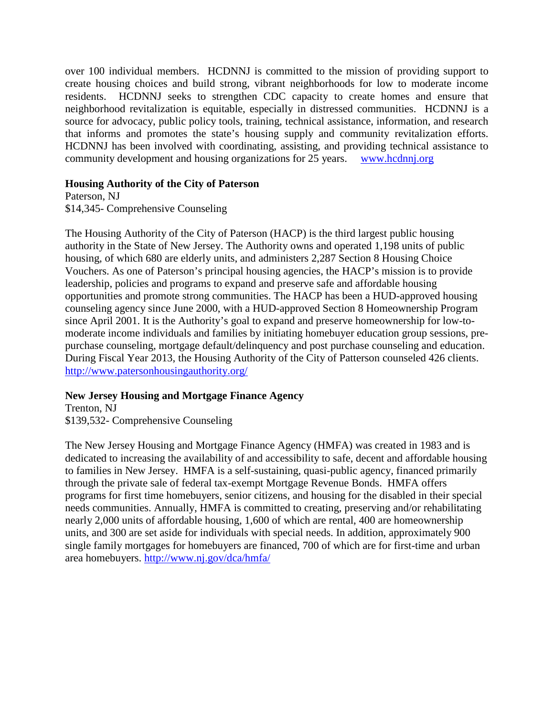over 100 individual members. HCDNNJ is committed to the mission of providing support to create housing choices and build strong, vibrant neighborhoods for low to moderate income residents. HCDNNJ seeks to strengthen CDC capacity to create homes and ensure that neighborhood revitalization is equitable, especially in distressed communities. HCDNNJ is a source for advocacy, public policy tools, training, technical assistance, information, and research that informs and promotes the state's housing supply and community revitalization efforts. HCDNNJ has been involved with coordinating, assisting, and providing technical assistance to community development and housing organizations for 25 years. [www.hcdnnj.org](http://www.hcdnnj.org/)

## **Housing Authority of the City of Paterson**

Paterson, NJ \$14,345- Comprehensive Counseling

The Housing Authority of the City of Paterson (HACP) is the third largest public housing authority in the State of New Jersey. The Authority owns and operated 1,198 units of public housing, of which 680 are elderly units, and administers 2,287 Section 8 Housing Choice Vouchers. As one of Paterson's principal housing agencies, the HACP's mission is to provide leadership, policies and programs to expand and preserve safe and affordable housing opportunities and promote strong communities. The HACP has been a HUD-approved housing counseling agency since June 2000, with a HUD-approved Section 8 Homeownership Program since April 2001. It is the Authority's goal to expand and preserve homeownership for low-tomoderate income individuals and families by initiating homebuyer education group sessions, prepurchase counseling, mortgage default/delinquency and post purchase counseling and education. During Fiscal Year 2013, the Housing Authority of the City of Patterson counseled 426 clients. <http://www.patersonhousingauthority.org/>

# **New Jersey Housing and Mortgage Finance Agency**

Trenton, NJ \$139,532- Comprehensive Counseling

The New Jersey Housing and Mortgage Finance Agency (HMFA) was created in 1983 and is dedicated to increasing the availability of and accessibility to safe, decent and affordable housing to families in New Jersey. HMFA is a self-sustaining, quasi-public agency, financed primarily through the private sale of federal tax-exempt Mortgage Revenue Bonds. HMFA offers programs for first time homebuyers, senior citizens, and housing for the disabled in their special needs communities. Annually, HMFA is committed to creating, preserving and/or rehabilitating nearly 2,000 units of affordable housing, 1,600 of which are rental, 400 are homeownership units, and 300 are set aside for individuals with special needs. In addition, approximately 900 single family mortgages for homebuyers are financed, 700 of which are for first-time and urban area homebuyers. <http://www.nj.gov/dca/hmfa/>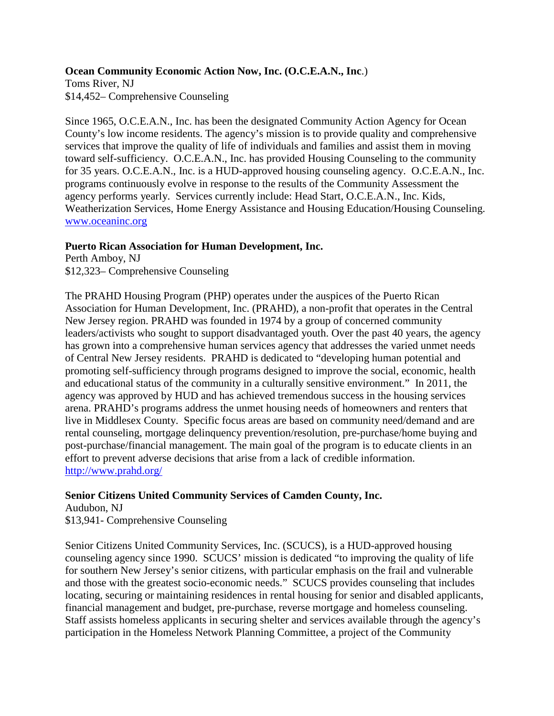### **Ocean Community Economic Action Now, Inc. (O.C.E.A.N., Inc**.)

Toms River, NJ \$14,452– Comprehensive Counseling

Since 1965, O.C.E.A.N., Inc. has been the designated Community Action Agency for Ocean County's low income residents. The agency's mission is to provide quality and comprehensive services that improve the quality of life of individuals and families and assist them in moving toward self-sufficiency. O.C.E.A.N., Inc. has provided Housing Counseling to the community for 35 years. O.C.E.A.N., Inc. is a HUD-approved housing counseling agency. O.C.E.A.N., Inc. programs continuously evolve in response to the results of the Community Assessment the agency performs yearly. Services currently include: Head Start, O.C.E.A.N., Inc. Kids, Weatherization Services, Home Energy Assistance and Housing Education/Housing Counseling. [www.oceaninc.org](http://www.oceaninc.org/)

### **Puerto Rican Association for Human Development, Inc.**

Perth Amboy, NJ \$12,323– Comprehensive Counseling

The PRAHD Housing Program (PHP) operates under the auspices of the Puerto Rican Association for Human Development, Inc. (PRAHD), a non-profit that operates in the Central New Jersey region. PRAHD was founded in 1974 by a group of concerned community leaders/activists who sought to support disadvantaged youth. Over the past 40 years, the agency has grown into a comprehensive human services agency that addresses the varied unmet needs of Central New Jersey residents. PRAHD is dedicated to "developing human potential and promoting self-sufficiency through programs designed to improve the social, economic, health and educational status of the community in a culturally sensitive environment." In 2011, the agency was approved by HUD and has achieved tremendous success in the housing services arena. PRAHD's programs address the unmet housing needs of homeowners and renters that live in Middlesex County. Specific focus areas are based on community need/demand and are rental counseling, mortgage delinquency prevention/resolution, pre-purchase/home buying and post-purchase/financial management. The main goal of the program is to educate clients in an effort to prevent adverse decisions that arise from a lack of credible information. <http://www.prahd.org/>

## **Senior Citizens United Community Services of Camden County, Inc.**

Audubon, NJ \$13,941- Comprehensive Counseling

Senior Citizens United Community Services, Inc. (SCUCS), is a HUD-approved housing counseling agency since 1990. SCUCS' mission is dedicated "to improving the quality of life for southern New Jersey's senior citizens, with particular emphasis on the frail and vulnerable and those with the greatest socio-economic needs." SCUCS provides counseling that includes locating, securing or maintaining residences in rental housing for senior and disabled applicants, financial management and budget, pre-purchase, reverse mortgage and homeless counseling. Staff assists homeless applicants in securing shelter and services available through the agency's participation in the Homeless Network Planning Committee, a project of the Community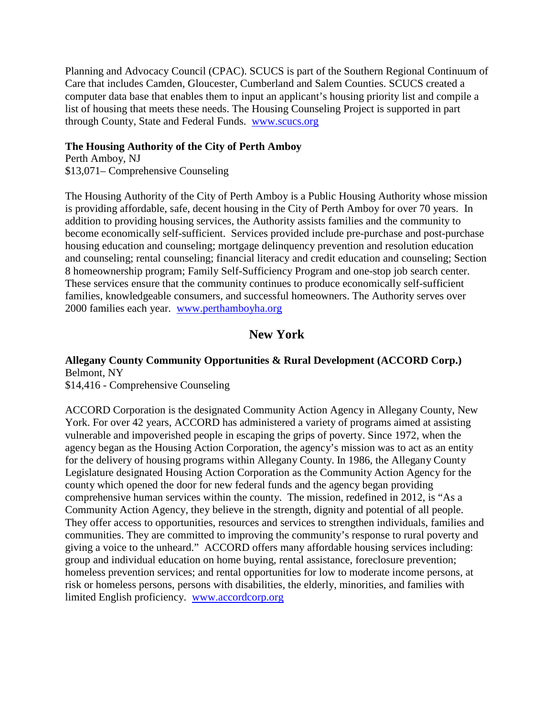Planning and Advocacy Council (CPAC). SCUCS is part of the Southern Regional Continuum of Care that includes Camden, Gloucester, Cumberland and Salem Counties. SCUCS created a computer data base that enables them to input an applicant's housing priority list and compile a list of housing that meets these needs. The Housing Counseling Project is supported in part through County, State and Federal Funds. [www.scucs.org](http://www.scucs.org/)

### **The Housing Authority of the City of Perth Amboy**

Perth Amboy, NJ \$13,071– Comprehensive Counseling

The Housing Authority of the City of Perth Amboy is a Public Housing Authority whose mission is providing affordable, safe, decent housing in the City of Perth Amboy for over 70 years. In addition to providing housing services, the Authority assists families and the community to become economically self-sufficient. Services provided include pre-purchase and post-purchase housing education and counseling; mortgage delinquency prevention and resolution education and counseling; rental counseling; financial literacy and credit education and counseling; Section 8 homeownership program; Family Self-Sufficiency Program and one-stop job search center. These services ensure that the community continues to produce economically self-sufficient families, knowledgeable consumers, and successful homeowners. The Authority serves over 2000 families each year. [www.perthamboyha.org](http://www.perthamboyha.org/)

# **New York**

**Allegany County Community Opportunities & Rural Development (ACCORD Corp.)** Belmont, NY \$14,416 - Comprehensive Counseling

ACCORD Corporation is the designated Community Action Agency in Allegany County, New York. For over 42 years, ACCORD has administered a variety of programs aimed at assisting vulnerable and impoverished people in escaping the grips of poverty. Since 1972, when the agency began as the Housing Action Corporation, the agency's mission was to act as an entity for the delivery of housing programs within Allegany County. In 1986, the Allegany County Legislature designated Housing Action Corporation as the Community Action Agency for the county which opened the door for new federal funds and the agency began providing comprehensive human services within the county. The mission, redefined in 2012, is "As a Community Action Agency, they believe in the strength, dignity and potential of all people. They offer access to opportunities, resources and services to strengthen individuals, families and communities. They are committed to improving the community's response to rural poverty and giving a voice to the unheard." ACCORD offers many affordable housing services including: group and individual education on home buying, rental assistance, foreclosure prevention; homeless prevention services; and rental opportunities for low to moderate income persons, at risk or homeless persons, persons with disabilities, the elderly, minorities, and families with limited English proficiency. [www.accordcorp.org](http://www.accordcorp.org/)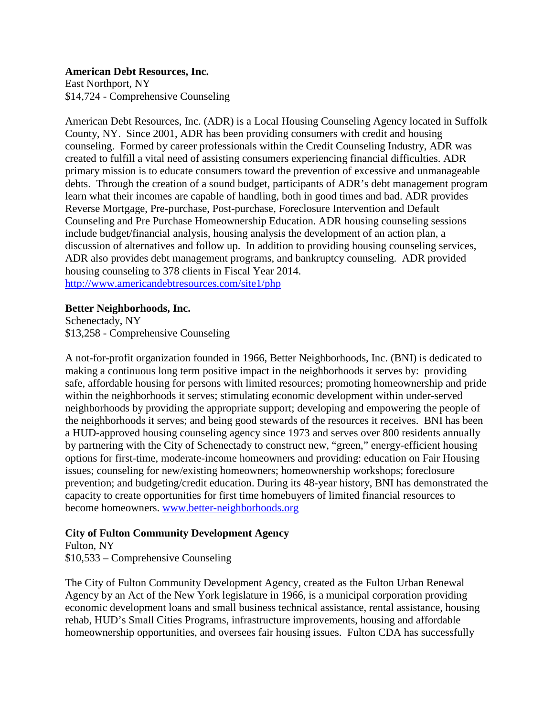### **American Debt Resources, Inc.**

East Northport, NY \$14,724 - Comprehensive Counseling

American Debt Resources, Inc. (ADR) is a Local Housing Counseling Agency located in Suffolk County, NY. Since 2001, ADR has been providing consumers with credit and housing counseling. Formed by career professionals within the Credit Counseling Industry, ADR was created to fulfill a vital need of assisting consumers experiencing financial difficulties. ADR primary mission is to educate consumers toward the prevention of excessive and unmanageable debts. Through the creation of a sound budget, participants of ADR's debt management program learn what their incomes are capable of handling, both in good times and bad. ADR provides Reverse Mortgage, Pre-purchase, Post-purchase, Foreclosure Intervention and Default Counseling and Pre Purchase Homeownership Education. ADR housing counseling sessions include budget/financial analysis, housing analysis the development of an action plan, a discussion of alternatives and follow up. In addition to providing housing counseling services, ADR also provides debt management programs, and bankruptcy counseling. ADR provided housing counseling to 378 clients in Fiscal Year 2014. <http://www.americandebtresources.com/site1/php>

### **Better Neighborhoods, Inc.**

Schenectady, NY \$13,258 - Comprehensive Counseling

A not-for-profit organization founded in 1966, Better Neighborhoods, Inc. (BNI) is dedicated to making a continuous long term positive impact in the neighborhoods it serves by: providing safe, affordable housing for persons with limited resources; promoting homeownership and pride within the neighborhoods it serves; stimulating economic development within under-served neighborhoods by providing the appropriate support; developing and empowering the people of the neighborhoods it serves; and being good stewards of the resources it receives. BNI has been a HUD-approved housing counseling agency since 1973 and serves over 800 residents annually by partnering with the City of Schenectady to construct new, "green," energy-efficient housing options for first-time, moderate-income homeowners and providing: education on Fair Housing issues; counseling for new/existing homeowners; homeownership workshops; foreclosure prevention; and budgeting/credit education. During its 48-year history, BNI has demonstrated the capacity to create opportunities for first time homebuyers of limited financial resources to become homeowners. [www.better-neighborhoods.org](http://www.better-neighborhoods.org/)

## **City of Fulton Community Development Agency**

Fulton, NY \$10,533 – Comprehensive Counseling

The City of Fulton Community Development Agency, created as the Fulton Urban Renewal Agency by an Act of the New York legislature in 1966, is a municipal corporation providing economic development loans and small business technical assistance, rental assistance, housing rehab, HUD's Small Cities Programs, infrastructure improvements, housing and affordable homeownership opportunities, and oversees fair housing issues. Fulton CDA has successfully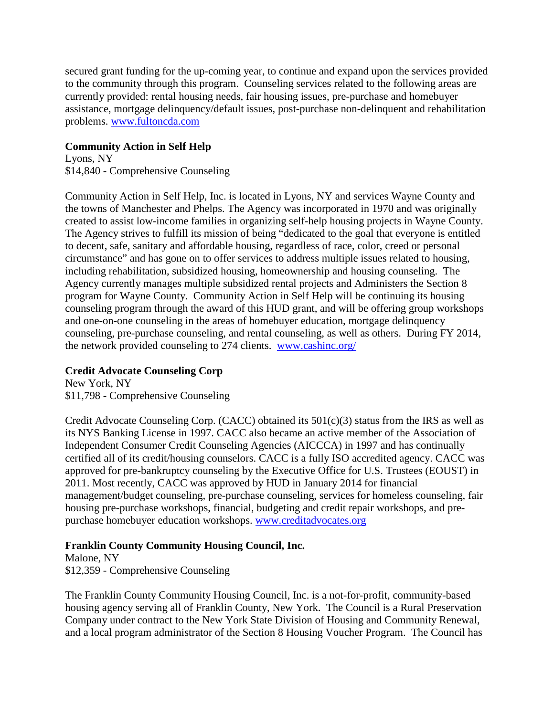secured grant funding for the up-coming year, to continue and expand upon the services provided to the community through this program. Counseling services related to the following areas are currently provided: rental housing needs, fair housing issues, pre-purchase and homebuyer assistance, mortgage delinquency/default issues, post-purchase non-delinquent and rehabilitation problems. [www.fultoncda.com](http://www.fultoncda.com/)

### **Community Action in Self Help**

Lyons, NY \$14,840 - Comprehensive Counseling

Community Action in Self Help, Inc. is located in Lyons, NY and services Wayne County and the towns of Manchester and Phelps. The Agency was incorporated in 1970 and was originally created to assist low-income families in organizing self-help housing projects in Wayne County. The Agency strives to fulfill its mission of being "dedicated to the goal that everyone is entitled to decent, safe, sanitary and affordable housing, regardless of race, color, creed or personal circumstance" and has gone on to offer services to address multiple issues related to housing, including rehabilitation, subsidized housing, homeownership and housing counseling. The Agency currently manages multiple subsidized rental projects and Administers the Section 8 program for Wayne County. Community Action in Self Help will be continuing its housing counseling program through the award of this HUD grant, and will be offering group workshops and one-on-one counseling in the areas of homebuyer education, mortgage delinquency counseling, pre-purchase counseling, and rental counseling, as well as others. During FY 2014, the network provided counseling to 274 clients. [www.cashinc.org/](http://www.cashinc.org/)

# **Credit Advocate Counseling Corp**

New York, NY \$11,798 - Comprehensive Counseling

Credit Advocate Counseling Corp. (CACC) obtained its 501(c)(3) status from the IRS as well as its NYS Banking License in 1997. CACC also became an active member of the Association of Independent Consumer Credit Counseling Agencies (AICCCA) in 1997 and has continually certified all of its credit/housing counselors. CACC is a fully ISO accredited agency. CACC was approved for pre-bankruptcy counseling by the Executive Office for U.S. Trustees (EOUST) in 2011. Most recently, CACC was approved by HUD in January 2014 for financial management/budget counseling, pre-purchase counseling, services for homeless counseling, fair housing pre-purchase workshops, financial, budgeting and credit repair workshops, and prepurchase homebuyer education workshops. [www.creditadvocates.org](http://www.creditadvocates.org/)

## **Franklin County Community Housing Council, Inc.**

Malone, NY \$12,359 - Comprehensive Counseling

The Franklin County Community Housing Council, Inc. is a not-for-profit, community-based housing agency serving all of Franklin County, New York. The Council is a Rural Preservation Company under contract to the New York State Division of Housing and Community Renewal, and a local program administrator of the Section 8 Housing Voucher Program. The Council has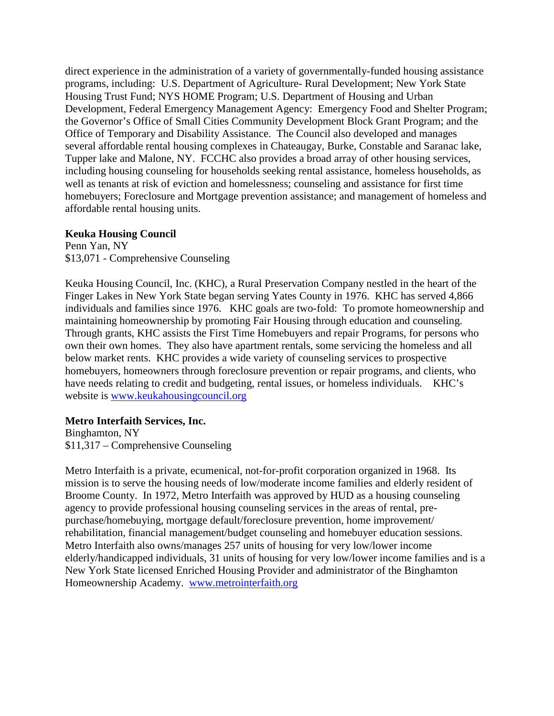direct experience in the administration of a variety of governmentally-funded housing assistance programs, including: U.S. Department of Agriculture- Rural Development; New York State Housing Trust Fund; NYS HOME Program; U.S. Department of Housing and Urban Development, Federal Emergency Management Agency: Emergency Food and Shelter Program; the Governor's Office of Small Cities Community Development Block Grant Program; and the Office of Temporary and Disability Assistance. The Council also developed and manages several affordable rental housing complexes in Chateaugay, Burke, Constable and Saranac lake, Tupper lake and Malone, NY. FCCHC also provides a broad array of other housing services, including housing counseling for households seeking rental assistance, homeless households, as well as tenants at risk of eviction and homelessness; counseling and assistance for first time homebuyers; Foreclosure and Mortgage prevention assistance; and management of homeless and affordable rental housing units.

### **Keuka Housing Council**

Penn Yan, NY \$13,071 - Comprehensive Counseling

Keuka Housing Council, Inc. (KHC), a Rural Preservation Company nestled in the heart of the Finger Lakes in New York State began serving Yates County in 1976. KHC has served 4,866 individuals and families since 1976. KHC goals are two-fold: To promote homeownership and maintaining homeownership by promoting Fair Housing through education and counseling. Through grants, KHC assists the First Time Homebuyers and repair Programs, for persons who own their own homes. They also have apartment rentals, some servicing the homeless and all below market rents. KHC provides a wide variety of counseling services to prospective homebuyers, homeowners through foreclosure prevention or repair programs, and clients, who have needs relating to credit and budgeting, rental issues, or homeless individuals. KHC's website is [www.keukahousingcouncil.org](http://www.keukahousingcouncil.org/)

## **Metro Interfaith Services, Inc.**

Binghamton, NY \$11,317 – Comprehensive Counseling

Metro Interfaith is a private, ecumenical, not-for-profit corporation organized in 1968. Its mission is to serve the housing needs of low/moderate income families and elderly resident of Broome County. In 1972, Metro Interfaith was approved by HUD as a housing counseling agency to provide professional housing counseling services in the areas of rental, prepurchase/homebuying, mortgage default/foreclosure prevention, home improvement/ rehabilitation, financial management/budget counseling and homebuyer education sessions. Metro Interfaith also owns/manages 257 units of housing for very low/lower income elderly/handicapped individuals, 31 units of housing for very low/lower income families and is a New York State licensed Enriched Housing Provider and administrator of the Binghamton Homeownership Academy. [www.metrointerfaith.org](http://www.metrointerfaith.org/)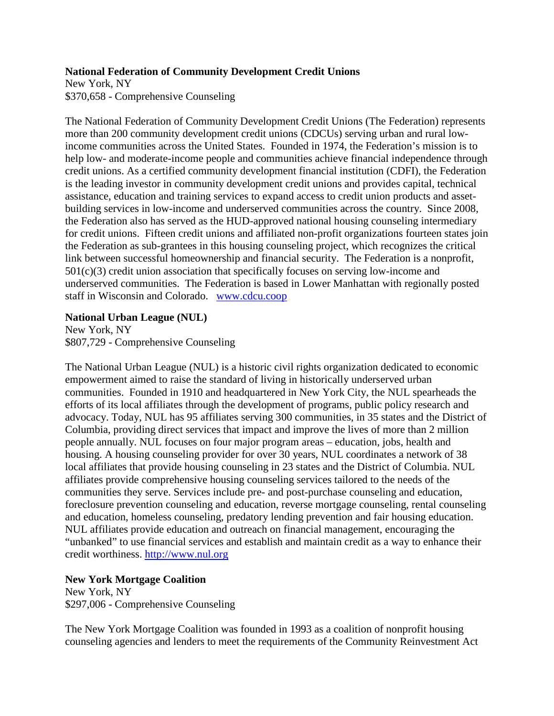### **National Federation of Community Development Credit Unions**

New York, NY \$370,658 - Comprehensive Counseling

The National Federation of Community Development Credit Unions (The Federation) represents more than 200 community development credit unions (CDCUs) serving urban and rural lowincome communities across the United States. Founded in 1974, the Federation's mission is to help low- and moderate-income people and communities achieve financial independence through credit unions. As a certified community development financial institution (CDFI), the Federation is the leading investor in community development credit unions and provides capital, technical assistance, education and training services to expand access to credit union products and assetbuilding services in low-income and underserved communities across the country. Since 2008, the Federation also has served as the HUD-approved national housing counseling intermediary for credit unions. Fifteen credit unions and affiliated non-profit organizations fourteen states join the Federation as sub-grantees in this housing counseling project, which recognizes the critical link between successful homeownership and financial security. The Federation is a nonprofit,  $501(c)(3)$  credit union association that specifically focuses on serving low-income and underserved communities. The Federation is based in Lower Manhattan with regionally posted staff in Wisconsin and Colorado. [www.cdcu.coop](http://www.cdcu.coop/)

### **National Urban League (NUL)**

New York, NY \$807,729 - Comprehensive Counseling

The National Urban League (NUL) is a historic civil rights organization dedicated to economic empowerment aimed to raise the standard of living in historically underserved urban communities. Founded in 1910 and headquartered in New York City, the NUL spearheads the efforts of its local affiliates through the development of programs, public policy research and advocacy. Today, NUL has 95 affiliates serving 300 communities, in 35 states and the District of Columbia, providing direct services that impact and improve the lives of more than 2 million people annually. NUL focuses on four major program areas – education, jobs, health and housing. A housing counseling provider for over 30 years, NUL coordinates a network of 38 local affiliates that provide housing counseling in 23 states and the District of Columbia. NUL affiliates provide comprehensive housing counseling services tailored to the needs of the communities they serve. Services include pre- and post-purchase counseling and education, foreclosure prevention counseling and education, reverse mortgage counseling, rental counseling and education, homeless counseling, predatory lending prevention and fair housing education. NUL affiliates provide education and outreach on financial management, encouraging the "unbanked" to use financial services and establish and maintain credit as a way to enhance their credit worthiness. [http://www.nul.org](http://www.nul.org/)

## **New York Mortgage Coalition**

New York, NY \$297,006 - Comprehensive Counseling

The New York Mortgage Coalition was founded in 1993 as a coalition of nonprofit housing counseling agencies and lenders to meet the requirements of the Community Reinvestment Act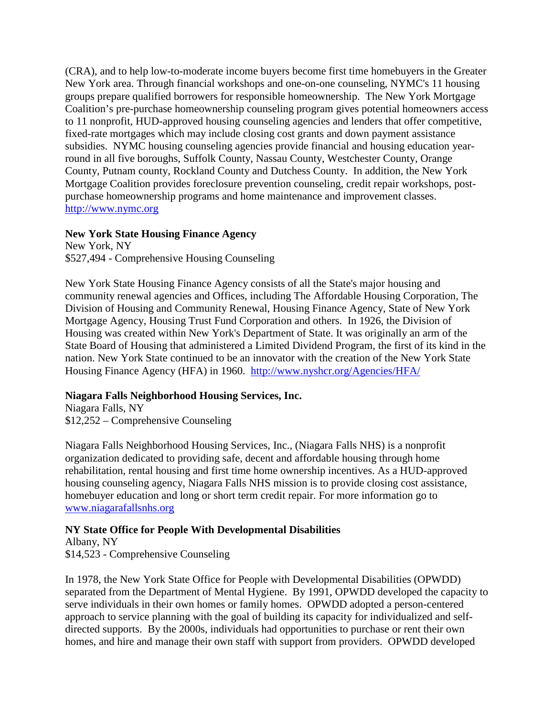(CRA), and to help low-to-moderate income buyers become first time homebuyers in the Greater New York area. Through financial workshops and one-on-one counseling, NYMC's 11 housing groups prepare qualified borrowers for responsible homeownership. The New York Mortgage Coalition's pre-purchase homeownership counseling program gives potential homeowners access to 11 nonprofit, HUD-approved housing counseling agencies and lenders that offer competitive, fixed-rate mortgages which may include closing cost grants and down payment assistance subsidies. NYMC housing counseling agencies provide financial and housing education yearround in all five boroughs, Suffolk County, Nassau County, Westchester County, Orange County, Putnam county, Rockland County and Dutchess County. In addition, the New York Mortgage Coalition provides foreclosure prevention counseling, credit repair workshops, postpurchase homeownership programs and home maintenance and improvement classes. [http://www.nymc.org](http://www.nymc.org/)

### **New York State Housing Finance Agency**

New York, NY \$527,494 - Comprehensive Housing Counseling

New York State Housing Finance Agency consists of all the State's major housing and community renewal agencies and Offices, including The Affordable Housing Corporation, The Division of Housing and Community Renewal, Housing Finance Agency, State of New York Mortgage Agency, Housing Trust Fund Corporation and others. In 1926, the Division of Housing was created within New York's Department of State. It was originally an arm of the State Board of Housing that administered a Limited Dividend Program, the first of its kind in the nation. New York State continued to be an innovator with the creation of the New York State Housing Finance Agency (HFA) in 1960. <http://www.nyshcr.org/Agencies/HFA/>

## **Niagara Falls Neighborhood Housing Services, Inc.**

Niagara Falls, NY \$12,252 – Comprehensive Counseling

Niagara Falls Neighborhood Housing Services, Inc., (Niagara Falls NHS) is a nonprofit organization dedicated to providing safe, decent and affordable housing through home rehabilitation, rental housing and first time home ownership incentives. As a HUD-approved housing counseling agency, Niagara Falls NHS mission is to provide closing cost assistance, homebuyer education and long or short term credit repair. For more information go to [www.niagarafallsnhs.org](http://www.niagarafallsnhs.org/)

# **NY State Office for People With Developmental Disabilities**

Albany, NY \$14,523 - Comprehensive Counseling

In 1978, the New York State Office for People with Developmental Disabilities (OPWDD) separated from the Department of Mental Hygiene. By 1991, OPWDD developed the capacity to serve individuals in their own homes or family homes. OPWDD adopted a person-centered approach to service planning with the goal of building its capacity for individualized and selfdirected supports. By the 2000s, individuals had opportunities to purchase or rent their own homes, and hire and manage their own staff with support from providers. OPWDD developed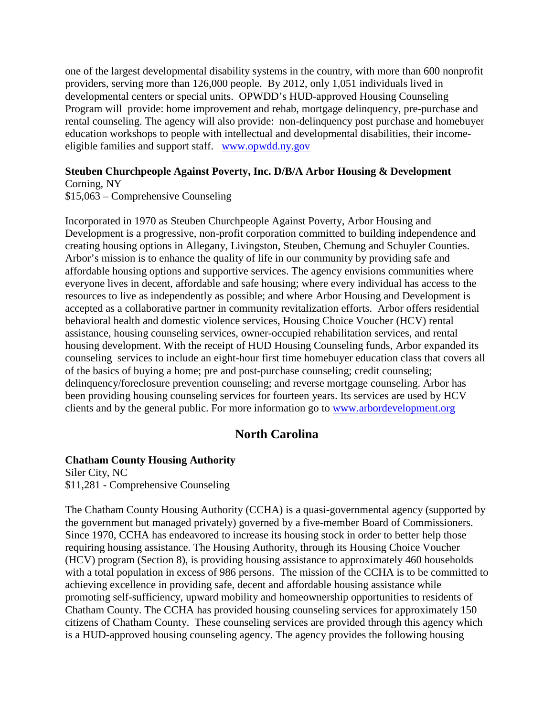one of the largest developmental disability systems in the country, with more than 600 nonprofit providers, serving more than 126,000 people. By 2012, only 1,051 individuals lived in developmental centers or special units. OPWDD's HUD-approved Housing Counseling Program will provide: home improvement and rehab, mortgage delinquency, pre-purchase and rental counseling. The agency will also provide: non-delinquency post purchase and homebuyer education workshops to people with intellectual and developmental disabilities, their incomeeligible families and support staff. [www.opwdd.ny.gov](http://www.opwdd.ny.gov/)

#### **Steuben Churchpeople Against Poverty, Inc. D/B/A Arbor Housing & Development** Corning, NY

\$15,063 – Comprehensive Counseling

Incorporated in 1970 as Steuben Churchpeople Against Poverty, Arbor Housing and Development is a progressive, non-profit corporation committed to building independence and creating housing options in Allegany, Livingston, Steuben, Chemung and Schuyler Counties. Arbor's mission is to enhance the quality of life in our community by providing safe and affordable housing options and supportive services. The agency envisions communities where everyone lives in decent, affordable and safe housing; where every individual has access to the resources to live as independently as possible; and where Arbor Housing and Development is accepted as a collaborative partner in community revitalization efforts. Arbor offers residential behavioral health and domestic violence services, Housing Choice Voucher (HCV) rental assistance, housing counseling services, owner-occupied rehabilitation services, and rental housing development. With the receipt of HUD Housing Counseling funds, Arbor expanded its counseling services to include an eight-hour first time homebuyer education class that covers all of the basics of buying a home; pre and post-purchase counseling; credit counseling; delinquency/foreclosure prevention counseling; and reverse mortgage counseling. Arbor has been providing housing counseling services for fourteen years. Its services are used by HCV clients and by the general public. For more information go to [www.arbordevelopment.org](http://www.arbordevelopment.org/)

# **North Carolina**

### **Chatham County Housing Authority**

Siler City, NC \$11,281 - Comprehensive Counseling

The Chatham County Housing Authority (CCHA) is a quasi-governmental agency (supported by the government but managed privately) governed by a five-member Board of Commissioners. Since 1970, CCHA has endeavored to increase its housing stock in order to better help those requiring housing assistance. The Housing Authority, through its Housing Choice Voucher (HCV) program (Section 8), is providing housing assistance to approximately 460 households with a total population in excess of 986 persons. The mission of the CCHA is to be committed to achieving excellence in providing safe, decent and affordable housing assistance while promoting self-sufficiency, upward mobility and homeownership opportunities to residents of Chatham County. The CCHA has provided housing counseling services for approximately 150 citizens of Chatham County. These counseling services are provided through this agency which is a HUD-approved housing counseling agency. The agency provides the following housing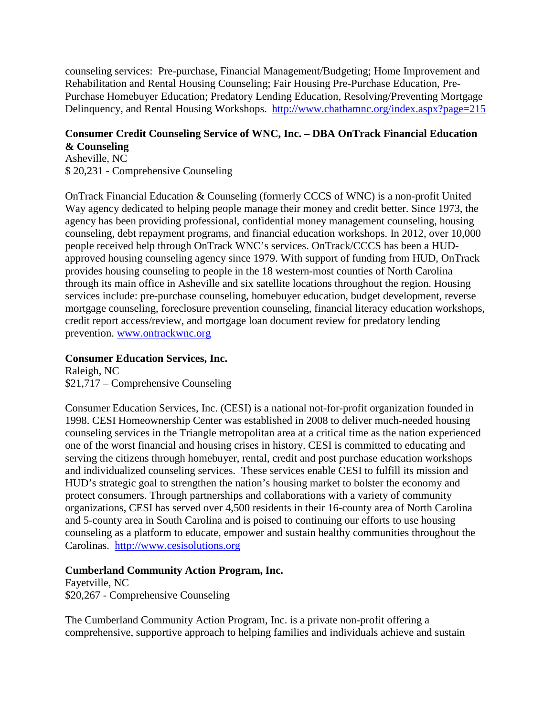counseling services: Pre-purchase, Financial Management/Budgeting; Home Improvement and Rehabilitation and Rental Housing Counseling; Fair Housing Pre-Purchase Education, Pre-Purchase Homebuyer Education; Predatory Lending Education, Resolving/Preventing Mortgage Delinquency, and Rental Housing Workshops. <http://www.chathamnc.org/index.aspx?page=215>

#### **Consumer Credit Counseling Service of WNC, Inc. – DBA OnTrack Financial Education & Counseling**

Asheville, NC \$ 20,231 - Comprehensive Counseling

OnTrack Financial Education & Counseling (formerly CCCS of WNC) is a non-profit United Way agency dedicated to helping people manage their money and credit better. Since 1973, the agency has been providing professional, confidential money management counseling, housing counseling, debt repayment programs, and financial education workshops. In 2012, over 10,000 people received help through OnTrack WNC's services. OnTrack/CCCS has been a HUDapproved housing counseling agency since 1979. With support of funding from HUD, OnTrack provides housing counseling to people in the 18 western-most counties of North Carolina through its main office in Asheville and six satellite locations throughout the region. Housing services include: pre-purchase counseling, homebuyer education, budget development, reverse mortgage counseling, foreclosure prevention counseling, financial literacy education workshops, credit report access/review, and mortgage loan document review for predatory lending prevention. [www.ontrackwnc.org](http://www.ontrackwnc.org/)

# **Consumer Education Services, Inc.**

Raleigh, NC \$21,717 – Comprehensive Counseling

Consumer Education Services, Inc. (CESI) is a national not-for-profit organization founded in 1998. CESI Homeownership Center was established in 2008 to deliver much-needed housing counseling services in the Triangle metropolitan area at a critical time as the nation experienced one of the worst financial and housing crises in history. CESI is committed to educating and serving the citizens through homebuyer, rental, credit and post purchase education workshops and individualized counseling services. These services enable CESI to fulfill its mission and HUD's strategic goal to strengthen the nation's housing market to bolster the economy and protect consumers. Through partnerships and collaborations with a variety of community organizations, CESI has served over 4,500 residents in their 16-county area of North Carolina and 5-county area in South Carolina and is poised to continuing our efforts to use housing counseling as a platform to educate, empower and sustain healthy communities throughout the Carolinas. [http://www.cesisolutions.org](http://www.cesisolutions.org/)

## **Cumberland Community Action Program, Inc.**

Fayetville, NC \$20,267 - Comprehensive Counseling

The Cumberland Community Action Program, Inc. is a private non-profit offering a comprehensive, supportive approach to helping families and individuals achieve and sustain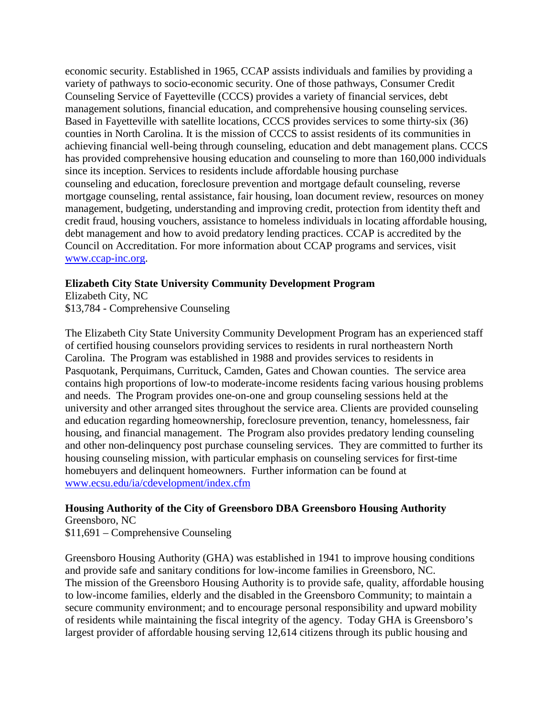economic security. Established in 1965, CCAP assists individuals and families by providing a variety of pathways to socio-economic security. One of those pathways, Consumer Credit Counseling Service of Fayetteville (CCCS) provides a variety of financial services, debt management solutions, financial education, and comprehensive housing counseling services. Based in Fayetteville with satellite locations, CCCS provides services to some thirty-six (36) counties in North Carolina. It is the mission of CCCS to assist residents of its communities in achieving financial well-being through counseling, education and debt management plans. CCCS has provided comprehensive housing education and counseling to more than 160,000 individuals since its inception. Services to residents include affordable housing purchase counseling and education, foreclosure prevention and mortgage default counseling, reverse mortgage counseling, rental assistance, fair housing, loan document review, resources on money management, budgeting, understanding and improving credit, protection from identity theft and credit fraud, housing vouchers, assistance to homeless individuals in locating affordable housing, debt management and how to avoid predatory lending practices. CCAP is accredited by the Council on Accreditation. For more information about CCAP programs and services, visit [www.ccap-inc.org.](http://www.ccap-inc.org/)

### **Elizabeth City State University Community Development Program**

Elizabeth City, NC \$13,784 - Comprehensive Counseling

The Elizabeth City State University Community Development Program has an experienced staff of certified housing counselors providing services to residents in rural northeastern North Carolina. The Program was established in 1988 and provides services to residents in Pasquotank, Perquimans, Currituck, Camden, Gates and Chowan counties. The service area contains high proportions of low-to moderate-income residents facing various housing problems and needs. The Program provides one-on-one and group counseling sessions held at the university and other arranged sites throughout the service area. Clients are provided counseling and education regarding homeownership, foreclosure prevention, tenancy, homelessness, fair housing, and financial management. The Program also provides predatory lending counseling and other non-delinquency post purchase counseling services. They are committed to further its housing counseling mission, with particular emphasis on counseling services for first-time homebuyers and delinquent homeowners. Further information can be found at [www.ecsu.edu/ia/cdevelopment/index.cfm](http://www.ecsu.edu/ia/cdevelopment/index.cfm)

# **Housing Authority of the City of Greensboro DBA Greensboro Housing Authority**

Greensboro, NC \$11,691 – Comprehensive Counseling

Greensboro Housing Authority (GHA) was established in 1941 to improve housing conditions and provide safe and sanitary conditions for low-income families in Greensboro, NC. The mission of the Greensboro Housing Authority is to provide safe, quality, affordable housing to low-income families, elderly and the disabled in the Greensboro Community; to maintain a secure community environment; and to encourage personal responsibility and upward mobility of residents while maintaining the fiscal integrity of the agency. Today GHA is Greensboro's largest provider of affordable housing serving 12,614 citizens through its public housing and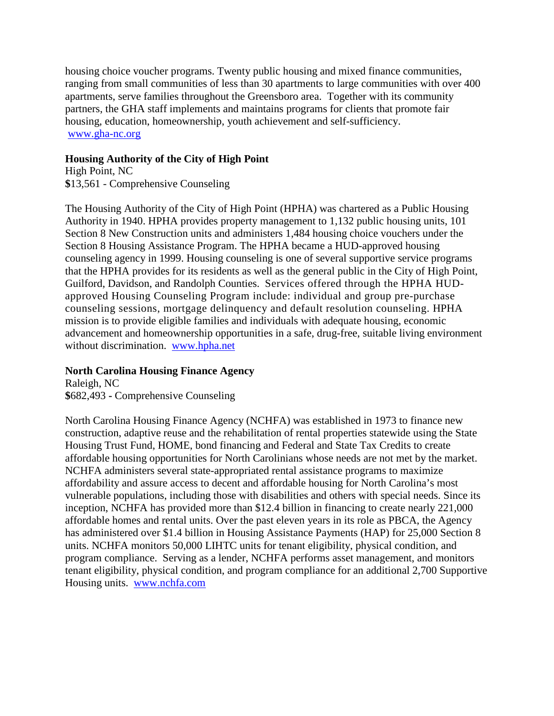housing choice voucher programs. Twenty public housing and mixed finance communities, ranging from small communities of less than 30 apartments to large communities with over 400 apartments, serve families throughout the Greensboro area. Together with its community partners, the GHA staff implements and maintains programs for clients that promote fair housing, education, homeownership, youth achievement and self-sufficiency. [www.gha-nc.org](http://www.gha-nc.org/)

### **Housing Authority of the City of High Point**

High Point, NC **\$**13,561 - Comprehensive Counseling

The Housing Authority of the City of High Point (HPHA) was chartered as a Public Housing Authority in 1940. HPHA provides property management to 1,132 public housing units, 101 Section 8 New Construction units and administers 1,484 housing choice vouchers under the Section 8 Housing Assistance Program. The HPHA became a HUD-approved housing counseling agency in 1999. Housing counseling is one of several supportive service programs that the HPHA provides for its residents as well as the general public in the City of High Point, Guilford, Davidson, and Randolph Counties. Services offered through the HPHA HUDapproved Housing Counseling Program include: individual and group pre-purchase counseling sessions, mortgage delinquency and default resolution counseling. HPHA mission is to provide eligible families and individuals with adequate housing, economic advancement and homeownership opportunities in a safe, drug-free, suitable living environment without discrimination. [www.hpha.net](http://www.hpha.net/)

## **North Carolina Housing Finance Agency**

Raleigh, NC **\$**682,493 **-** Comprehensive Counseling

North Carolina Housing Finance Agency (NCHFA) was established in 1973 to finance new construction, adaptive reuse and the rehabilitation of rental properties statewide using the State Housing Trust Fund, HOME, bond financing and Federal and State Tax Credits to create affordable housing opportunities for North Carolinians whose needs are not met by the market. NCHFA administers several state-appropriated rental assistance programs to maximize affordability and assure access to decent and affordable housing for North Carolina's most vulnerable populations, including those with disabilities and others with special needs. Since its inception, NCHFA has provided more than \$12.4 billion in financing to create nearly 221,000 affordable homes and rental units. Over the past eleven years in its role as PBCA, the Agency has administered over \$1.4 billion in Housing Assistance Payments (HAP) for 25,000 Section 8 units. NCHFA monitors 50,000 LIHTC units for tenant eligibility, physical condition, and program compliance. Serving as a lender, NCHFA performs asset management, and monitors tenant eligibility, physical condition, and program compliance for an additional 2,700 Supportive Housing units. [www.nchfa.com](http://www.nchfa.com/)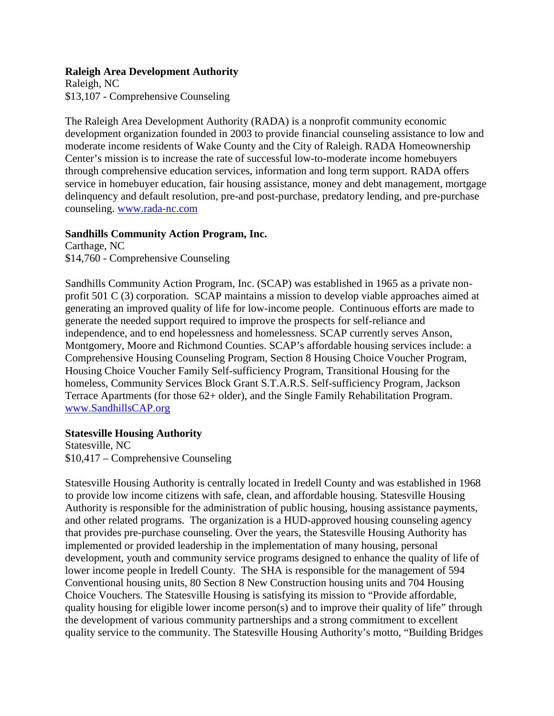### **Raleigh Area Development Authority**

Raleigh, NC \$13,107 - Comprehensive Counseling

The Raleigh Area Development Authority (RADA) is a nonprofit community economic development organization founded in 2003 to provide financial counseling assistance to low and moderate income residents of Wake County and the City of Raleigh. RADA Homeownership Center's mission is to increase the rate of successful low-to-moderate income homebuyers through comprehensive education services, information and long term support. RADA offers service in homebuyer education, fair housing assistance, money and debt management, mortgage delinquency and default resolution, pre-and post-purchase, predatory lending, and pre-purchase counseling. [www.rada-nc.com](http://www.rada-nc.com/)

### **Sandhills Community Action Program, Inc.**

Carthage, NC \$14,760 - Comprehensive Counseling

Sandhills Community Action Program, Inc. (SCAP) was established in 1965 as a private nonprofit 501 C (3) corporation. SCAP maintains a mission to develop viable approaches aimed at generating an improved quality of life for low-income people. Continuous efforts are made to generate the needed support required to improve the prospects for self-reliance and independence, and to end hopelessness and homelessness. SCAP currently serves Anson, Montgomery, Moore and Richmond Counties. SCAP's affordable housing services include: a Comprehensive Housing Counseling Program, Section 8 Housing Choice Voucher Program, Housing Choice Voucher Family Self-sufficiency Program, Transitional Housing for the homeless, Community Services Block Grant S.T.A.R.S. Self-sufficiency Program, Jackson Terrace Apartments (for those 62+ older), and the Single Family Rehabilitation Program. [www.SandhillsCAP.org](http://www.sandhillscap.org/)

### **Statesville Housing Authority**

Statesville, NC \$10,417 – Comprehensive Counseling

Statesville Housing Authority is centrally located in Iredell County and was established in 1968 to provide low income citizens with safe, clean, and affordable housing. Statesville Housing Authority is responsible for the administration of public housing, housing assistance payments, and other related programs. The organization is a HUD-approved housing counseling agency that provides pre-purchase counseling. Over the years, the Statesville Housing Authority has implemented or provided leadership in the implementation of many housing, personal development, youth and community service programs designed to enhance the quality of life of lower income people in Iredell County. The SHA is responsible for the management of 594 Conventional housing units, 80 Section 8 New Construction housing units and 704 Housing Choice Vouchers. The Statesville Housing is satisfying its mission to "Provide affordable, quality housing for eligible lower income person(s) and to improve their quality of life" through the development of various community partnerships and a strong commitment to excellent quality service to the community. The Statesville Housing Authority's motto, "Building Bridges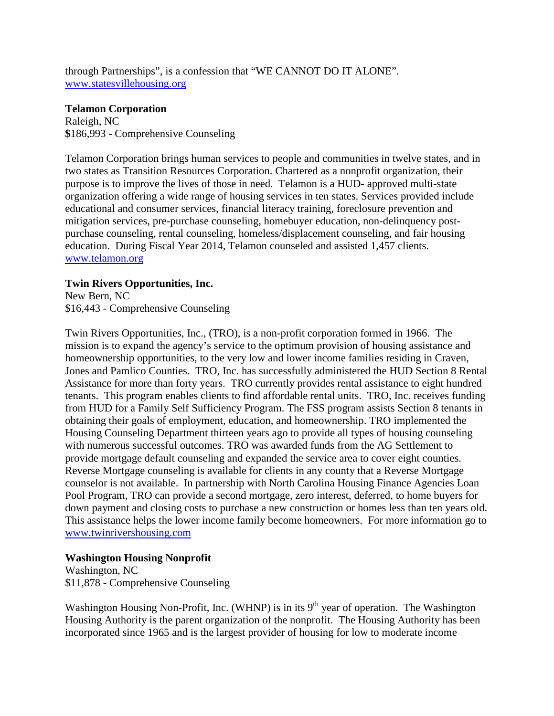through Partnerships", is a confession that "WE CANNOT DO IT ALONE". [www.statesvillehousing.org](http://www.statesvillehousing.org/)

### **Telamon Corporation**

Raleigh, NC **\$**186,993 - Comprehensive Counseling

Telamon Corporation brings human services to people and communities in twelve states, and in two states as Transition Resources Corporation. Chartered as a nonprofit organization, their purpose is to improve the lives of those in need. Telamon is a HUD- approved multi-state organization offering a wide range of housing services in ten states. Services provided include educational and consumer services, financial literacy training, foreclosure prevention and mitigation services, pre-purchase counseling, homebuyer education, non-delinquency postpurchase counseling, rental counseling, homeless/displacement counseling, and fair housing education. During Fiscal Year 2014, Telamon counseled and assisted 1,457 clients. [www.telamon.org](http://www.telamon.org/)

### **Twin Rivers Opportunities, Inc.**

New Bern, NC \$16,443 - Comprehensive Counseling

Twin Rivers Opportunities, Inc., (TRO), is a non-profit corporation formed in 1966. The mission is to expand the agency's service to the optimum provision of housing assistance and homeownership opportunities, to the very low and lower income families residing in Craven, Jones and Pamlico Counties. TRO, Inc. has successfully administered the HUD Section 8 Rental Assistance for more than forty years. TRO currently provides rental assistance to eight hundred tenants. This program enables clients to find affordable rental units. TRO, Inc. receives funding from HUD for a Family Self Sufficiency Program. The FSS program assists Section 8 tenants in obtaining their goals of employment, education, and homeownership. TRO implemented the Housing Counseling Department thirteen years ago to provide all types of housing counseling with numerous successful outcomes. TRO was awarded funds from the AG Settlement to provide mortgage default counseling and expanded the service area to cover eight counties. Reverse Mortgage counseling is available for clients in any county that a Reverse Mortgage counselor is not available. In partnership with North Carolina Housing Finance Agencies Loan Pool Program, TRO can provide a second mortgage, zero interest, deferred, to home buyers for down payment and closing costs to purchase a new construction or homes less than ten years old. This assistance helps the lower income family become homeowners. For more information go to [www.twinrivershousing.com](http://www.twinrivershousing.com/)

## **Washington Housing Nonprofit**

Washington, NC \$11,878 - Comprehensive Counseling

Washington Housing Non-Profit, Inc. (WHNP) is in its  $9<sup>th</sup>$  year of operation. The Washington Housing Authority is the parent organization of the nonprofit. The Housing Authority has been incorporated since 1965 and is the largest provider of housing for low to moderate income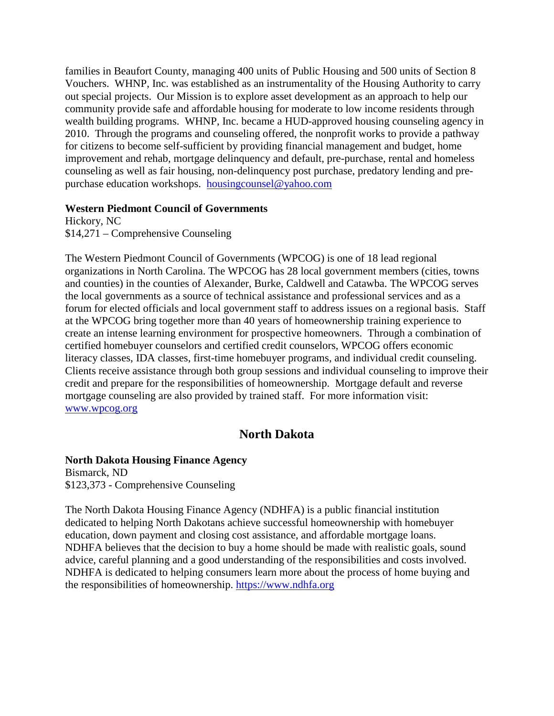families in Beaufort County, managing 400 units of Public Housing and 500 units of Section 8 Vouchers. WHNP, Inc. was established as an instrumentality of the Housing Authority to carry out special projects. Our Mission is to explore asset development as an approach to help our community provide safe and affordable housing for moderate to low income residents through wealth building programs. WHNP, Inc. became a HUD-approved housing counseling agency in 2010. Through the programs and counseling offered, the nonprofit works to provide a pathway for citizens to become self-sufficient by providing financial management and budget, home improvement and rehab, mortgage delinquency and default, pre-purchase, rental and homeless counseling as well as fair housing, non-delinquency post purchase, predatory lending and prepurchase education workshops. [housingcounsel@yahoo.com](mailto:housingcounsel@yahoo.com)

#### **Western Piedmont Council of Governments**

Hickory, NC \$14,271 – Comprehensive Counseling

The Western Piedmont Council of Governments (WPCOG) is one of 18 lead regional organizations in North Carolina. The WPCOG has 28 local government members (cities, towns and counties) in the counties of Alexander, Burke, Caldwell and Catawba. The WPCOG serves the local governments as a source of technical assistance and professional services and as a forum for elected officials and local government staff to address issues on a regional basis. Staff at the WPCOG bring together more than 40 years of homeownership training experience to create an intense learning environment for prospective homeowners. Through a combination of certified homebuyer counselors and certified credit counselors, WPCOG offers economic literacy classes, IDA classes, first-time homebuyer programs, and individual credit counseling. Clients receive assistance through both group sessions and individual counseling to improve their credit and prepare for the responsibilities of homeownership. Mortgage default and reverse mortgage counseling are also provided by trained staff. For more information visit: [www.wpcog.org](http://www.wpcog.org/)

# **North Dakota**

#### **North Dakota Housing Finance Agency**

Bismarck, ND \$123,373 - Comprehensive Counseling

The North Dakota Housing Finance Agency (NDHFA) is a public financial institution dedicated to helping North Dakotans achieve successful homeownership with homebuyer education, down payment and closing cost assistance, and affordable mortgage loans. NDHFA believes that the decision to buy a home should be made with realistic goals, sound advice, careful planning and a good understanding of the responsibilities and costs involved. NDHFA is dedicated to helping consumers learn more about the process of home buying and the responsibilities of homeownership. [https://www.ndhfa.org](https://www.ndhfa.org/)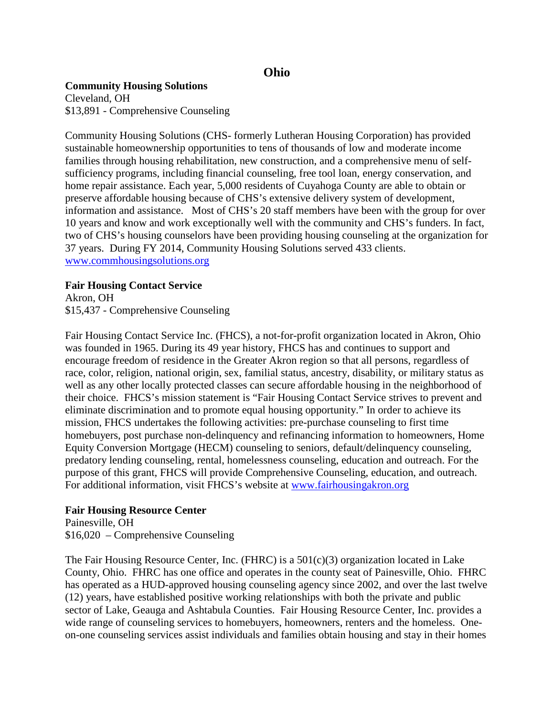# **Ohio**

### **Community Housing Solutions**

Cleveland, OH \$13,891 - Comprehensive Counseling

Community Housing Solutions (CHS- formerly Lutheran Housing Corporation) has provided sustainable homeownership opportunities to tens of thousands of low and moderate income families through housing rehabilitation, new construction, and a comprehensive menu of selfsufficiency programs, including financial counseling, free tool loan, energy conservation, and home repair assistance. Each year, 5,000 residents of Cuyahoga County are able to obtain or preserve affordable housing because of CHS's extensive delivery system of development, information and assistance. Most of CHS's 20 staff members have been with the group for over 10 years and know and work exceptionally well with the community and CHS's funders. In fact, two of CHS's housing counselors have been providing housing counseling at the organization for 37 years. During FY 2014, Community Housing Solutions served 433 clients. [www.commhousingsolutions.org](http://www.commhousingsolutions.org/)

### **Fair Housing Contact Service**

Akron, OH \$15,437 - Comprehensive Counseling

Fair Housing Contact Service Inc. (FHCS), a not-for-profit organization located in Akron, Ohio was founded in 1965. During its 49 year history, FHCS has and continues to support and encourage freedom of residence in the Greater Akron region so that all persons, regardless of race, color, religion, national origin, sex, familial status, ancestry, disability, or military status as well as any other locally protected classes can secure affordable housing in the neighborhood of their choice. FHCS's mission statement is "Fair Housing Contact Service strives to prevent and eliminate discrimination and to promote equal housing opportunity." In order to achieve its mission, FHCS undertakes the following activities: pre-purchase counseling to first time homebuyers, post purchase non-delinquency and refinancing information to homeowners, Home Equity Conversion Mortgage (HECM) counseling to seniors, default/delinquency counseling, predatory lending counseling, rental, homelessness counseling, education and outreach. For the purpose of this grant, FHCS will provide Comprehensive Counseling, education, and outreach. For additional information, visit FHCS's website at [www.fairhousingakron.org](http://www.fairhousingakron.org/)

## **Fair Housing Resource Center**

Painesville, OH \$16,020 – Comprehensive Counseling

The Fair Housing Resource Center, Inc. (FHRC) is a  $501(c)(3)$  organization located in Lake County, Ohio. FHRC has one office and operates in the county seat of Painesville, Ohio. FHRC has operated as a HUD-approved housing counseling agency since 2002, and over the last twelve (12) years, have established positive working relationships with both the private and public sector of Lake, Geauga and Ashtabula Counties. Fair Housing Resource Center, Inc. provides a wide range of counseling services to homebuyers, homeowners, renters and the homeless. Oneon-one counseling services assist individuals and families obtain housing and stay in their homes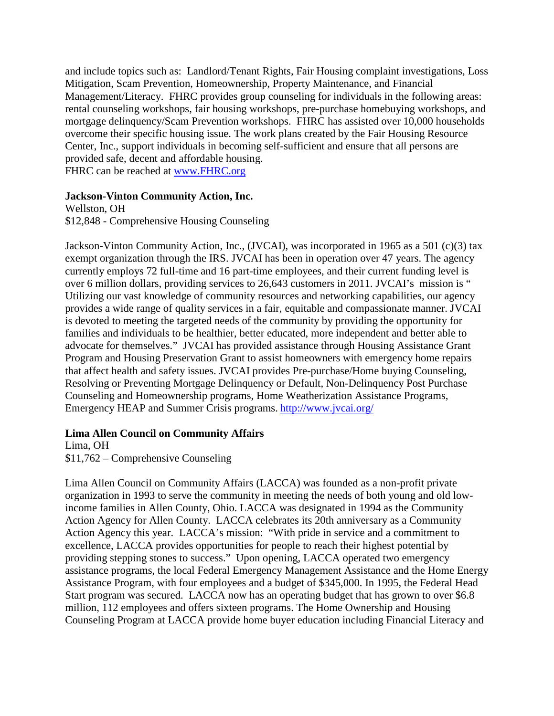and include topics such as: Landlord/Tenant Rights, Fair Housing complaint investigations, Loss Mitigation, Scam Prevention, Homeownership, Property Maintenance, and Financial Management/Literacy. FHRC provides group counseling for individuals in the following areas: rental counseling workshops, fair housing workshops, pre-purchase homebuying workshops, and mortgage delinquency/Scam Prevention workshops. FHRC has assisted over 10,000 households overcome their specific housing issue. The work plans created by the Fair Housing Resource Center, Inc., support individuals in becoming self-sufficient and ensure that all persons are provided safe, decent and affordable housing.

FHRC can be reached at [www.FHRC.org](http://www.fhrc.org/)

### **Jackson-Vinton Community Action, Inc.**

Wellston, OH \$12,848 - Comprehensive Housing Counseling

Jackson-Vinton Community Action, Inc., (JVCAI), was incorporated in 1965 as a 501 (c)(3) tax exempt organization through the IRS. JVCAI has been in operation over 47 years. The agency currently employs 72 full-time and 16 part-time employees, and their current funding level is over 6 million dollars, providing services to 26,643 customers in 2011. JVCAI's mission is " Utilizing our vast knowledge of community resources and networking capabilities, our agency provides a wide range of quality services in a fair, equitable and compassionate manner. JVCAI is devoted to meeting the targeted needs of the community by providing the opportunity for families and individuals to be healthier, better educated, more independent and better able to advocate for themselves." JVCAI has provided assistance through Housing Assistance Grant Program and Housing Preservation Grant to assist homeowners with emergency home repairs that affect health and safety issues. JVCAI provides Pre-purchase/Home buying Counseling, Resolving or Preventing Mortgage Delinquency or Default, Non-Delinquency Post Purchase Counseling and Homeownership programs, Home Weatherization Assistance Programs, Emergency HEAP and Summer Crisis programs. <http://www.jvcai.org/>

#### **Lima Allen Council on Community Affairs**

Lima, OH

\$11,762 – Comprehensive Counseling

Lima Allen Council on Community Affairs (LACCA) was founded as a non-profit private organization in 1993 to serve the community in meeting the needs of both young and old lowincome families in Allen County, Ohio. LACCA was designated in 1994 as the Community Action Agency for Allen County. LACCA celebrates its 20th anniversary as a Community Action Agency this year. LACCA's mission: "With pride in service and a commitment to excellence, LACCA provides opportunities for people to reach their highest potential by providing stepping stones to success." Upon opening, LACCA operated two emergency assistance programs, the local Federal Emergency Management Assistance and the Home Energy Assistance Program, with four employees and a budget of \$345,000. In 1995, the Federal Head Start program was secured. LACCA now has an operating budget that has grown to over \$6.8 million, 112 employees and offers sixteen programs. The Home Ownership and Housing Counseling Program at LACCA provide home buyer education including Financial Literacy and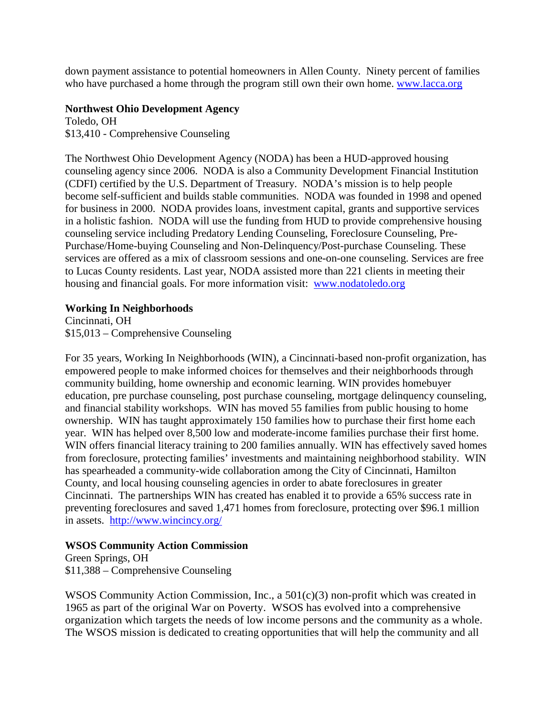down payment assistance to potential homeowners in Allen County. Ninety percent of families who have purchased a home through the program still own their own home. [www.lacca.org](http://www.lacca.org/)

### **Northwest Ohio Development Agency**

Toledo, OH \$13,410 - Comprehensive Counseling

The Northwest Ohio Development Agency (NODA) has been a HUD-approved housing counseling agency since 2006. NODA is also a Community Development Financial Institution (CDFI) certified by the U.S. Department of Treasury. NODA's mission is to help people become self-sufficient and builds stable communities. NODA was founded in 1998 and opened for business in 2000. NODA provides loans, investment capital, grants and supportive services in a holistic fashion. NODA will use the funding from HUD to provide comprehensive housing counseling service including Predatory Lending Counseling, Foreclosure Counseling, Pre-Purchase/Home-buying Counseling and Non-Delinquency/Post-purchase Counseling. These services are offered as a mix of classroom sessions and one-on-one counseling. Services are free to Lucas County residents. Last year, NODA assisted more than 221 clients in meeting their housing and financial goals. For more information visit: [www.nodatoledo.org](http://www.nodatoledo.org/)

### **Working In Neighborhoods**

Cincinnati, OH \$15,013 – Comprehensive Counseling

For 35 years, Working In Neighborhoods (WIN), a Cincinnati-based non-profit organization, has empowered people to make informed choices for themselves and their neighborhoods through community building, home ownership and economic learning. WIN provides homebuyer education, pre purchase counseling, post purchase counseling, mortgage delinquency counseling, and financial stability workshops. WIN has moved 55 families from public housing to home ownership. WIN has taught approximately 150 families how to purchase their first home each year. WIN has helped over 8,500 low and moderate-income families purchase their first home. WIN offers financial literacy training to 200 families annually. WIN has effectively saved homes from foreclosure, protecting families' investments and maintaining neighborhood stability. WIN has spearheaded a community-wide collaboration among the City of Cincinnati, Hamilton County, and local housing counseling agencies in order to abate foreclosures in greater Cincinnati. The partnerships WIN has created has enabled it to provide a 65% success rate in preventing foreclosures and saved 1,471 homes from foreclosure, protecting over \$96.1 million in assets. http://www.wincincy.org/

## **WSOS Community Action Commission**

Green Springs, OH \$11,388 – Comprehensive Counseling

WSOS Community Action Commission, Inc., a  $501(c)(3)$  non-profit which was created in 1965 as part of the original War on Poverty. WSOS has evolved into a comprehensive organization which targets the needs of low income persons and the community as a whole. The WSOS mission is dedicated to creating opportunities that will help the community and all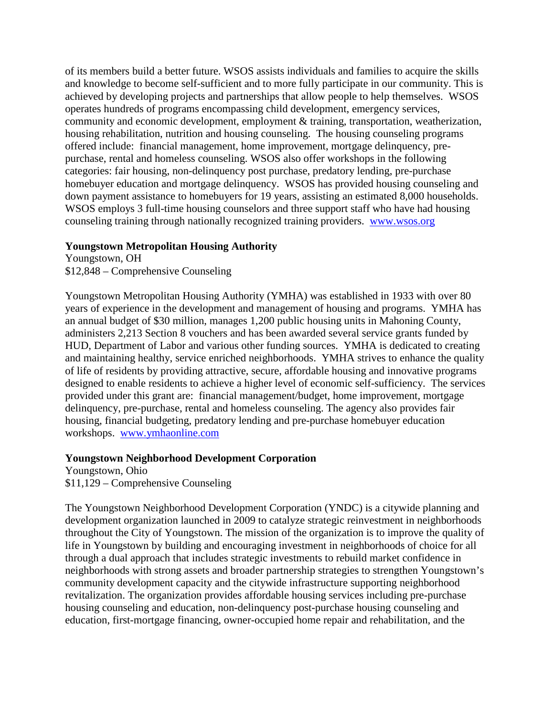of its members build a better future. WSOS assists individuals and families to acquire the skills and knowledge to become self-sufficient and to more fully participate in our community. This is achieved by developing projects and partnerships that allow people to help themselves. WSOS operates hundreds of programs encompassing child development, emergency services, community and economic development, employment & training, transportation, weatherization, housing rehabilitation, nutrition and housing counseling. The housing counseling programs offered include: financial management, home improvement, mortgage delinquency, prepurchase, rental and homeless counseling. WSOS also offer workshops in the following categories: fair housing, non-delinquency post purchase, predatory lending, pre-purchase homebuyer education and mortgage delinquency. WSOS has provided housing counseling and down payment assistance to homebuyers for 19 years, assisting an estimated 8,000 households. WSOS employs 3 full-time housing counselors and three support staff who have had housing counseling training through nationally recognized training providers. [www.wsos.org](http://www.wsos.org/)

### **Youngstown Metropolitan Housing Authority**

Youngstown, OH \$12,848 – Comprehensive Counseling

Youngstown Metropolitan Housing Authority (YMHA) was established in 1933 with over 80 years of experience in the development and management of housing and programs. YMHA has an annual budget of \$30 million, manages 1,200 public housing units in Mahoning County, administers 2,213 Section 8 vouchers and has been awarded several service grants funded by HUD, Department of Labor and various other funding sources. YMHA is dedicated to creating and maintaining healthy, service enriched neighborhoods. YMHA strives to enhance the quality of life of residents by providing attractive, secure, affordable housing and innovative programs designed to enable residents to achieve a higher level of economic self-sufficiency. The services provided under this grant are: financial management/budget, home improvement, mortgage delinquency, pre-purchase, rental and homeless counseling. The agency also provides fair housing, financial budgeting, predatory lending and pre-purchase homebuyer education workshops. [www.ymhaonline.com](http://www.ymhaonline.com/)

### **Youngstown Neighborhood Development Corporation**

Youngstown, Ohio \$11,129 – Comprehensive Counseling

The Youngstown Neighborhood Development Corporation (YNDC) is a citywide planning and development organization launched in 2009 to catalyze strategic reinvestment in neighborhoods throughout the City of Youngstown. The mission of the organization is to improve the quality of life in Youngstown by building and encouraging investment in neighborhoods of choice for all through a dual approach that includes strategic investments to rebuild market confidence in neighborhoods with strong assets and broader partnership strategies to strengthen Youngstown's community development capacity and the citywide infrastructure supporting neighborhood revitalization. The organization provides affordable housing services including pre-purchase housing counseling and education, non-delinquency post-purchase housing counseling and education, first-mortgage financing, owner-occupied home repair and rehabilitation, and the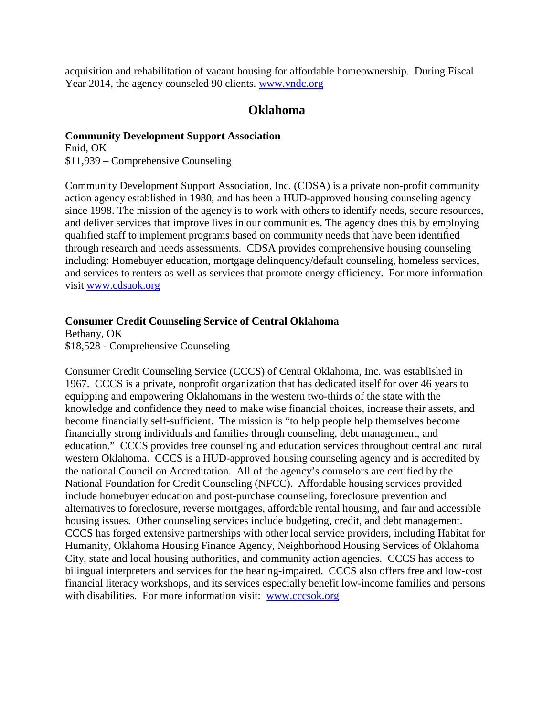acquisition and rehabilitation of vacant housing for affordable homeownership. During Fiscal Year 2014, the agency counseled 90 clients. [www.yndc.org](http://www.yndc.org/)

## **Oklahoma**

# **Community Development Support Association**

Enid, OK \$11,939 – Comprehensive Counseling

Community Development Support Association, Inc. (CDSA) is a private non-profit community action agency established in 1980, and has been a HUD-approved housing counseling agency since 1998. The mission of the agency is to work with others to identify needs, secure resources, and deliver services that improve lives in our communities. The agency does this by employing qualified staff to implement programs based on community needs that have been identified through research and needs assessments. CDSA provides comprehensive housing counseling including: Homebuyer education, mortgage delinquency/default counseling, homeless services, and services to renters as well as services that promote energy efficiency. For more information visit [www.cdsaok.org](http://www.cdsaok.org/)

### **Consumer Credit Counseling Service of Central Oklahoma**

Bethany, OK \$18,528 - Comprehensive Counseling

Consumer Credit Counseling Service (CCCS) of Central Oklahoma, Inc. was established in 1967. CCCS is a private, nonprofit organization that has dedicated itself for over 46 years to equipping and empowering Oklahomans in the western two-thirds of the state with the knowledge and confidence they need to make wise financial choices, increase their assets, and become financially self-sufficient. The mission is "to help people help themselves become financially strong individuals and families through counseling, debt management, and education." CCCS provides free counseling and education services throughout central and rural western Oklahoma. CCCS is a HUD-approved housing counseling agency and is accredited by the national Council on Accreditation. All of the agency's counselors are certified by the National Foundation for Credit Counseling (NFCC). Affordable housing services provided include homebuyer education and post-purchase counseling, foreclosure prevention and alternatives to foreclosure, reverse mortgages, affordable rental housing, and fair and accessible housing issues. Other counseling services include budgeting, credit, and debt management. CCCS has forged extensive partnerships with other local service providers, including Habitat for Humanity, Oklahoma Housing Finance Agency, Neighborhood Housing Services of Oklahoma City, state and local housing authorities, and community action agencies. CCCS has access to bilingual interpreters and services for the hearing-impaired. CCCS also offers free and low-cost financial literacy workshops, and its services especially benefit low-income families and persons with disabilities. For more information visit: [www.cccsok.org](http://www.cccsok.org/)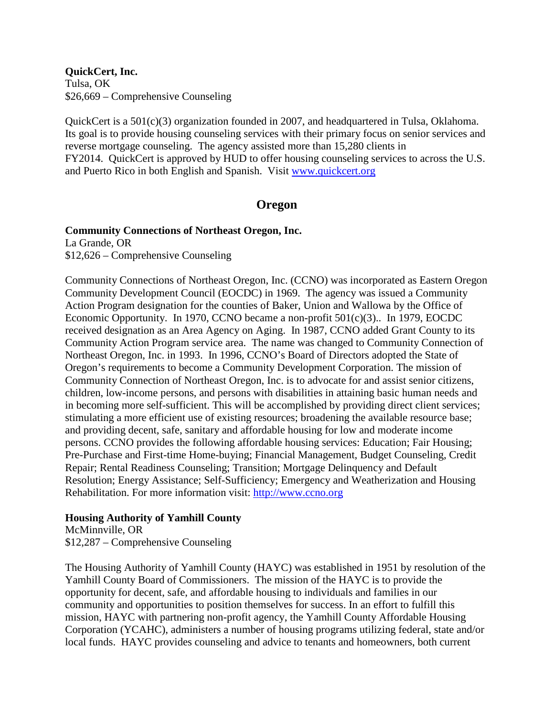**QuickCert, Inc.** Tulsa, OK \$26,669 – Comprehensive Counseling

QuickCert is a 501(c)(3) organization founded in 2007, and headquartered in Tulsa, Oklahoma. Its goal is to provide housing counseling services with their primary focus on senior services and reverse mortgage counseling. The agency assisted more than 15,280 clients in FY2014. QuickCert is approved by HUD to offer housing counseling services to across the U.S. and Puerto Rico in both English and Spanish. Visit [www.quickcert.org](http://www.quickcert.org/)

# **Oregon**

## **Community Connections of Northeast Oregon, Inc.**

La Grande, OR \$12,626 – Comprehensive Counseling

Community Connections of Northeast Oregon, Inc. (CCNO) was incorporated as Eastern Oregon Community Development Council (EOCDC) in 1969. The agency was issued a Community Action Program designation for the counties of Baker, Union and Wallowa by the Office of Economic Opportunity. In 1970, CCNO became a non-profit 501(c)(3).. In 1979, EOCDC received designation as an Area Agency on Aging. In 1987, CCNO added Grant County to its Community Action Program service area. The name was changed to Community Connection of Northeast Oregon, Inc. in 1993. In 1996, CCNO's Board of Directors adopted the State of Oregon's requirements to become a Community Development Corporation. The mission of Community Connection of Northeast Oregon, Inc. is to advocate for and assist senior citizens, children, low-income persons, and persons with disabilities in attaining basic human needs and in becoming more self-sufficient. This will be accomplished by providing direct client services; stimulating a more efficient use of existing resources; broadening the available resource base; and providing decent, safe, sanitary and affordable housing for low and moderate income persons. CCNO provides the following affordable housing services: Education; Fair Housing; Pre-Purchase and First-time Home-buying; Financial Management, Budget Counseling, Credit Repair; Rental Readiness Counseling; Transition; Mortgage Delinquency and Default Resolution; Energy Assistance; Self-Sufficiency; Emergency and Weatherization and Housing Rehabilitation. For more information visit: [http://www.ccno.org](http://www.ccno.org/)

## **Housing Authority of Yamhill County**

McMinnville, OR \$12,287 – Comprehensive Counseling

The Housing Authority of Yamhill County (HAYC) was established in 1951 by resolution of the Yamhill County Board of Commissioners. The mission of the HAYC is to provide the opportunity for decent, safe, and affordable housing to individuals and families in our community and opportunities to position themselves for success. In an effort to fulfill this mission, HAYC with partnering non-profit agency, the Yamhill County Affordable Housing Corporation (YCAHC), administers a number of housing programs utilizing federal, state and/or local funds. HAYC provides counseling and advice to tenants and homeowners, both current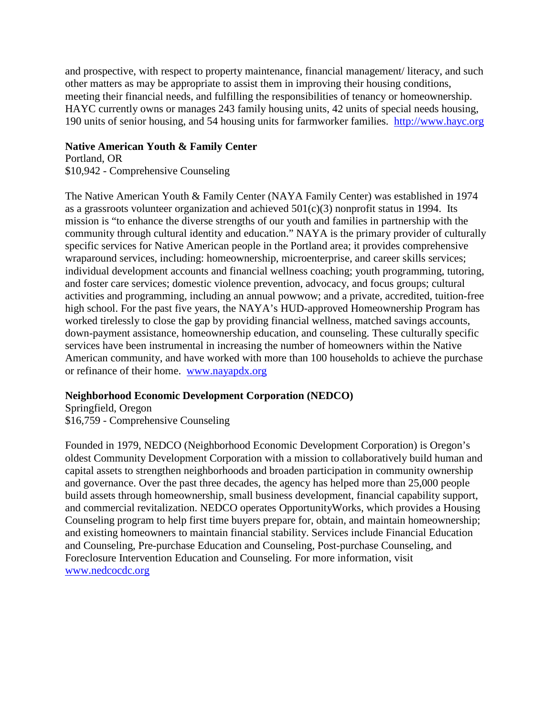and prospective, with respect to property maintenance, financial management/ literacy, and such other matters as may be appropriate to assist them in improving their housing conditions, meeting their financial needs, and fulfilling the responsibilities of tenancy or homeownership. HAYC currently owns or manages 243 family housing units, 42 units of special needs housing, 190 units of senior housing, and 54 housing units for farmworker families. [http://www.hayc.org](http://www.hayc.org/)

### **Native American Youth & Family Center**

Portland, OR \$10,942 - Comprehensive Counseling

The Native American Youth & Family Center (NAYA Family Center) was established in 1974 as a grassroots volunteer organization and achieved  $501(c)(3)$  nonprofit status in 1994. Its mission is "to enhance the diverse strengths of our youth and families in partnership with the community through cultural identity and education." NAYA is the primary provider of culturally specific services for Native American people in the Portland area; it provides comprehensive wraparound services, including: homeownership, microenterprise, and career skills services; individual development accounts and financial wellness coaching; youth programming, tutoring, and foster care services; domestic violence prevention, advocacy, and focus groups; cultural activities and programming, including an annual powwow; and a private, accredited, tuition-free high school. For the past five years, the NAYA's HUD-approved Homeownership Program has worked tirelessly to close the gap by providing financial wellness, matched savings accounts, down-payment assistance, homeownership education, and counseling. These culturally specific services have been instrumental in increasing the number of homeowners within the Native American community, and have worked with more than 100 households to achieve the purchase or refinance of their home. [www.nayapdx.org](http://www.nayapdx.org/)

## **Neighborhood Economic Development Corporation (NEDCO)**

Springfield, Oregon \$16,759 - Comprehensive Counseling

Founded in 1979, NEDCO (Neighborhood Economic Development Corporation) is Oregon's oldest Community Development Corporation with a mission to collaboratively build human and capital assets to strengthen neighborhoods and broaden participation in community ownership and governance. Over the past three decades, the agency has helped more than 25,000 people build assets through homeownership, small business development, financial capability support, and commercial revitalization. NEDCO operates OpportunityWorks, which provides a Housing Counseling program to help first time buyers prepare for, obtain, and maintain homeownership; and existing homeowners to maintain financial stability. Services include Financial Education and Counseling, Pre-purchase Education and Counseling, Post-purchase Counseling, and Foreclosure Intervention Education and Counseling. For more information, visit [www.nedcocdc.org](http://www.nedcocdc.org/)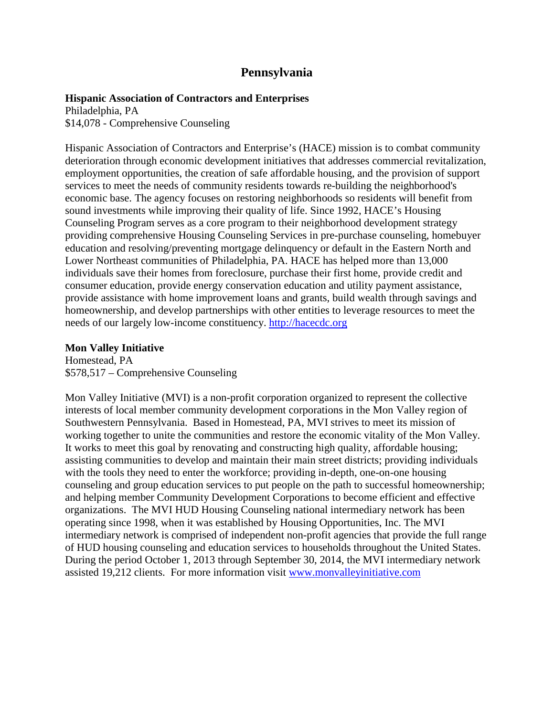# **Pennsylvania**

#### **Hispanic Association of Contractors and Enterprises**

Philadelphia, PA \$14,078 - Comprehensive Counseling

Hispanic Association of Contractors and Enterprise's (HACE) mission is to combat community deterioration through economic development initiatives that addresses commercial revitalization, employment opportunities, the creation of safe affordable housing, and the provision of support services to meet the needs of community residents towards re-building the neighborhood's economic base. The agency focuses on restoring neighborhoods so residents will benefit from sound investments while improving their quality of life. Since 1992, HACE's Housing Counseling Program serves as a core program to their neighborhood development strategy providing comprehensive Housing Counseling Services in pre-purchase counseling, homebuyer education and resolving/preventing mortgage delinquency or default in the Eastern North and Lower Northeast communities of Philadelphia, PA. HACE has helped more than 13,000 individuals save their homes from foreclosure, purchase their first home, provide credit and consumer education, provide energy conservation education and utility payment assistance, provide assistance with home improvement loans and grants, build wealth through savings and homeownership, and develop partnerships with other entities to leverage resources to meet the needs of our largely low-income constituency. [http://hacecdc.org](http://hacecdc.org/)

#### **Mon Valley Initiative**

Homestead, PA \$578,517 – Comprehensive Counseling

Mon Valley Initiative (MVI) is a non-profit corporation organized to represent the collective interests of local member community development corporations in the Mon Valley region of Southwestern Pennsylvania. Based in Homestead, PA, MVI strives to meet its mission of working together to unite the communities and restore the economic vitality of the Mon Valley. It works to meet this goal by renovating and constructing high quality, affordable housing; assisting communities to develop and maintain their main street districts; providing individuals with the tools they need to enter the workforce; providing in-depth, one-on-one housing counseling and group education services to put people on the path to successful homeownership; and helping member Community Development Corporations to become efficient and effective organizations. The MVI HUD Housing Counseling national intermediary network has been operating since 1998, when it was established by Housing Opportunities, Inc. The MVI intermediary network is comprised of independent non-profit agencies that provide the full range of HUD housing counseling and education services to households throughout the United States. During the period October 1, 2013 through September 30, 2014, the MVI intermediary network assisted 19,212 clients. For more information visit [www.monvalleyinitiative.com](http://www.monvalleyinitiative.com/)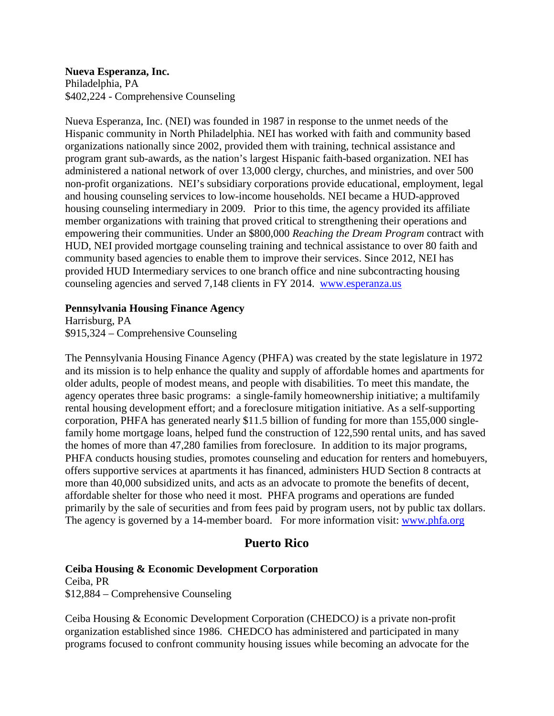**Nueva Esperanza, Inc.** Philadelphia, PA \$402,224 - Comprehensive Counseling

Nueva Esperanza, Inc. (NEI) was founded in 1987 in response to the unmet needs of the Hispanic community in North Philadelphia. NEI has worked with faith and community based organizations nationally since 2002, provided them with training, technical assistance and program grant sub-awards, as the nation's largest Hispanic faith-based organization. NEI has administered a national network of over 13,000 clergy, churches, and ministries, and over 500 non-profit organizations. NEI's subsidiary corporations provide educational, employment, legal and housing counseling services to low-income households. NEI became a HUD-approved housing counseling intermediary in 2009. Prior to this time, the agency provided its affiliate member organizations with training that proved critical to strengthening their operations and empowering their communities. Under an \$800,000 *Reaching the Dream Program* contract with HUD, NEI provided mortgage counseling training and technical assistance to over 80 faith and community based agencies to enable them to improve their services. Since 2012, NEI has provided HUD Intermediary services to one branch office and nine subcontracting housing counseling agencies and served 7,148 clients in FY 2014. [www.esperanza.us](http://www.esperanza.us/)

### **Pennsylvania Housing Finance Agency**

Harrisburg, PA \$915,324 – Comprehensive Counseling

The Pennsylvania Housing Finance Agency (PHFA) was created by the state legislature in 1972 and its mission is to help enhance the quality and supply of affordable homes and apartments for older adults, people of modest means, and people with disabilities. To meet this mandate, the agency operates three basic programs: a single-family homeownership initiative; a multifamily rental housing development effort; and a foreclosure mitigation initiative. As a self-supporting corporation, PHFA has generated nearly \$11.5 billion of funding for more than 155,000 singlefamily home mortgage loans, helped fund the construction of 122,590 rental units, and has saved the homes of more than 47,280 families from foreclosure. In addition to its major programs, PHFA conducts housing studies, promotes counseling and education for renters and homebuyers, offers supportive services at apartments it has financed, administers HUD Section 8 contracts at more than 40,000 subsidized units, and acts as an advocate to promote the benefits of decent, affordable shelter for those who need it most. PHFA programs and operations are funded primarily by the sale of securities and from fees paid by program users, not by public tax dollars. The agency is governed by a 14-member board. For more information visit: [www.phfa.org](http://www.phfa.org/)

# **Puerto Rico**

## **Ceiba Housing & Economic Development Corporation**

Ceiba, PR \$12,884 – Comprehensive Counseling

Ceiba Housing & Economic Development Corporation (CHEDCO*)* is a private non-profit organization established since 1986. CHEDCO has administered and participated in many programs focused to confront community housing issues while becoming an advocate for the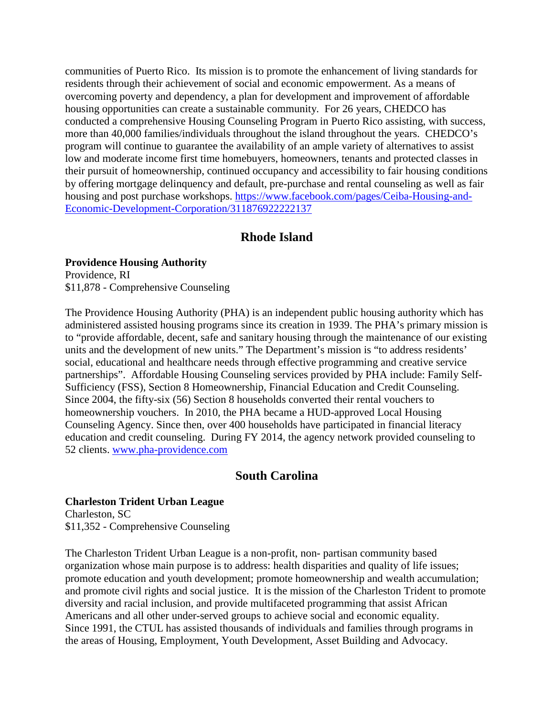communities of Puerto Rico. Its mission is to promote the enhancement of living standards for residents through their achievement of social and economic empowerment. As a means of overcoming poverty and dependency, a plan for development and improvement of affordable housing opportunities can create a sustainable community. For 26 years, CHEDCO has conducted a comprehensive Housing Counseling Program in Puerto Rico assisting, with success, more than 40,000 families/individuals throughout the island throughout the years. CHEDCO's program will continue to guarantee the availability of an ample variety of alternatives to assist low and moderate income first time homebuyers, homeowners, tenants and protected classes in their pursuit of homeownership, continued occupancy and accessibility to fair housing conditions by offering mortgage delinquency and default, pre-purchase and rental counseling as well as fair housing and post purchase workshops. [https://www.facebook.com/pages/Ceiba-Housing-and-](https://www.facebook.com/pages/Ceiba-Housing-and-Economic-Development-Corporation/311876922222137)[Economic-Development-Corporation/311876922222137](https://www.facebook.com/pages/Ceiba-Housing-and-Economic-Development-Corporation/311876922222137)

# **Rhode Island**

#### **Providence Housing Authority**

Providence, RI \$11,878 - Comprehensive Counseling

The Providence Housing Authority (PHA) is an independent public housing authority which has administered assisted housing programs since its creation in 1939. The PHA's primary mission is to "provide affordable, decent, safe and sanitary housing through the maintenance of our existing units and the development of new units." The Department's mission is "to address residents' social, educational and healthcare needs through effective programming and creative service partnerships". Affordable Housing Counseling services provided by PHA include: Family Self-Sufficiency (FSS), Section 8 Homeownership, Financial Education and Credit Counseling. Since 2004, the fifty-six (56) Section 8 households converted their rental vouchers to homeownership vouchers. In 2010, the PHA became a HUD-approved Local Housing Counseling Agency. Since then, over 400 households have participated in financial literacy education and credit counseling. During FY 2014, the agency network provided counseling to 52 clients. [www.pha-providence.com](http://www.pha-providence.com/)

## **South Carolina**

### **Charleston Trident Urban League**

Charleston, SC \$11,352 - Comprehensive Counseling

The Charleston Trident Urban League is a non-profit, non- partisan community based organization whose main purpose is to address: health disparities and quality of life issues; promote education and youth development; promote homeownership and wealth accumulation; and promote civil rights and social justice. It is the mission of the Charleston Trident to promote diversity and racial inclusion, and provide multifaceted programming that assist African Americans and all other under-served groups to achieve social and economic equality. Since 1991, the CTUL has assisted thousands of individuals and families through programs in the areas of Housing, Employment, Youth Development, Asset Building and Advocacy.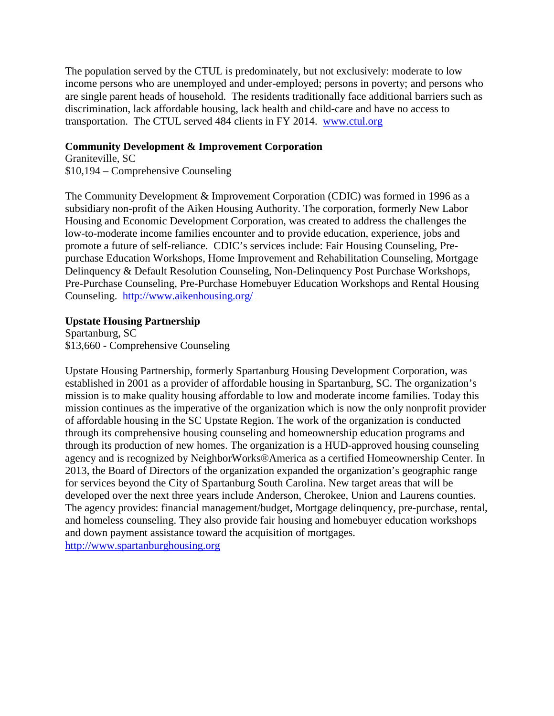The population served by the CTUL is predominately, but not exclusively: moderate to low income persons who are unemployed and under-employed; persons in poverty; and persons who are single parent heads of household. The residents traditionally face additional barriers such as discrimination, lack affordable housing, lack health and child-care and have no access to transportation. The CTUL served 484 clients in FY 2014. [www.ctul.org](http://www.ctul.org/)

### **Community Development & Improvement Corporation**

Graniteville, SC \$10,194 – Comprehensive Counseling

The Community Development & Improvement Corporation (CDIC) was formed in 1996 as a subsidiary non-profit of the Aiken Housing Authority. The corporation, formerly New Labor Housing and Economic Development Corporation, was created to address the challenges the low-to-moderate income families encounter and to provide education, experience, jobs and promote a future of self-reliance. CDIC's services include: Fair Housing Counseling, Prepurchase Education Workshops, Home Improvement and Rehabilitation Counseling, Mortgage Delinquency & Default Resolution Counseling, Non-Delinquency Post Purchase Workshops, Pre-Purchase Counseling, Pre-Purchase Homebuyer Education Workshops and Rental Housing Counseling. <http://www.aikenhousing.org/>

## **Upstate Housing Partnership**

Spartanburg, SC \$13,660 - Comprehensive Counseling

Upstate Housing Partnership, formerly Spartanburg Housing Development Corporation, was established in 2001 as a provider of affordable housing in Spartanburg, SC. The organization's mission is to make quality housing affordable to low and moderate income families. Today this mission continues as the imperative of the organization which is now the only nonprofit provider of affordable housing in the SC Upstate Region. The work of the organization is conducted through its comprehensive housing counseling and homeownership education programs and through its production of new homes. The organization is a HUD-approved housing counseling agency and is recognized by NeighborWorks®America as a certified Homeownership Center. In 2013, the Board of Directors of the organization expanded the organization's geographic range for services beyond the City of Spartanburg South Carolina. New target areas that will be developed over the next three years include Anderson, Cherokee, Union and Laurens counties. The agency provides: financial management/budget, Mortgage delinquency, pre-purchase, rental, and homeless counseling. They also provide fair housing and homebuyer education workshops and down payment assistance toward the acquisition of mortgages. [http://www.spartanburghousing.org](http://www.spartanburghousing.org/)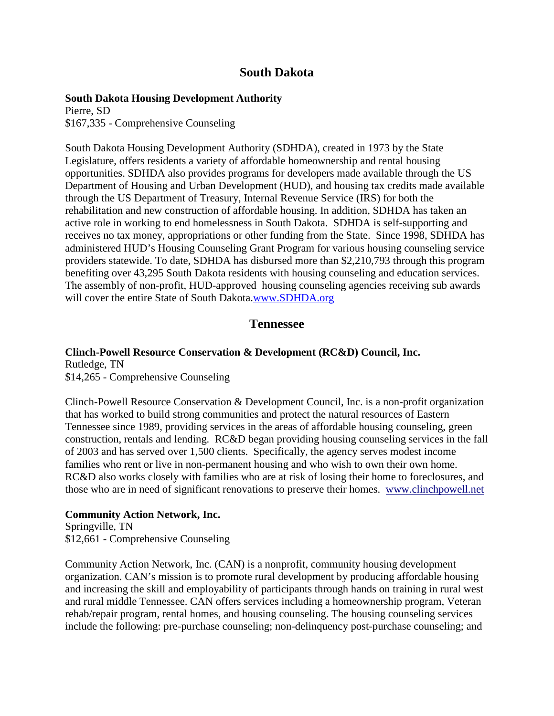# **South Dakota**

#### **South Dakota Housing Development Authority**

Pierre, SD \$167,335 - Comprehensive Counseling

South Dakota Housing Development Authority (SDHDA), created in 1973 by the State Legislature, offers residents a variety of affordable homeownership and rental housing opportunities. SDHDA also provides programs for developers made available through the US Department of Housing and Urban Development (HUD), and housing tax credits made available through the US Department of Treasury, Internal Revenue Service (IRS) for both the rehabilitation and new construction of affordable housing. In addition, SDHDA has taken an active role in working to end homelessness in South Dakota. SDHDA is self-supporting and receives no tax money, appropriations or other funding from the State. Since 1998, SDHDA has administered HUD's Housing Counseling Grant Program for various housing counseling service providers statewide. To date, SDHDA has disbursed more than \$2,210,793 through this program benefiting over 43,295 South Dakota residents with housing counseling and education services. The assembly of non-profit, HUD-approved housing counseling agencies receiving sub awards will cover the entire State of South Dakota.[www.SDHDA.org](http://www.sdhda.org/)

## **Tennessee**

# **Clinch-Powell Resource Conservation & Development (RC&D) Council, Inc.**

Rutledge, TN \$14,265 - Comprehensive Counseling

Clinch-Powell Resource Conservation & Development Council, Inc. is a non-profit organization that has worked to build strong communities and protect the natural resources of Eastern Tennessee since 1989, providing services in the areas of affordable housing counseling, green construction, rentals and lending. RC&D began providing housing counseling services in the fall of 2003 and has served over 1,500 clients. Specifically, the agency serves modest income families who rent or live in non-permanent housing and who wish to own their own home. RC&D also works closely with families who are at risk of losing their home to foreclosures, and those who are in need of significant renovations to preserve their homes. [www.clinchpowell.net](http://www.clinchpowell.net/)

### **Community Action Network, Inc.**

Springville, TN \$12,661 - Comprehensive Counseling

Community Action Network, Inc. (CAN) is a nonprofit, community housing development organization. CAN's mission is to promote rural development by producing affordable housing and increasing the skill and employability of participants through hands on training in rural west and rural middle Tennessee. CAN offers services including a homeownership program, Veteran rehab/repair program, rental homes, and housing counseling. The housing counseling services include the following: pre-purchase counseling; non-delinquency post-purchase counseling; and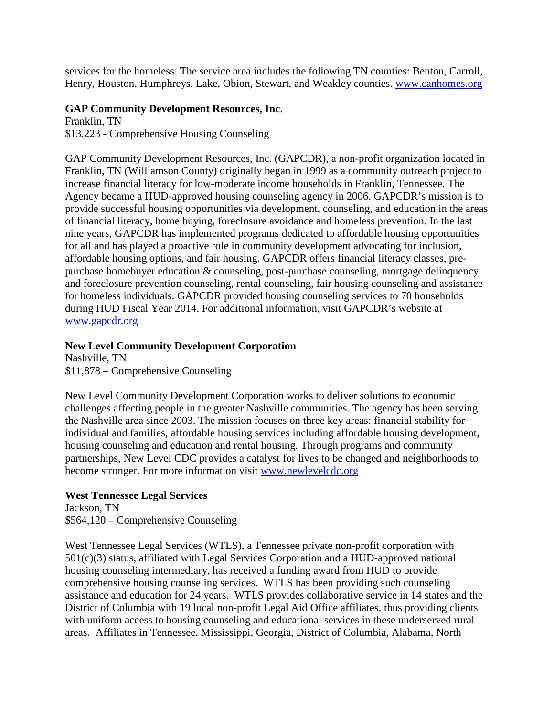services for the homeless. The service area includes the following TN counties: Benton, Carroll, Henry, Houston, Humphreys, Lake, Obion, Stewart, and Weakley counties. [www.canhomes.org](http://www.canhomes.org/)

### **GAP Community Development Resources, Inc**.

Franklin, TN \$13,223 - Comprehensive Housing Counseling

GAP Community Development Resources, Inc. (GAPCDR), a non-profit organization located in Franklin, TN (Williamson County) originally began in 1999 as a community outreach project to increase financial literacy for low-moderate income households in Franklin, Tennessee. The Agency became a HUD-approved housing counseling agency in 2006. GAPCDR's mission is to provide successful housing opportunities via development, counseling, and education in the areas of financial literacy, home buying, foreclosure avoidance and homeless prevention. In the last nine years, GAPCDR has implemented programs dedicated to affordable housing opportunities for all and has played a proactive role in community development advocating for inclusion, affordable housing options, and fair housing. GAPCDR offers financial literacy classes, prepurchase homebuyer education & counseling, post-purchase counseling, mortgage delinquency and foreclosure prevention counseling, rental counseling, fair housing counseling and assistance for homeless individuals. GAPCDR provided housing counseling services to 70 households during HUD Fiscal Year 2014. For additional information, visit GAPCDR's website at [www.gapcdr.org](http://www.gapcdr.org/)

## **New Level Community Development Corporation**

Nashville, TN \$11,878 – Comprehensive Counseling

New Level Community Development Corporation works to deliver solutions to economic challenges affecting people in the greater Nashville communities. The agency has been serving the Nashville area since 2003. The mission focuses on three key areas: financial stability for individual and families, affordable housing services including affordable housing development, housing counseling and education and rental housing. Through programs and community partnerships, New Level CDC provides a catalyst for lives to be changed and neighborhoods to become stronger. For more information visit [www.newlevelcdc.org](http://www.newlevelcdc.org/)

## **West Tennessee Legal Services**

Jackson, TN \$564,120 – Comprehensive Counseling

West Tennessee Legal Services (WTLS), a Tennessee private non-profit corporation with 501(c)(3) status, affiliated with Legal Services Corporation and a HUD-approved national housing counseling intermediary, has received a funding award from HUD to provide comprehensive housing counseling services. WTLS has been providing such counseling assistance and education for 24 years. WTLS provides collaborative service in 14 states and the District of Columbia with 19 local non-profit Legal Aid Office affiliates, thus providing clients with uniform access to housing counseling and educational services in these underserved rural areas. Affiliates in Tennessee, Mississippi, Georgia, District of Columbia, Alabama, North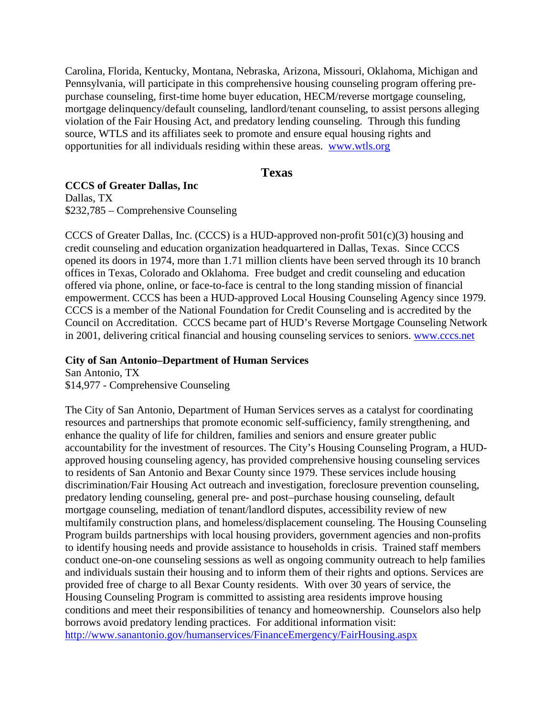Carolina, Florida, Kentucky, Montana, Nebraska, Arizona, Missouri, Oklahoma, Michigan and Pennsylvania, will participate in this comprehensive housing counseling program offering prepurchase counseling, first-time home buyer education, HECM/reverse mortgage counseling, mortgage delinquency/default counseling, landlord/tenant counseling, to assist persons alleging violation of the Fair Housing Act, and predatory lending counseling. Through this funding source, WTLS and its affiliates seek to promote and ensure equal housing rights and opportunities for all individuals residing within these areas. [www.wtls.org](http://www.wtls.org/)

### **Texas**

### **CCCS of Greater Dallas, Inc**

Dallas, TX \$232,785 – Comprehensive Counseling

CCCS of Greater Dallas, Inc. (CCCS) is a HUD-approved non-profit  $501(c)(3)$  housing and credit counseling and education organization headquartered in Dallas, Texas. Since CCCS opened its doors in 1974, more than 1.71 million clients have been served through its 10 branch offices in Texas, Colorado and Oklahoma. Free budget and credit counseling and education offered via phone, online, or face-to-face is central to the long standing mission of financial empowerment. CCCS has been a HUD-approved Local Housing Counseling Agency since 1979. CCCS is a member of the National Foundation for Credit Counseling and is accredited by the Council on Accreditation. CCCS became part of HUD's Reverse Mortgage Counseling Network in 2001, delivering critical financial and housing counseling services to seniors. [www.cccs.net](http://www.cccs.net/)

#### **City of San Antonio–Department of Human Services**

San Antonio, TX \$14,977 - Comprehensive Counseling

The City of San Antonio, Department of Human Services serves as a catalyst for coordinating resources and partnerships that promote economic self-sufficiency, family strengthening, and enhance the quality of life for children, families and seniors and ensure greater public accountability for the investment of resources. The City's Housing Counseling Program, a HUDapproved housing counseling agency, has provided comprehensive housing counseling services to residents of San Antonio and Bexar County since 1979. These services include housing discrimination/Fair Housing Act outreach and investigation, foreclosure prevention counseling, predatory lending counseling, general pre- and post–purchase housing counseling, default mortgage counseling, mediation of tenant/landlord disputes, accessibility review of new multifamily construction plans, and homeless/displacement counseling. The Housing Counseling Program builds partnerships with local housing providers, government agencies and non-profits to identify housing needs and provide assistance to households in crisis. Trained staff members conduct one-on-one counseling sessions as well as ongoing community outreach to help families and individuals sustain their housing and to inform them of their rights and options. Services are provided free of charge to all Bexar County residents. With over 30 years of service, the Housing Counseling Program is committed to assisting area residents improve housing conditions and meet their responsibilities of tenancy and homeownership. Counselors also help borrows avoid predatory lending practices. For additional information visit: <http://www.sanantonio.gov/humanservices/FinanceEmergency/FairHousing.aspx>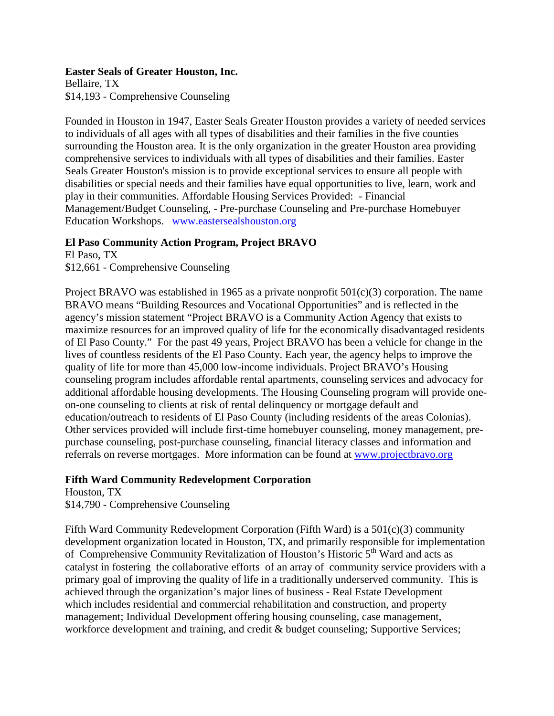#### **Easter Seals of Greater Houston, Inc.**

Bellaire, TX \$14,193 - Comprehensive Counseling

Founded in Houston in 1947, Easter Seals Greater Houston provides a variety of needed services to individuals of all ages with all types of disabilities and their families in the five counties surrounding the Houston area. It is the only organization in the greater Houston area providing comprehensive services to individuals with all types of disabilities and their families. Easter Seals Greater Houston's mission is to provide exceptional services to ensure all people with disabilities or special needs and their families have equal opportunities to live, learn, work and play in their communities. Affordable Housing Services Provided: - Financial Management/Budget Counseling, - Pre-purchase Counseling and Pre-purchase Homebuyer Education Workshops. [www.eastersealshouston.org](http://www.eastersealshouston.org/)

### **El Paso Community Action Program, Project BRAVO**

El Paso, TX \$12,661 - Comprehensive Counseling

Project BRAVO was established in 1965 as a private nonprofit  $501(c)(3)$  corporation. The name BRAVO means "Building Resources and Vocational Opportunities" and is reflected in the agency's mission statement "Project BRAVO is a Community Action Agency that exists to maximize resources for an improved quality of life for the economically disadvantaged residents of El Paso County." For the past 49 years, Project BRAVO has been a vehicle for change in the lives of countless residents of the El Paso County. Each year, the agency helps to improve the quality of life for more than 45,000 low-income individuals. Project BRAVO's Housing counseling program includes affordable rental apartments, counseling services and advocacy for additional affordable housing developments. The Housing Counseling program will provide oneon-one counseling to clients at risk of rental delinquency or mortgage default and education/outreach to residents of El Paso County (including residents of the areas Colonias). Other services provided will include first-time homebuyer counseling, money management, prepurchase counseling, post-purchase counseling, financial literacy classes and information and referrals on reverse mortgages. More information can be found at [www.projectbravo.org](http://www.projectbravo.org/)

## **Fifth Ward Community Redevelopment Corporation**

Houston, TX \$14,790 - Comprehensive Counseling

Fifth Ward Community Redevelopment Corporation (Fifth Ward) is a  $501(c)(3)$  community development organization located in Houston, TX, and primarily responsible for implementation of Comprehensive Community Revitalization of Houston's Historic 5th Ward and acts as catalyst in fostering the collaborative efforts of an array of community service providers with a primary goal of improving the quality of life in a traditionally underserved community. This is achieved through the organization's major lines of business - Real Estate Development which includes residential and commercial rehabilitation and construction, and property management; Individual Development offering housing counseling, case management, workforce development and training, and credit & budget counseling; Supportive Services;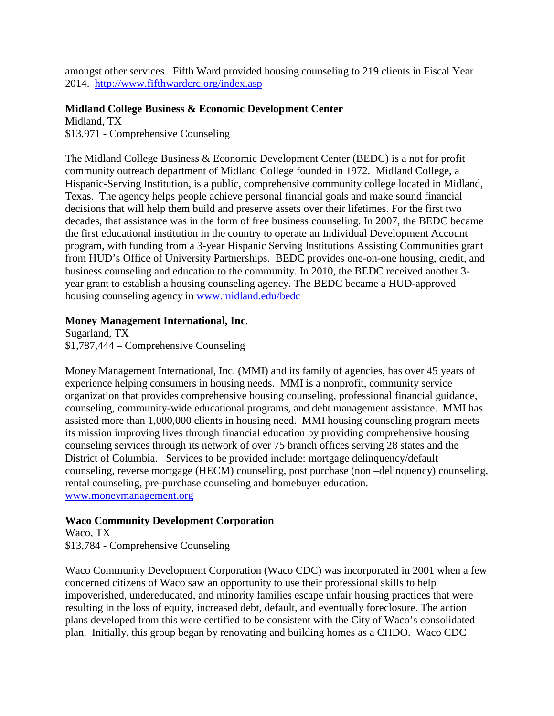amongst other services. Fifth Ward provided housing counseling to 219 clients in Fiscal Year 2014. <http://www.fifthwardcrc.org/index.asp>

### **Midland College Business & Economic Development Center**

Midland, TX \$13,971 - Comprehensive Counseling

The Midland College Business & Economic Development Center (BEDC) is a not for profit community outreach department of Midland College founded in 1972. Midland College, a Hispanic-Serving Institution, is a public, comprehensive community college located in Midland, Texas. The agency helps people achieve personal financial goals and make sound financial decisions that will help them build and preserve assets over their lifetimes. For the first two decades, that assistance was in the form of free business counseling. In 2007, the BEDC became the first educational institution in the country to operate an Individual Development Account program, with funding from a 3-year Hispanic Serving Institutions Assisting Communities grant from HUD's Office of University Partnerships. BEDC provides one-on-one housing, credit, and business counseling and education to the community. In 2010, the BEDC received another 3 year grant to establish a housing counseling agency. The BEDC became a HUD-approved housing counseling agency in [www.midland.edu/bedc](http://www.midland.edu/bedc)

### **Money Management International, Inc**.

Sugarland, TX \$1,787,444 – Comprehensive Counseling

Money Management International, Inc. (MMI) and its family of agencies, has over 45 years of experience helping consumers in housing needs. MMI is a nonprofit, community service organization that provides comprehensive housing counseling, professional financial guidance, counseling, community-wide educational programs, and debt management assistance. MMI has assisted more than 1,000,000 clients in housing need. MMI housing counseling program meets its mission improving lives through financial education by providing comprehensive housing counseling services through its network of over 75 branch offices serving 28 states and the District of Columbia. Services to be provided include: mortgage delinquency/default counseling, reverse mortgage (HECM) counseling, post purchase (non –delinquency) counseling, rental counseling, pre-purchase counseling and homebuyer education. [www.moneymanagement.org](http://www.moneymanagement.org/)

### **Waco Community Development Corporation**

Waco, TX \$13,784 - Comprehensive Counseling

Waco Community Development Corporation (Waco CDC) was incorporated in 2001 when a few concerned citizens of Waco saw an opportunity to use their professional skills to help impoverished, undereducated, and minority families escape unfair housing practices that were resulting in the loss of equity, increased debt, default, and eventually foreclosure. The action plans developed from this were certified to be consistent with the City of Waco's consolidated plan. Initially, this group began by renovating and building homes as a CHDO. Waco CDC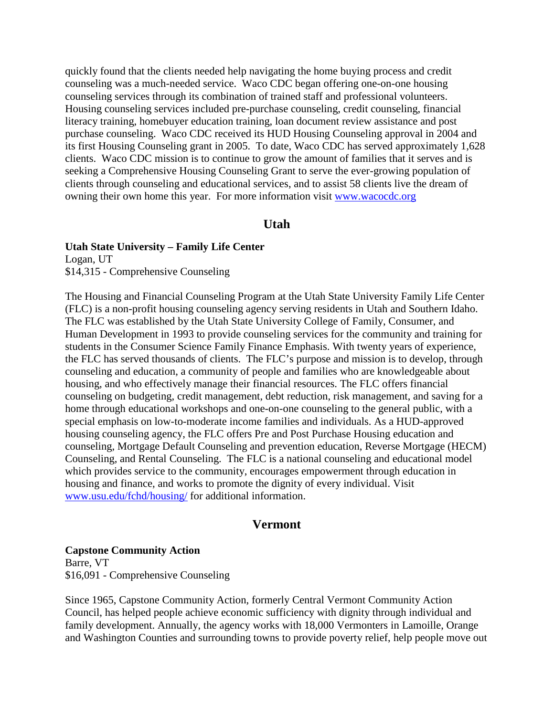quickly found that the clients needed help navigating the home buying process and credit counseling was a much-needed service. Waco CDC began offering one-on-one housing counseling services through its combination of trained staff and professional volunteers. Housing counseling services included pre-purchase counseling, credit counseling, financial literacy training, homebuyer education training, loan document review assistance and post purchase counseling. Waco CDC received its HUD Housing Counseling approval in 2004 and its first Housing Counseling grant in 2005. To date, Waco CDC has served approximately 1,628 clients. Waco CDC mission is to continue to grow the amount of families that it serves and is seeking a Comprehensive Housing Counseling Grant to serve the ever-growing population of clients through counseling and educational services, and to assist 58 clients live the dream of owning their own home this year. For more information visit [www.wacocdc.org](http://www.wacocdc.org/)

### **Utah**

#### **Utah State University – Family Life Center**

Logan, UT \$14,315 - Comprehensive Counseling

The Housing and Financial Counseling Program at the Utah State University Family Life Center (FLC) is a non-profit housing counseling agency serving residents in Utah and Southern Idaho. The FLC was established by the Utah State University College of Family, Consumer, and Human Development in 1993 to provide counseling services for the community and training for students in the Consumer Science Family Finance Emphasis. With twenty years of experience, the FLC has served thousands of clients. The FLC's purpose and mission is to develop, through counseling and education, a community of people and families who are knowledgeable about housing, and who effectively manage their financial resources. The FLC offers financial counseling on budgeting, credit management, debt reduction, risk management, and saving for a home through educational workshops and one-on-one counseling to the general public, with a special emphasis on low-to-moderate income families and individuals. As a HUD-approved housing counseling agency, the FLC offers Pre and Post Purchase Housing education and counseling, Mortgage Default Counseling and prevention education, Reverse Mortgage (HECM) Counseling, and Rental Counseling. The FLC is a national counseling and educational model which provides service to the community, encourages empowerment through education in housing and finance, and works to promote the dignity of every individual. Visit [www.usu.edu/fchd/housing/](http://www.usu.edu/fchd/housing/) for additional information.

### **Vermont**

**Capstone Community Action** Barre, VT \$16,091 - Comprehensive Counseling

Since 1965, Capstone Community Action, formerly Central Vermont Community Action Council, has helped people achieve economic sufficiency with dignity through individual and family development. Annually, the agency works with 18,000 Vermonters in Lamoille, Orange and Washington Counties and surrounding towns to provide poverty relief, help people move out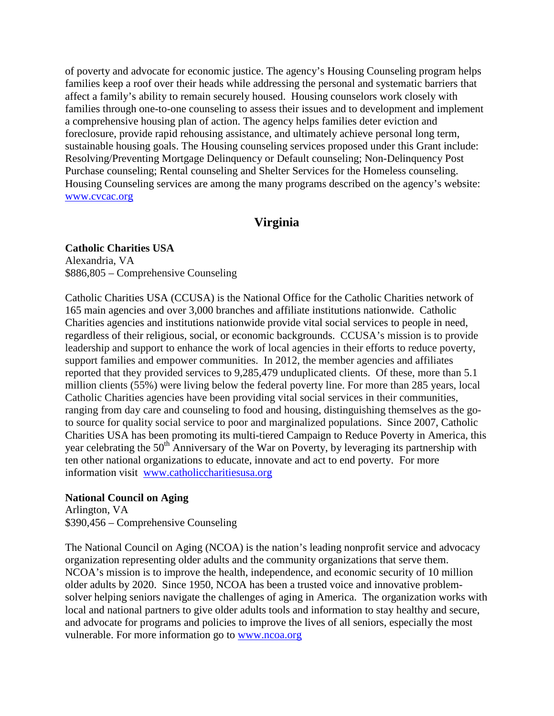of poverty and advocate for economic justice. The agency's Housing Counseling program helps families keep a roof over their heads while addressing the personal and systematic barriers that affect a family's ability to remain securely housed. Housing counselors work closely with families through one-to-one counseling to assess their issues and to development and implement a comprehensive housing plan of action. The agency helps families deter eviction and foreclosure, provide rapid rehousing assistance, and ultimately achieve personal long term, sustainable housing goals. The Housing counseling services proposed under this Grant include: Resolving/Preventing Mortgage Delinquency or Default counseling; Non-Delinquency Post Purchase counseling; Rental counseling and Shelter Services for the Homeless counseling. Housing Counseling services are among the many programs described on the agency's website: [www.cvcac.org](http://www.cvcac.org/)

# **Virginia**

#### **Catholic Charities USA**

Alexandria, VA \$886,805 – Comprehensive Counseling

Catholic Charities USA (CCUSA) is the National Office for the Catholic Charities network of 165 main agencies and over 3,000 branches and affiliate institutions nationwide. Catholic Charities agencies and institutions nationwide provide vital social services to people in need, regardless of their religious, social, or economic backgrounds. CCUSA's mission is to provide leadership and support to enhance the work of local agencies in their efforts to reduce poverty, support families and empower communities. In 2012, the member agencies and affiliates reported that they provided services to 9,285,479 unduplicated clients. Of these, more than 5.1 million clients (55%) were living below the federal poverty line. For more than 285 years, local Catholic Charities agencies have been providing vital social services in their communities, ranging from day care and counseling to food and housing, distinguishing themselves as the goto source for quality social service to poor and marginalized populations. Since 2007, Catholic Charities USA has been promoting its multi-tiered Campaign to Reduce Poverty in America, this year celebrating the 50<sup>th</sup> Anniversary of the War on Poverty, by leveraging its partnership with ten other national organizations to educate, innovate and act to end poverty. For more information visit [www.catholiccharitiesusa.org](http://www.catholiccharitiesusa.org/)

#### **National Council on Aging**

Arlington, VA \$390,456 – Comprehensive Counseling

The National Council on Aging (NCOA) is the nation's leading nonprofit service and advocacy organization representing older adults and the community organizations that serve them. NCOA's mission is to improve the health, independence, and economic security of 10 million older adults by 2020. Since 1950, NCOA has been a trusted voice and innovative problemsolver helping seniors navigate the challenges of aging in America. The organization works with local and national partners to give older adults tools and information to stay healthy and secure, and advocate for programs and policies to improve the lives of all seniors, especially the most vulnerable. For more information go to [www.ncoa.org](http://www.ncoa.org/)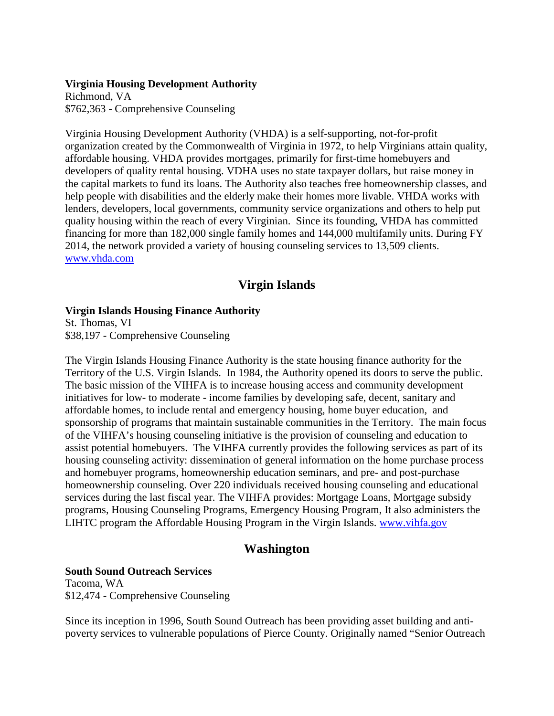#### **Virginia Housing Development Authority**

Richmond, VA \$762,363 - Comprehensive Counseling

Virginia Housing Development Authority (VHDA) is a self-supporting, not-for-profit organization created by the Commonwealth of Virginia in 1972, to help Virginians attain quality, affordable housing. VHDA provides mortgages, primarily for first-time homebuyers and developers of quality rental housing. VDHA uses no state taxpayer dollars, but raise money in the capital markets to fund its loans. The Authority also teaches free homeownership classes, and help people with disabilities and the elderly make their homes more livable. VHDA works with lenders, developers, local governments, community service organizations and others to help put quality housing within the reach of every Virginian. Since its founding, VHDA has committed financing for more than 182,000 single family homes and 144,000 multifamily units. During FY 2014, the network provided a variety of housing counseling services to 13,509 clients. [www.vhda.com](http://www.vhda.com/)

# **Virgin Islands**

#### **Virgin Islands Housing Finance Authority**

St. Thomas, VI \$38,197 - Comprehensive Counseling

The Virgin Islands Housing Finance Authority is the state housing finance authority for the Territory of the U.S. Virgin Islands. In 1984, the Authority opened its doors to serve the public. The basic mission of the VIHFA is to increase housing access and community development initiatives for low- to moderate - income families by developing safe, decent, sanitary and affordable homes, to include rental and emergency housing, home buyer education, and sponsorship of programs that maintain sustainable communities in the Territory. The main focus of the VIHFA's housing counseling initiative is the provision of counseling and education to assist potential homebuyers. The VIHFA currently provides the following services as part of its housing counseling activity: dissemination of general information on the home purchase process and homebuyer programs, homeownership education seminars, and pre- and post-purchase homeownership counseling. Over 220 individuals received housing counseling and educational services during the last fiscal year. The VIHFA provides: Mortgage Loans, Mortgage subsidy programs, Housing Counseling Programs, Emergency Housing Program, It also administers the LIHTC program the Affordable Housing Program in the Virgin Islands. [www.vihfa.gov](http://www.vihfa.gov/)

## **Washington**

### **South Sound Outreach Services**

Tacoma, WA \$12,474 - Comprehensive Counseling

Since its inception in 1996, South Sound Outreach has been providing asset building and antipoverty services to vulnerable populations of Pierce County. Originally named "Senior Outreach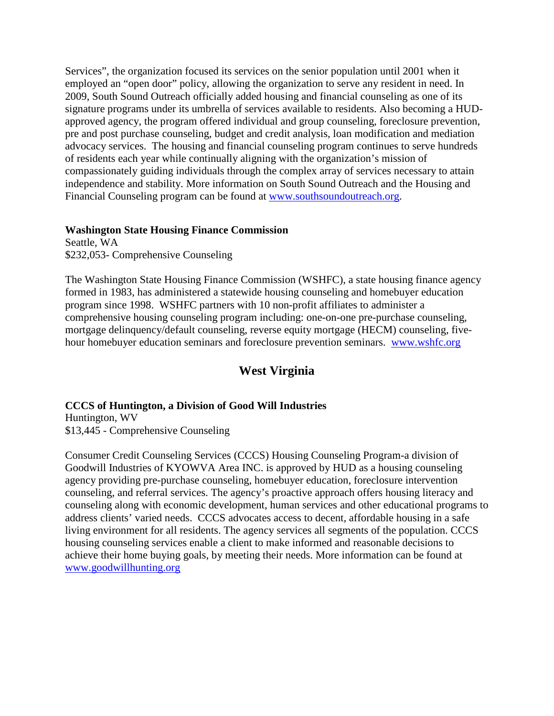Services", the organization focused its services on the senior population until 2001 when it employed an "open door" policy, allowing the organization to serve any resident in need. In 2009, South Sound Outreach officially added housing and financial counseling as one of its signature programs under its umbrella of services available to residents. Also becoming a HUDapproved agency, the program offered individual and group counseling, foreclosure prevention, pre and post purchase counseling, budget and credit analysis, loan modification and mediation advocacy services. The housing and financial counseling program continues to serve hundreds of residents each year while continually aligning with the organization's mission of compassionately guiding individuals through the complex array of services necessary to attain independence and stability. More information on South Sound Outreach and the Housing and Financial Counseling program can be found at [www.southsoundoutreach.org.](http://www.southsoundoutreach.org/)

#### **Washington State Housing Finance Commission**

Seattle, WA \$232,053- Comprehensive Counseling

The Washington State Housing Finance Commission (WSHFC), a state housing finance agency formed in 1983, has administered a statewide housing counseling and homebuyer education program since 1998. WSHFC partners with 10 non-profit affiliates to administer a comprehensive housing counseling program including: one-on-one pre-purchase counseling, mortgage delinquency/default counseling, reverse equity mortgage (HECM) counseling, fivehour homebuyer education seminars and foreclosure prevention seminars. [www.wshfc.org](http://www.wshfc.org/)

# **West Virginia**

### **CCCS of Huntington, a Division of Good Will Industries**

Huntington, WV \$13,445 - Comprehensive Counseling

Consumer Credit Counseling Services (CCCS) Housing Counseling Program-a division of Goodwill Industries of KYOWVA Area INC. is approved by HUD as a housing counseling agency providing pre-purchase counseling, homebuyer education, foreclosure intervention counseling, and referral services. The agency's proactive approach offers housing literacy and counseling along with economic development, human services and other educational programs to address clients' varied needs. CCCS advocates access to decent, affordable housing in a safe living environment for all residents. The agency services all segments of the population. CCCS housing counseling services enable a client to make informed and reasonable decisions to achieve their home buying goals, by meeting their needs. More information can be found at [www.goodwillhunting.org](http://www.goodwillhunting.org/)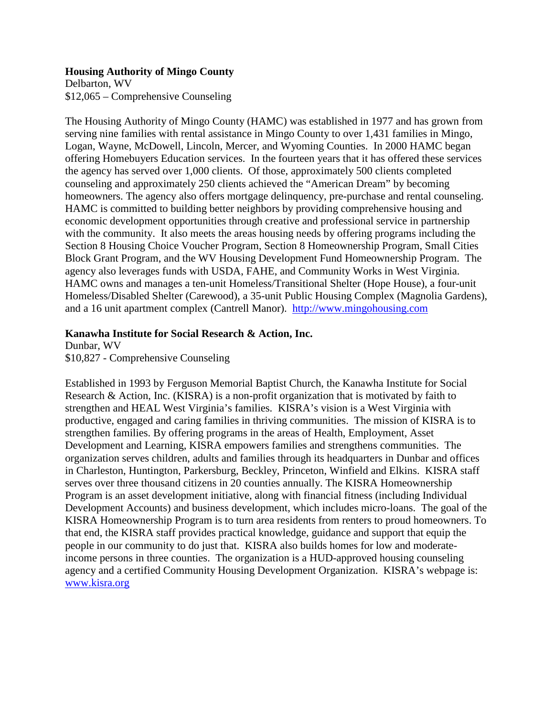#### **Housing Authority of Mingo County**

Delbarton, WV \$12,065 – Comprehensive Counseling

The Housing Authority of Mingo County (HAMC) was established in 1977 and has grown from serving nine families with rental assistance in Mingo County to over 1,431 families in Mingo, Logan, Wayne, McDowell, Lincoln, Mercer, and Wyoming Counties. In 2000 HAMC began offering Homebuyers Education services. In the fourteen years that it has offered these services the agency has served over 1,000 clients. Of those, approximately 500 clients completed counseling and approximately 250 clients achieved the "American Dream" by becoming homeowners. The agency also offers mortgage delinquency, pre-purchase and rental counseling. HAMC is committed to building better neighbors by providing comprehensive housing and economic development opportunities through creative and professional service in partnership with the community. It also meets the areas housing needs by offering programs including the Section 8 Housing Choice Voucher Program, Section 8 Homeownership Program, Small Cities Block Grant Program, and the WV Housing Development Fund Homeownership Program. The agency also leverages funds with USDA, FAHE, and Community Works in West Virginia. HAMC owns and manages a ten-unit Homeless/Transitional Shelter (Hope House), a four-unit Homeless/Disabled Shelter (Carewood), a 35-unit Public Housing Complex (Magnolia Gardens), and a 16 unit apartment complex (Cantrell Manor). [http://www.mingohousing.com](http://www.mingohousing.com/)

### **Kanawha Institute for Social Research & Action, Inc.**

Dunbar, WV \$10,827 - Comprehensive Counseling

Established in 1993 by Ferguson Memorial Baptist Church, the Kanawha Institute for Social Research & Action, Inc. (KISRA) is a non-profit organization that is motivated by faith to strengthen and HEAL West Virginia's families. KISRA's vision is a West Virginia with productive, engaged and caring families in thriving communities. The mission of KISRA is to strengthen families. By offering programs in the areas of Health, Employment, Asset Development and Learning, KISRA empowers families and strengthens communities. The organization serves children, adults and families through its headquarters in Dunbar and offices in Charleston, Huntington, Parkersburg, Beckley, Princeton, Winfield and Elkins. KISRA staff serves over three thousand citizens in 20 counties annually. The KISRA Homeownership Program is an asset development initiative, along with financial fitness (including Individual Development Accounts) and business development, which includes micro-loans. The goal of the KISRA Homeownership Program is to turn area residents from renters to proud homeowners. To that end, the KISRA staff provides practical knowledge, guidance and support that equip the people in our community to do just that. KISRA also builds homes for low and moderateincome persons in three counties. The organization is a HUD-approved housing counseling agency and a certified Community Housing Development Organization. KISRA's webpage is: [www.kisra.org](http://www.kisra.org/)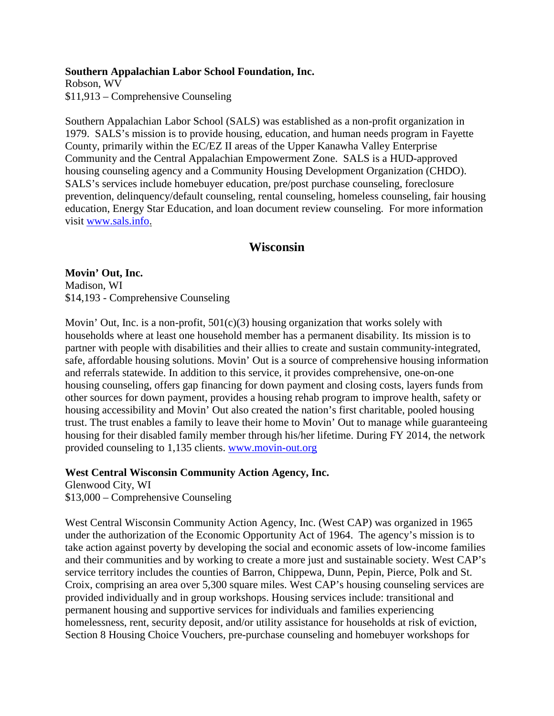#### **Southern Appalachian Labor School Foundation, Inc.**

Robson, WV \$11,913 – Comprehensive Counseling

Southern Appalachian Labor School (SALS) was established as a non-profit organization in 1979. SALS's mission is to provide housing, education, and human needs program in Fayette County, primarily within the EC/EZ II areas of the Upper Kanawha Valley Enterprise Community and the Central Appalachian Empowerment Zone. SALS is a HUD-approved housing counseling agency and a Community Housing Development Organization (CHDO). SALS's services include homebuyer education, pre/post purchase counseling, foreclosure prevention, delinquency/default counseling, rental counseling, homeless counseling, fair housing education, Energy Star Education, and loan document review counseling. For more information visit [www.sals.info](http://www.sals.info/).

## **Wisconsin**

**Movin' Out, Inc.** Madison, WI \$14,193 - Comprehensive Counseling

Movin' Out, Inc. is a non-profit,  $501(c)(3)$  housing organization that works solely with households where at least one household member has a permanent disability. Its mission is to partner with people with disabilities and their allies to create and sustain community-integrated, safe, affordable housing solutions. Movin' Out is a source of comprehensive housing information and referrals statewide. In addition to this service, it provides comprehensive, one-on-one housing counseling, offers gap financing for down payment and closing costs, layers funds from other sources for down payment, provides a housing rehab program to improve health, safety or housing accessibility and Movin' Out also created the nation's first charitable, pooled housing trust. The trust enables a family to leave their home to Movin' Out to manage while guaranteeing housing for their disabled family member through his/her lifetime. During FY 2014, the network provided counseling to 1,135 clients. [www.movin-out.org](http://www.movin-out.org/)

**West Central Wisconsin Community Action Agency, Inc.**

Glenwood City, WI \$13,000 – Comprehensive Counseling

West Central Wisconsin Community Action Agency, Inc. (West CAP) was organized in 1965 under the authorization of the Economic Opportunity Act of 1964. The agency's mission is to take action against poverty by developing the social and economic assets of low-income families and their communities and by working to create a more just and sustainable society. West CAP's service territory includes the counties of Barron, Chippewa, Dunn, Pepin, Pierce, Polk and St. Croix, comprising an area over 5,300 square miles. West CAP's housing counseling services are provided individually and in group workshops. Housing services include: transitional and permanent housing and supportive services for individuals and families experiencing homelessness, rent, security deposit, and/or utility assistance for households at risk of eviction, Section 8 Housing Choice Vouchers, pre-purchase counseling and homebuyer workshops for